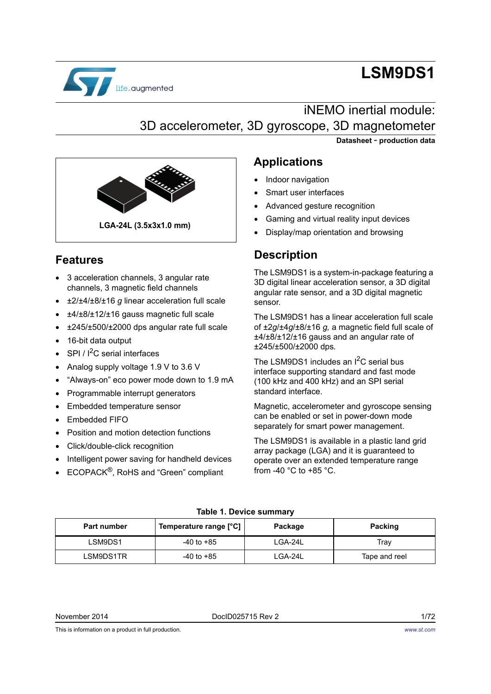

# **LSM9DS1**

# iNEMO inertial module: 3D accelerometer, 3D gyroscope, 3D magnetometer

**Datasheet** - **production data**



# **Features**

- 3 acceleration channels, 3 angular rate channels, 3 magnetic field channels
- ±2/±4/±8/±16 *g* linear acceleration full scale
- ±4/±8/±12/±16 gauss magnetic full scale
- ±245/±500/±2000 dps angular rate full scale
- 16-bit data output
- SPI / I<sup>2</sup>C serial interfaces
- Analog supply voltage 1.9 V to 3.6 V
- "Always-on" eco power mode down to 1.9 mA
- Programmable interrupt generators
- Embedded temperature sensor
- Embedded FIFO
- Position and motion detection functions
- Click/double-click recognition
- Intelligent power saving for handheld devices
- ECOPACK<sup>®</sup>, RoHS and "Green" compliant

## **Applications**

- Indoor navigation
- Smart user interfaces
- Advanced gesture recognition
- Gaming and virtual reality input devices
- Display/map orientation and browsing

# **Description**

The LSM9DS1 is a system-in-package featuring a 3D digital linear acceleration sensor, a 3D digital angular rate sensor, and a 3D digital magnetic sensor.

The LSM9DS1 has a linear acceleration full scale of ±2*g*/±4*g*/±8/±16 *g,* a magnetic field full scale of ±4/±8/±12/±16 gauss and an angular rate of ±245/±500/±2000 dps*.*

The LSM9DS1 includes an  $I^2C$  serial bus interface supporting standard and fast mode (100 kHz and 400 kHz) and an SPI serial standard interface.

Magnetic, accelerometer and gyroscope sensing can be enabled or set in power-down mode separately for smart power management.

The LSM9DS1 is available in a plastic land grid array package (LGA) and it is guaranteed to operate over an extended temperature range from -40 °C to +85 °C.

<span id="page-0-0"></span>

| <b>Part number</b> | Temperature range [°C] | Package | Packing       |
|--------------------|------------------------|---------|---------------|
| LSM9DS1            | $-40$ to $+85$         | LGA-24L | Trav          |
| LSM9DS1TR          | $-40$ to $+85$         | LGA-24L | Tape and reel |

### **Table 1. Device summary**

*[www.st.com](http://www.st.com)*

This is information on a product in full production.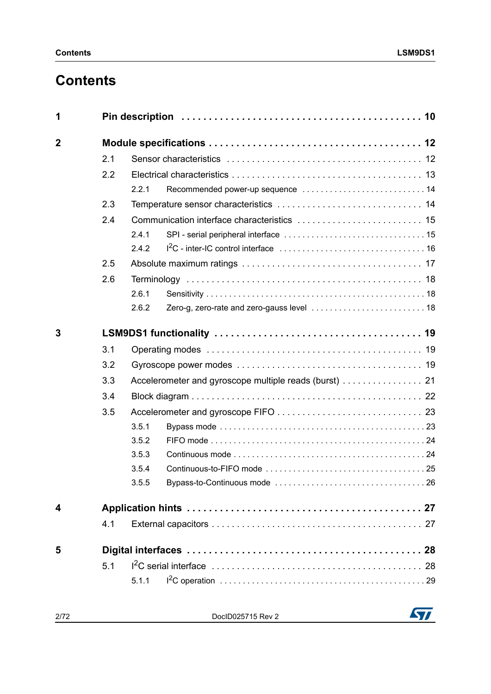# **Contents**

| 1              |     |       |  |
|----------------|-----|-------|--|
| $\overline{2}$ |     |       |  |
|                | 2.1 |       |  |
|                | 2.2 |       |  |
|                |     | 2.2.1 |  |
|                | 2.3 |       |  |
|                | 2.4 |       |  |
|                |     | 2.4.1 |  |
|                |     | 2.4.2 |  |
|                | 2.5 |       |  |
|                | 2.6 |       |  |
|                |     | 2.6.1 |  |
|                |     | 2.6.2 |  |
| 3              |     |       |  |
|                | 3.1 |       |  |
|                | 3.2 |       |  |
|                | 3.3 |       |  |
|                | 3.4 |       |  |
|                | 3.5 |       |  |
|                |     | 3.5.1 |  |
|                |     | 3.5.2 |  |
|                |     | 3.5.3 |  |
|                |     | 3.5.4 |  |
|                |     | 3.5.5 |  |
| 4              |     |       |  |
|                | 4.1 |       |  |
| 5              |     |       |  |
|                | 5.1 |       |  |
|                |     | 5.1.1 |  |
|                |     |       |  |

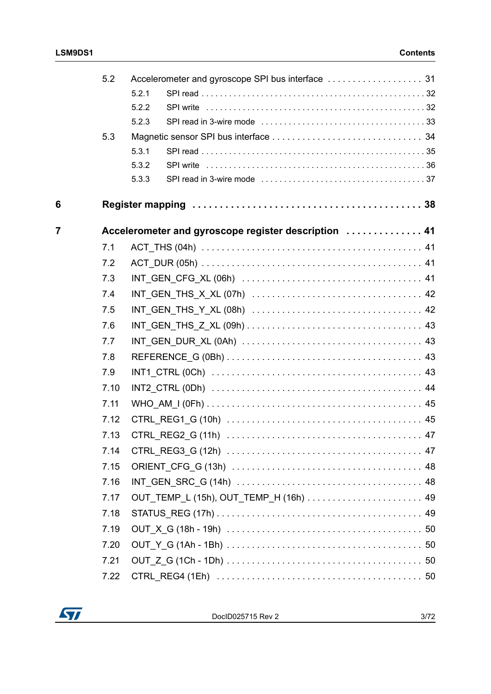|                         | 5.2  |       |                                                      |  |
|-------------------------|------|-------|------------------------------------------------------|--|
|                         |      | 5.2.1 |                                                      |  |
|                         |      | 5.2.2 |                                                      |  |
|                         |      | 5.2.3 |                                                      |  |
|                         | 5.3  |       |                                                      |  |
|                         |      | 5.3.1 |                                                      |  |
|                         |      | 5.3.2 |                                                      |  |
|                         |      | 5.3.3 |                                                      |  |
| 6                       |      |       |                                                      |  |
| $\overline{\mathbf{7}}$ |      |       | Accelerometer and gyroscope register description  41 |  |
|                         | 7.1  |       |                                                      |  |
|                         | 7.2  |       |                                                      |  |
|                         | 7.3  |       |                                                      |  |
|                         | 7.4  |       |                                                      |  |
|                         | 7.5  |       |                                                      |  |
|                         | 7.6  |       |                                                      |  |
|                         | 7.7  |       |                                                      |  |
|                         | 7.8  |       |                                                      |  |
|                         | 7.9  |       |                                                      |  |
|                         | 7.10 |       |                                                      |  |
|                         | 7.11 |       |                                                      |  |
|                         | 7.12 |       |                                                      |  |
|                         | 7.13 |       |                                                      |  |
|                         | 7.14 |       |                                                      |  |
|                         | 7.15 |       |                                                      |  |
|                         | 7.16 |       |                                                      |  |
|                         | 7.17 |       |                                                      |  |
|                         | 7.18 |       |                                                      |  |
|                         | 7.19 |       |                                                      |  |
|                         | 7.20 |       |                                                      |  |
|                         | 7.21 |       |                                                      |  |
|                         | 7.22 |       |                                                      |  |

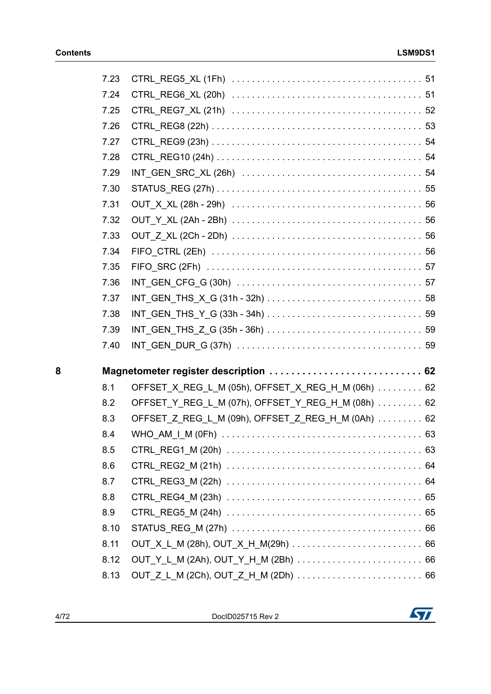|   | 7.23 |                                                    |  |
|---|------|----------------------------------------------------|--|
|   | 7.24 |                                                    |  |
|   | 7.25 |                                                    |  |
|   | 7.26 |                                                    |  |
|   | 7.27 |                                                    |  |
|   | 7.28 |                                                    |  |
|   | 7.29 |                                                    |  |
|   | 7.30 |                                                    |  |
|   | 7.31 |                                                    |  |
|   | 7.32 |                                                    |  |
|   | 7.33 |                                                    |  |
|   | 7.34 |                                                    |  |
|   | 7.35 |                                                    |  |
|   | 7.36 |                                                    |  |
|   | 7.37 |                                                    |  |
|   | 7.38 |                                                    |  |
|   | 7.39 |                                                    |  |
|   | 7.40 |                                                    |  |
| 8 |      | Magnetometer register description  62              |  |
|   | 8.1  | OFFSET_X_REG_L_M (05h), OFFSET_X_REG_H_M (06h)  62 |  |
|   | 8.2  | OFFSET_Y_REG_L_M (07h), OFFSET_Y_REG_H_M (08h) 62  |  |
|   | 8.3  | OFFSET Z REG L M (09h), OFFSET Z REG H M (0Ah)  62 |  |
|   | 8.4  |                                                    |  |
|   | 8.5  |                                                    |  |
|   | 8.6  |                                                    |  |
|   | 8.7  |                                                    |  |
|   | 8.8  |                                                    |  |
|   | 8.9  |                                                    |  |
|   | 8.10 |                                                    |  |
|   | 8.11 |                                                    |  |
|   | 8.12 |                                                    |  |
|   | 8.13 |                                                    |  |

4/72 DocID025715 Rev 2

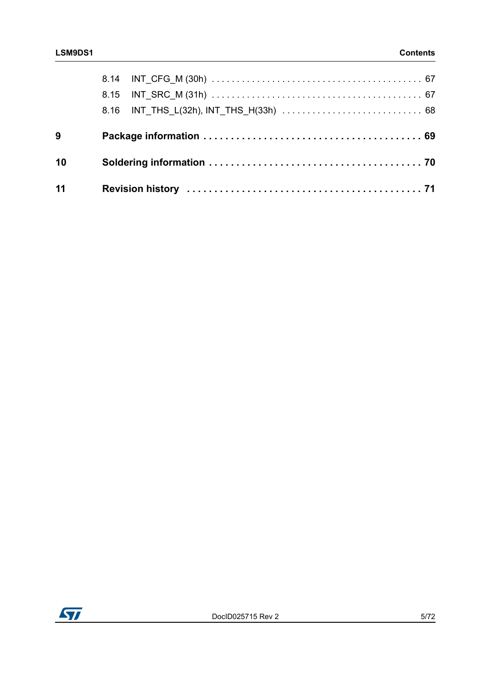| 9  |  |  |
|----|--|--|
| 10 |  |  |
| 11 |  |  |

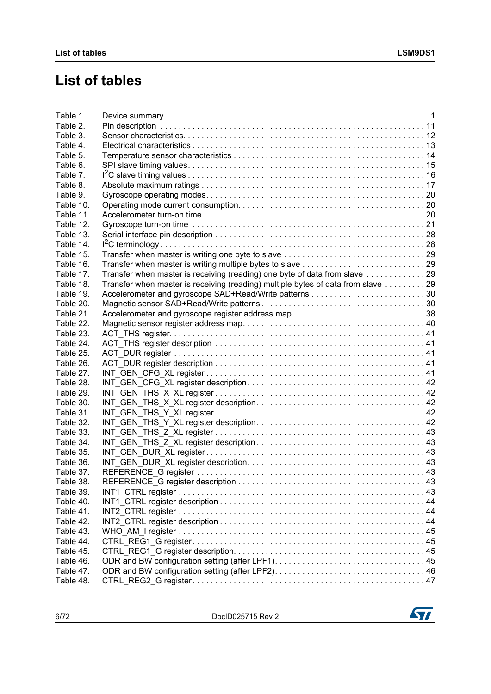# **List of tables**

| Table 2.<br>Table 3.<br>Table 4.<br>Table 5.<br>Table 6.<br>Table 7.<br>Table 8.<br>Table 9.<br>Table 10.<br>Table 11.<br>Table 12.<br>Table 13.<br>Table 14.<br>Table 15.<br>Table 16.<br>Transfer when master is receiving (reading) one byte of data from slave 29<br>Table 17.<br>Transfer when master is receiving (reading) multiple bytes of data from slave 29<br>Table 18.<br>Table 19.<br>Table 20.<br>Table 21.<br>Table 22.<br>Table 23.<br>Table 24.<br>Table 25.<br>Table 26.<br>Table 27.<br>Table 28.<br>Table 29.<br>Table 30.<br>Table 31.<br>Table 32.<br>Table 33.<br>Table 34.<br>Table 35.<br>Table 36. |  |
|-------------------------------------------------------------------------------------------------------------------------------------------------------------------------------------------------------------------------------------------------------------------------------------------------------------------------------------------------------------------------------------------------------------------------------------------------------------------------------------------------------------------------------------------------------------------------------------------------------------------------------|--|
|                                                                                                                                                                                                                                                                                                                                                                                                                                                                                                                                                                                                                               |  |
|                                                                                                                                                                                                                                                                                                                                                                                                                                                                                                                                                                                                                               |  |
|                                                                                                                                                                                                                                                                                                                                                                                                                                                                                                                                                                                                                               |  |
|                                                                                                                                                                                                                                                                                                                                                                                                                                                                                                                                                                                                                               |  |
|                                                                                                                                                                                                                                                                                                                                                                                                                                                                                                                                                                                                                               |  |
|                                                                                                                                                                                                                                                                                                                                                                                                                                                                                                                                                                                                                               |  |
|                                                                                                                                                                                                                                                                                                                                                                                                                                                                                                                                                                                                                               |  |
|                                                                                                                                                                                                                                                                                                                                                                                                                                                                                                                                                                                                                               |  |
|                                                                                                                                                                                                                                                                                                                                                                                                                                                                                                                                                                                                                               |  |
|                                                                                                                                                                                                                                                                                                                                                                                                                                                                                                                                                                                                                               |  |
|                                                                                                                                                                                                                                                                                                                                                                                                                                                                                                                                                                                                                               |  |
|                                                                                                                                                                                                                                                                                                                                                                                                                                                                                                                                                                                                                               |  |
|                                                                                                                                                                                                                                                                                                                                                                                                                                                                                                                                                                                                                               |  |
|                                                                                                                                                                                                                                                                                                                                                                                                                                                                                                                                                                                                                               |  |
|                                                                                                                                                                                                                                                                                                                                                                                                                                                                                                                                                                                                                               |  |
|                                                                                                                                                                                                                                                                                                                                                                                                                                                                                                                                                                                                                               |  |
|                                                                                                                                                                                                                                                                                                                                                                                                                                                                                                                                                                                                                               |  |
|                                                                                                                                                                                                                                                                                                                                                                                                                                                                                                                                                                                                                               |  |
|                                                                                                                                                                                                                                                                                                                                                                                                                                                                                                                                                                                                                               |  |
|                                                                                                                                                                                                                                                                                                                                                                                                                                                                                                                                                                                                                               |  |
|                                                                                                                                                                                                                                                                                                                                                                                                                                                                                                                                                                                                                               |  |
|                                                                                                                                                                                                                                                                                                                                                                                                                                                                                                                                                                                                                               |  |
|                                                                                                                                                                                                                                                                                                                                                                                                                                                                                                                                                                                                                               |  |
|                                                                                                                                                                                                                                                                                                                                                                                                                                                                                                                                                                                                                               |  |
|                                                                                                                                                                                                                                                                                                                                                                                                                                                                                                                                                                                                                               |  |
|                                                                                                                                                                                                                                                                                                                                                                                                                                                                                                                                                                                                                               |  |
|                                                                                                                                                                                                                                                                                                                                                                                                                                                                                                                                                                                                                               |  |
|                                                                                                                                                                                                                                                                                                                                                                                                                                                                                                                                                                                                                               |  |
|                                                                                                                                                                                                                                                                                                                                                                                                                                                                                                                                                                                                                               |  |
|                                                                                                                                                                                                                                                                                                                                                                                                                                                                                                                                                                                                                               |  |
|                                                                                                                                                                                                                                                                                                                                                                                                                                                                                                                                                                                                                               |  |
|                                                                                                                                                                                                                                                                                                                                                                                                                                                                                                                                                                                                                               |  |
|                                                                                                                                                                                                                                                                                                                                                                                                                                                                                                                                                                                                                               |  |
|                                                                                                                                                                                                                                                                                                                                                                                                                                                                                                                                                                                                                               |  |
|                                                                                                                                                                                                                                                                                                                                                                                                                                                                                                                                                                                                                               |  |
| Table 37.                                                                                                                                                                                                                                                                                                                                                                                                                                                                                                                                                                                                                     |  |
| Table 38.                                                                                                                                                                                                                                                                                                                                                                                                                                                                                                                                                                                                                     |  |
| Table 39.                                                                                                                                                                                                                                                                                                                                                                                                                                                                                                                                                                                                                     |  |
| Table 40.                                                                                                                                                                                                                                                                                                                                                                                                                                                                                                                                                                                                                     |  |
| Table 41.                                                                                                                                                                                                                                                                                                                                                                                                                                                                                                                                                                                                                     |  |
| Table 42.                                                                                                                                                                                                                                                                                                                                                                                                                                                                                                                                                                                                                     |  |
| Table 43.                                                                                                                                                                                                                                                                                                                                                                                                                                                                                                                                                                                                                     |  |
| Table 44.                                                                                                                                                                                                                                                                                                                                                                                                                                                                                                                                                                                                                     |  |
| Table 45.                                                                                                                                                                                                                                                                                                                                                                                                                                                                                                                                                                                                                     |  |
| Table 46.                                                                                                                                                                                                                                                                                                                                                                                                                                                                                                                                                                                                                     |  |
| Table 47.                                                                                                                                                                                                                                                                                                                                                                                                                                                                                                                                                                                                                     |  |
| Table 48.                                                                                                                                                                                                                                                                                                                                                                                                                                                                                                                                                                                                                     |  |

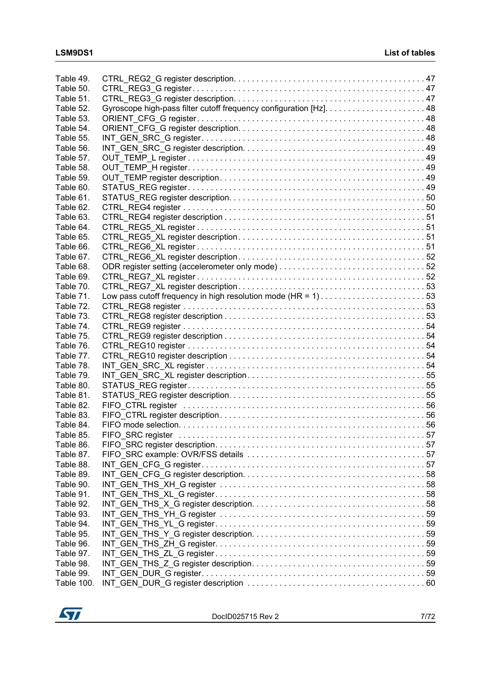| Table 49.  |                                                              |  |
|------------|--------------------------------------------------------------|--|
| Table 50.  |                                                              |  |
| Table 51.  |                                                              |  |
| Table 52.  |                                                              |  |
| Table 53.  |                                                              |  |
| Table 54.  |                                                              |  |
| Table 55.  |                                                              |  |
| Table 56.  |                                                              |  |
| Table 57.  |                                                              |  |
| Table 58.  |                                                              |  |
| Table 59.  |                                                              |  |
| Table 60.  |                                                              |  |
| Table 61.  |                                                              |  |
| Table 62.  |                                                              |  |
| Table 63.  |                                                              |  |
| Table 64.  |                                                              |  |
| Table 65.  |                                                              |  |
| Table 66.  |                                                              |  |
| Table 67.  |                                                              |  |
| Table 68.  |                                                              |  |
| Table 69.  |                                                              |  |
| Table 70.  |                                                              |  |
| Table 71.  | Low pass cutoff frequency in high resolution mode (HR = 1)53 |  |
| Table 72.  |                                                              |  |
| Table 73.  |                                                              |  |
| Table 74.  |                                                              |  |
| Table 75.  |                                                              |  |
| Table 76.  |                                                              |  |
| Table 77.  |                                                              |  |
| Table 78.  |                                                              |  |
| Table 79.  |                                                              |  |
| Table 80.  |                                                              |  |
| Table 81.  |                                                              |  |
| Table 82.  |                                                              |  |
| Table 83.  |                                                              |  |
| Table 84.  |                                                              |  |
| Table 85.  |                                                              |  |
| Table 86.  |                                                              |  |
| Table 87.  |                                                              |  |
| Table 88.  |                                                              |  |
| Table 89.  |                                                              |  |
| Table 90.  |                                                              |  |
| Table 91.  |                                                              |  |
| Table 92.  |                                                              |  |
| Table 93.  |                                                              |  |
| Table 94.  |                                                              |  |
| Table 95.  |                                                              |  |
| Table 96.  |                                                              |  |
| Table 97.  |                                                              |  |
| Table 98.  |                                                              |  |
| Table 99.  |                                                              |  |
| Table 100. |                                                              |  |

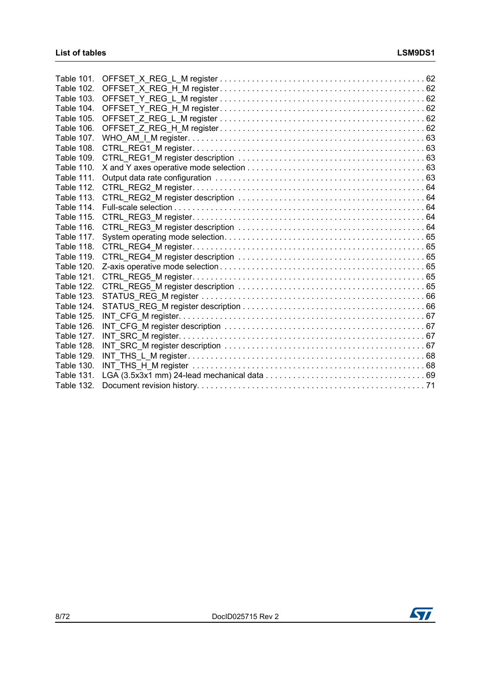| <b>Table 101.</b> |  |
|-------------------|--|
| Table 102.        |  |
| <b>Table 103.</b> |  |
| Table 104.        |  |
| Table 105.        |  |
| Table 106.        |  |
| Table 107.        |  |
| Table 108.        |  |
| Table 109.        |  |
| <b>Table 110.</b> |  |
| <b>Table 111.</b> |  |
| <b>Table 112.</b> |  |
| <b>Table 113.</b> |  |
| Table 114.        |  |
| Table 115.        |  |
| Table 116.        |  |
| <b>Table 117.</b> |  |
| <b>Table 118.</b> |  |
| <b>Table 119.</b> |  |
| <b>Table 120.</b> |  |
| Table 121.        |  |
| Table 122.        |  |
| <b>Table 123.</b> |  |
| Table 124.        |  |
| <b>Table 125.</b> |  |
| <b>Table 126.</b> |  |
| <b>Table 127.</b> |  |
| <b>Table 128.</b> |  |
| <b>Table 129.</b> |  |
| <b>Table 130.</b> |  |
| <b>Table 131.</b> |  |
| <b>Table 132.</b> |  |

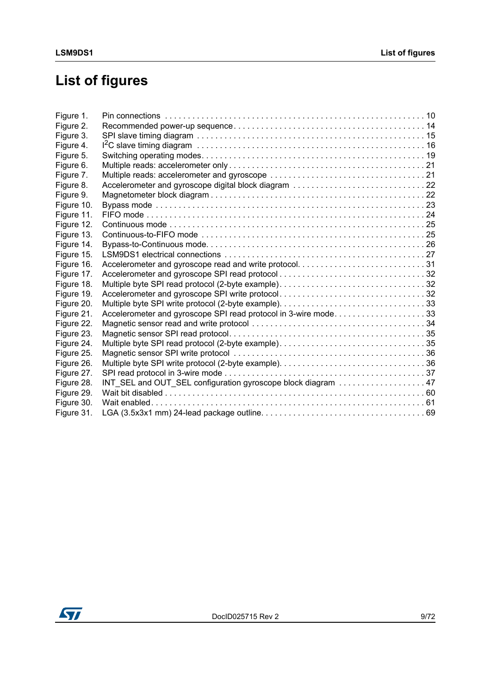# **List of figures**

| Figure 1.  |                                                                |  |
|------------|----------------------------------------------------------------|--|
| Figure 2.  |                                                                |  |
| Figure 3.  |                                                                |  |
| Figure 4.  |                                                                |  |
| Figure 5.  |                                                                |  |
| Figure 6.  |                                                                |  |
| Figure 7.  |                                                                |  |
| Figure 8.  |                                                                |  |
| Figure 9.  |                                                                |  |
| Figure 10. |                                                                |  |
| Figure 11. |                                                                |  |
| Figure 12. |                                                                |  |
| Figure 13. |                                                                |  |
| Figure 14. |                                                                |  |
| Figure 15. |                                                                |  |
| Figure 16. |                                                                |  |
| Figure 17. |                                                                |  |
| Figure 18. |                                                                |  |
| Figure 19. | Accelerometer and gyroscope SPI write protocol32               |  |
| Figure 20. |                                                                |  |
| Figure 21. | Accelerometer and gyroscope SPI read protocol in 3-wire mode33 |  |
| Figure 22. |                                                                |  |
| Figure 23. |                                                                |  |
| Figure 24. | Multiple byte SPI read protocol (2-byte example)35             |  |
| Figure 25. |                                                                |  |
| Figure 26. |                                                                |  |
| Figure 27. |                                                                |  |
| Figure 28. | INT_SEL and OUT_SEL configuration gyroscope block diagram 47   |  |
| Figure 29. |                                                                |  |
| Figure 30. |                                                                |  |
| Figure 31. |                                                                |  |
|            |                                                                |  |

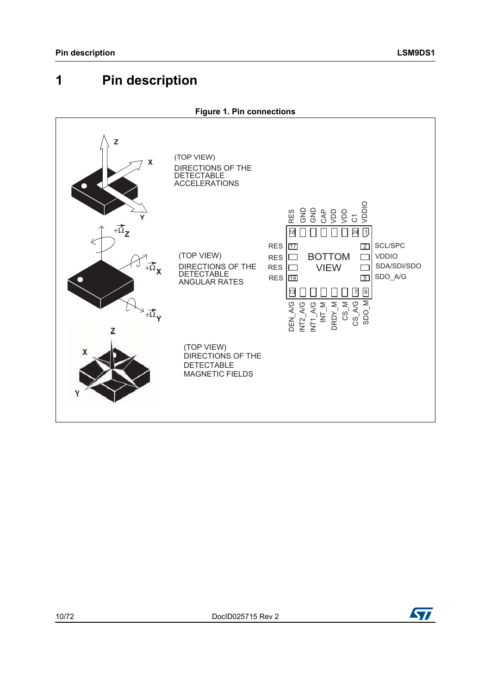# <span id="page-9-0"></span>**1 Pin description**

<span id="page-9-1"></span>

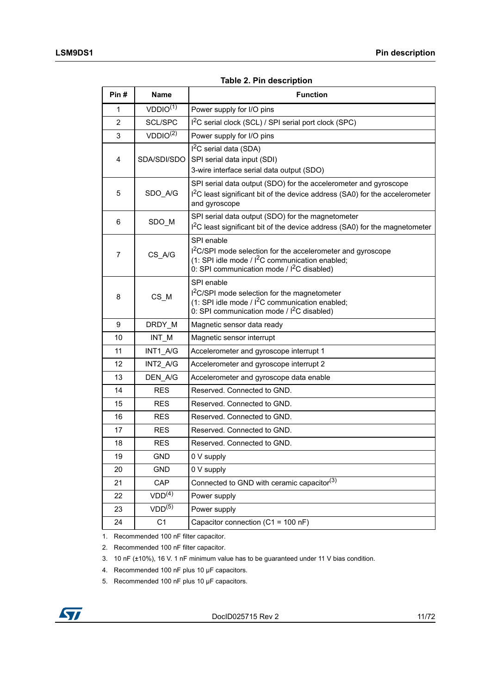**Table 2. Pin description** 

<span id="page-10-0"></span>

| Pin#           | <b>Name</b>                     | <b>Function</b>                                                                                                                                                                            |
|----------------|---------------------------------|--------------------------------------------------------------------------------------------------------------------------------------------------------------------------------------------|
| 1              | VDDIO <sup>(1)</sup>            | Power supply for I/O pins                                                                                                                                                                  |
| $\overline{2}$ | SCL/SPC                         | I <sup>2</sup> C serial clock (SCL) / SPI serial port clock (SPC)                                                                                                                          |
| 3              | VDDIO <sup>(2)</sup>            | Power supply for I/O pins                                                                                                                                                                  |
| $\overline{4}$ | SDA/SDI/SDO                     | $I2C$ serial data (SDA)<br>SPI serial data input (SDI)<br>3-wire interface serial data output (SDO)                                                                                        |
| 5              | SDO A/G                         | SPI serial data output (SDO) for the accelerometer and gyroscope<br>$I2C$ least significant bit of the device address (SA0) for the accelerometer<br>and gyroscope                         |
| 6              | SDO_M                           | SPI serial data output (SDO) for the magnetometer<br>1 <sup>2</sup> C least significant bit of the device address (SA0) for the magnetometer                                               |
| 7              | CS_A/G                          | SPI enable<br>I <sup>2</sup> C/SPI mode selection for the accelerometer and gyroscope<br>(1: SPI idle mode / $I^2C$ communication enabled;<br>0: SPI communication mode / $I^2C$ disabled) |
| 8              | $CS$ <sub>_<math>M</math></sub> | SPI enable<br>I <sup>2</sup> C/SPI mode selection for the magnetometer<br>(1: SPI idle mode / $I^2C$ communication enabled;<br>0: SPI communication mode / $I^2C$ disabled)                |
| 9              | DRDY_M                          | Magnetic sensor data ready                                                                                                                                                                 |
| 10             | INT M                           | Magnetic sensor interrupt                                                                                                                                                                  |
| 11             | INT1 A/G                        | Accelerometer and gyroscope interrupt 1                                                                                                                                                    |
| 12             | INT2 A/G                        | Accelerometer and gyroscope interrupt 2                                                                                                                                                    |
| 13             | DEN A/G                         | Accelerometer and gyroscope data enable                                                                                                                                                    |
| 14             | <b>RES</b>                      | Reserved. Connected to GND.                                                                                                                                                                |
| 15             | <b>RES</b>                      | Reserved. Connected to GND.                                                                                                                                                                |
| 16             | <b>RES</b>                      | Reserved. Connected to GND.                                                                                                                                                                |
| 17             | <b>RES</b>                      | Reserved. Connected to GND.                                                                                                                                                                |
| 18             | RES                             | Reserved. Connected to GND.                                                                                                                                                                |
| 19             | <b>GND</b>                      | 0 V supply                                                                                                                                                                                 |
| 20             | <b>GND</b>                      | 0 V supply                                                                                                                                                                                 |
| 21             | CAP                             | Connected to GND with ceramic capacitor <sup>(3)</sup>                                                                                                                                     |
| 22             | VDD <sup>(4)</sup>              | Power supply                                                                                                                                                                               |
| 23             | VDD <sup>(5)</sup>              | Power supply                                                                                                                                                                               |
| 24             | C <sub>1</sub>                  | Capacitor connection (C1 = 100 nF)                                                                                                                                                         |

1. Recommended 100 nF filter capacitor.

2. Recommended 100 nF filter capacitor.

3. 10 nF (±10%), 16 V. 1 nF minimum value has to be guaranteed under 11 V bias condition.

- 4. Recommended 100 nF plus 10 μF capacitors.
- 5. Recommended 100 nF plus 10 μF capacitors.

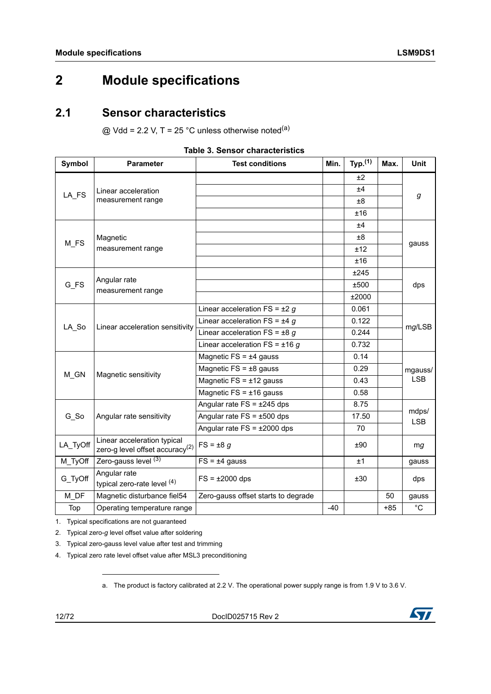# <span id="page-11-0"></span>**2 Module specifications**

## <span id="page-11-1"></span>**2.1 Sensor characteristics**

 $@$  Vdd = 2.2 V, T = 25 °C unless otherwise noted<sup>(a)</sup>

<span id="page-11-2"></span>

| Symbol   | <b>Parameter</b>                                                           | <b>Test conditions</b>              | Min. | Typ. <sup>(1)</sup> | Max.  | <b>Unit</b>         |  |
|----------|----------------------------------------------------------------------------|-------------------------------------|------|---------------------|-------|---------------------|--|
|          |                                                                            |                                     |      | ±2                  |       |                     |  |
| LA FS    | Linear acceleration                                                        |                                     |      | ±4                  |       | g                   |  |
|          | measurement range                                                          |                                     |      | $\pm 8$             |       |                     |  |
|          |                                                                            |                                     |      | ±16                 |       |                     |  |
|          |                                                                            |                                     |      | ±4                  |       |                     |  |
| M FS     | Magnetic                                                                   |                                     |      | £8                  |       | gauss               |  |
|          | measurement range                                                          |                                     |      | ±12                 |       |                     |  |
|          |                                                                            |                                     |      | ±16                 |       |                     |  |
|          | Angular rate                                                               |                                     |      | ±245                |       |                     |  |
| $G_FS$   | measurement range                                                          |                                     |      | ±500                |       | dps                 |  |
|          |                                                                            |                                     |      | ±2000               |       |                     |  |
|          |                                                                            | Linear acceleration $FS = \pm 2$ g  |      | 0.061               |       |                     |  |
| LA So    | Linear acceleration sensitivity                                            | Linear acceleration FS = $±4 g$     |      | 0.122               |       | mg/LSB              |  |
|          |                                                                            | Linear acceleration FS = $\pm 8$ g  |      | 0.244               |       |                     |  |
|          |                                                                            | Linear acceleration FS = $\pm$ 16 g |      | 0.732               |       |                     |  |
|          |                                                                            | Magnetic $FS = \pm 4$ gauss         |      | 0.14                |       |                     |  |
| M GN     | Magnetic sensitivity                                                       | Magnetic $FS = \pm 8$ gauss         |      | 0.29                |       | mgauss/             |  |
|          |                                                                            | Magnetic $FS = \pm 12$ gauss        |      | 0.43                |       | <b>LSB</b>          |  |
|          |                                                                            | Magnetic $FS = \pm 16$ gauss        |      | 0.58                |       |                     |  |
|          |                                                                            | Angular rate $FS = \pm 245$ dps     |      | 8.75                |       |                     |  |
| $G_S$    | Angular rate sensitivity                                                   | Angular rate $FS = \pm 500$ dps     |      | 17.50               |       | mdps/<br><b>LSB</b> |  |
|          |                                                                            | Angular rate $FS = \pm 2000$ dps    |      | 70                  |       |                     |  |
| LA_TyOff | Linear acceleration typical<br>zero-g level offset accuracy <sup>(2)</sup> | $FS = \pm 8$ g                      |      | ±90                 |       | mg                  |  |
| M_TyOff  | Zero-gauss level (3)                                                       | $FS = \pm 4$ gauss                  |      | ±1                  |       | gauss               |  |
| G_TyOff  | Angular rate<br>typical zero-rate level (4)                                | $FS = \pm 2000$ dps                 |      | ±30                 |       | dps                 |  |
| $M\_DF$  | Magnetic disturbance fiel54                                                | Zero-gauss offset starts to degrade |      |                     | 50    | gauss               |  |
| Top      | Operating temperature range                                                |                                     | -40  |                     | $+85$ | $^{\circ}$ C        |  |

#### **Table 3. Sensor characteristics**

1. Typical specifications are not guaranteed

2. Typical zero-*g* level offset value after soldering

3. Typical zero-gauss level value after test and trimming

4. Typical zero rate level offset value after MSL3 preconditioning

a. The product is factory calibrated at 2.2 V. The operational power supply range is from 1.9 V to 3.6 V.

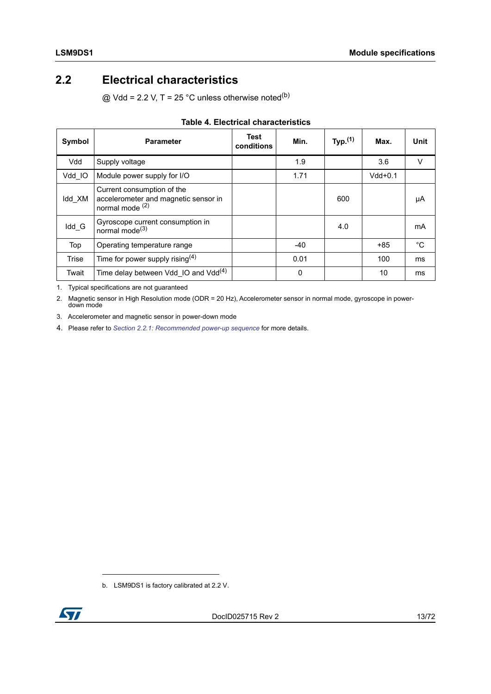# <span id="page-12-0"></span>**2.2 Electrical characteristics**

 $@$  Vdd = 2.2 V, T = 25 °C unless otherwise noted<sup>(b)</sup>

<span id="page-12-1"></span>

| Symbol       | <b>Parameter</b>                                                                                 | Test<br>conditions | Min.     | Typ. $(1)$ | Max.      | Unit   |
|--------------|--------------------------------------------------------------------------------------------------|--------------------|----------|------------|-----------|--------|
| Vdd          | Supply voltage                                                                                   |                    | 1.9      |            | 3.6       | $\vee$ |
| Vdd IO       | Module power supply for I/O                                                                      |                    | 1.71     |            | $Vdd+0.1$ |        |
| Idd XM       | Current consumption of the<br>accelerometer and magnetic sensor in<br>normal mode <sup>(2)</sup> |                    |          | 600        |           | μA     |
| Idd G        | Gyroscope current consumption in<br>normal mode $^{(3)}$                                         |                    |          | 4.0        |           | mA     |
| Top          | Operating temperature range                                                                      |                    | $-40$    |            | $+85$     | °C     |
| <b>Trise</b> | Time for power supply rising $(4)$                                                               |                    | 0.01     |            | 100       | ms     |
| Twait        | Time delay between Vdd IO and Vdd $(4)$                                                          |                    | $\Omega$ |            | 10        | ms     |

### **Table 4. Electrical characteristics**

1. Typical specifications are not guaranteed

2. Magnetic sensor in High Resolution mode (ODR = 20 Hz), Accelerometer sensor in normal mode, gyroscope in powerdown mode

3. Accelerometer and magnetic sensor in power-down mode

4. Please refer to *[Section 2.2.1: Recommended power-up sequence](#page-13-0)* for more details.

b. LSM9DS1 is factory calibrated at 2.2 V.

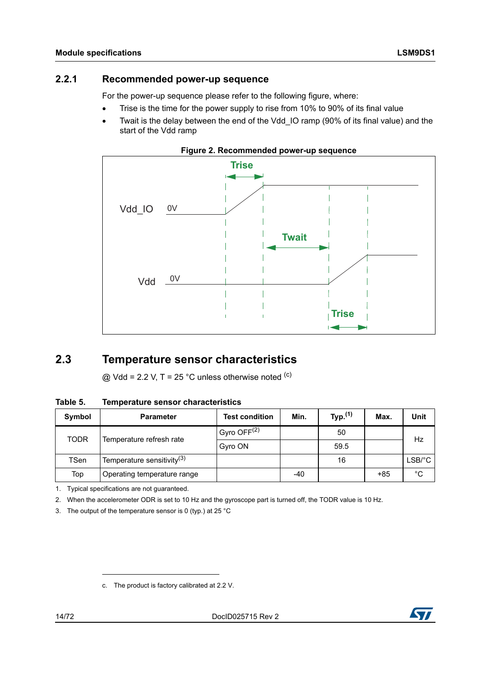### <span id="page-13-0"></span>**2.2.1 Recommended power-up sequence**

For the power-up sequence please refer to the following figure, where:

- Trise is the time for the power supply to rise from 10% to 90% of its final value
- Twait is the delay between the end of the Vdd\_IO ramp (90% of its final value) and the start of the Vdd ramp

<span id="page-13-3"></span>



## <span id="page-13-1"></span>**2.3 Temperature sensor characteristics**

 $@$  Vdd = 2.2 V, T = 25 °C unless otherwise noted  $<sup>(c)</sup>$ </sup>

<span id="page-13-2"></span>

| Table 5. |  | <b>Temperature sensor characteristics</b> |
|----------|--|-------------------------------------------|
|          |  |                                           |

| Symbol      | <b>Parameter</b>                       | <b>Test condition</b>     | Min. | Typ. $(1)$ | Max. | Unit                                  |  |
|-------------|----------------------------------------|---------------------------|------|------------|------|---------------------------------------|--|
| <b>TODR</b> | Temperature refresh rate               | $Gyro$ OFF <sup>(2)</sup> |      | 50         |      | Hz                                    |  |
|             |                                        | Gyro ON                   |      | 59.5       |      |                                       |  |
| TSen        | Temperature sensitivity <sup>(3)</sup> |                           |      | 16         |      | $LSB$ <sup><math>\circ</math></sup> C |  |
| Top         | Operating temperature range            |                           | -40  |            | +85  | °C                                    |  |

1. Typical specifications are not guaranteed.

2. When the accelerometer ODR is set to 10 Hz and the gyroscope part is turned off, the TODR value is 10 Hz.

3. The output of the temperature sensor is 0 (typ.) at 25 °C

c. The product is factory calibrated at 2.2 V.



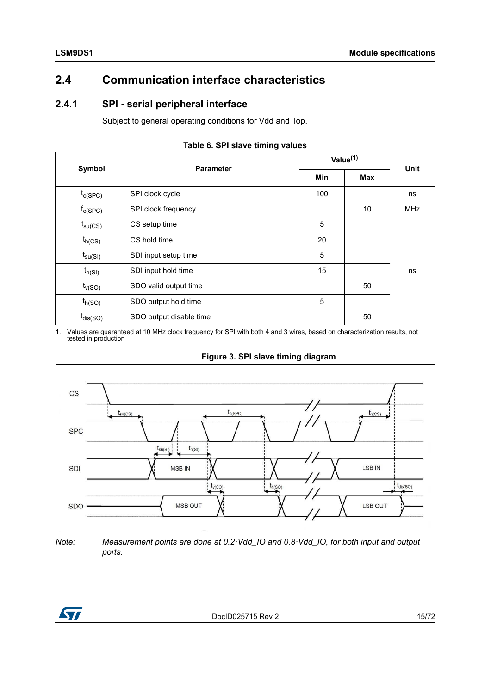# <span id="page-14-0"></span>**2.4 Communication interface characteristics**

### <span id="page-14-1"></span>**2.4.1 SPI - serial peripheral interface**

Subject to general operating conditions for Vdd and Top.

<span id="page-14-2"></span>

|                       | $\tilde{\phantom{a}}$   |             |      |            |
|-----------------------|-------------------------|-------------|------|------------|
| Symbol                | <b>Parameter</b>        | Value $(1)$ | Unit |            |
|                       |                         | Min         | Max  |            |
| $t_{c(SPC)}$          | SPI clock cycle         | 100         |      | ns         |
| $f_{C(SPC)}$          | SPI clock frequency     |             | 10   | <b>MHz</b> |
| $t_{\text{su(CS)}}$   | CS setup time           | 5           |      |            |
| $t_{h(CS)}$           | CS hold time            | 20          |      |            |
| $t_{\mathsf{su(SI)}}$ | SDI input setup time    | 5           |      |            |
| $t_{h(SI)}$           | SDI input hold time     | 15          |      | ns         |
| $t_{v(SO)}$           | SDO valid output time   |             | 50   |            |
| $t_{h(SO)}$           | SDO output hold time    | 5           |      |            |
| $t_{dis(SO)}$         | SDO output disable time |             | 50   |            |

#### **Table 6. SPI slave timing values**

1. Values are guaranteed at 10 MHz clock frequency for SPI with both 4 and 3 wires, based on characterization results, not tested in production



<span id="page-14-3"></span>

*Note: Measurement points are done at 0.2·Vdd\_IO and 0.8·Vdd\_IO, for both input and output ports.*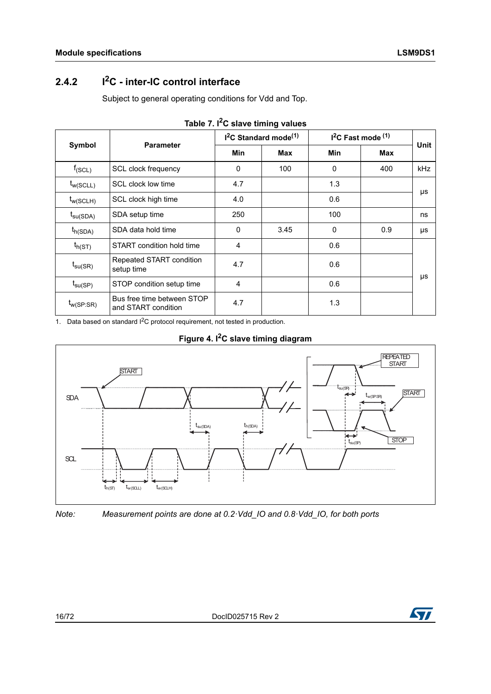# <span id="page-15-0"></span>**2.4.2 I2C - inter-IC control interface**

Subject to general operating conditions for Vdd and Top.

<span id="page-15-1"></span>

|                      | <b>Parameter</b>                                  | $I2C$ Standard mode <sup>(1)</sup> |      | $I2C$ Fast mode $(1)$ |            | <b>Unit</b> |
|----------------------|---------------------------------------------------|------------------------------------|------|-----------------------|------------|-------------|
| Symbol               |                                                   | Min                                | Max  | <b>Min</b>            | <b>Max</b> |             |
| $f_{(SCL)}$          | SCL clock frequency                               | 0                                  | 100  | 0                     | 400        | <b>kHz</b>  |
| $t_{w(SCLL)}$        | SCL clock low time                                | 4.7                                |      | 1.3                   |            |             |
| $t_{w(SCLH)}$        | SCL clock high time                               | 4.0                                |      | 0.6                   |            | μs          |
| $t_{\text{su(SDA)}}$ | SDA setup time                                    | 250                                |      | 100                   |            | ns          |
| $t_{h(SDA)}$         | SDA data hold time                                | 0                                  | 3.45 | $\Omega$              | 0.9        | μs          |
| $t_{h(ST)}$          | START condition hold time                         | 4                                  |      | 0.6                   |            |             |
| $t_{\text{su(SR)}}$  | Repeated START condition<br>setup time            | 4.7                                |      | 0.6                   |            |             |
| $t_{\text{su(SP)}}$  | STOP condition setup time                         | 4                                  |      | 0.6                   |            | μs          |
| $t_{w(SP:SR)}$       | Bus free time between STOP<br>and START condition | 4.7                                |      | 1.3                   |            |             |

1. Data based on standard  $1^2C$  protocol requirement, not tested in production.

<span id="page-15-2"></span>

### **Figure 4. I2C slave timing diagram**

*Note: Measurement points are done at 0.2·Vdd\_IO and 0.8·Vdd\_IO, for both ports*

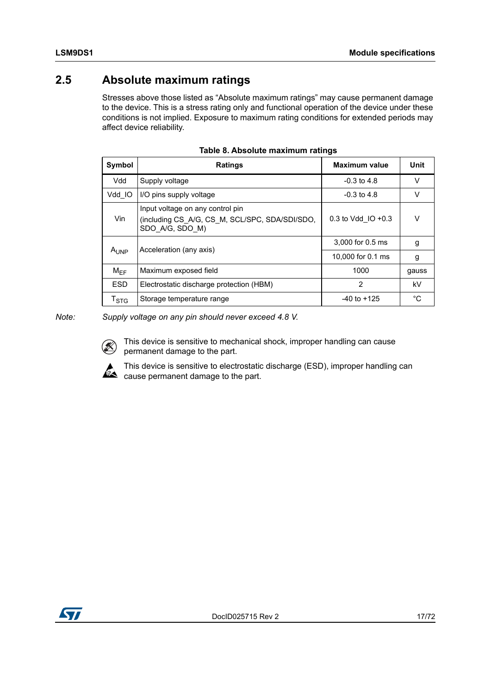# <span id="page-16-0"></span>**2.5 Absolute maximum ratings**

Stresses above those listed as "Absolute maximum ratings" may cause permanent damage to the device. This is a stress rating only and functional operation of the device under these conditions is not implied. Exposure to maximum rating conditions for extended periods may affect device reliability.

<span id="page-16-1"></span>

| Symbol                    | Ratings                                                                                               | <b>Maximum value</b>  | Unit   |
|---------------------------|-------------------------------------------------------------------------------------------------------|-----------------------|--------|
| Vdd                       | Supply voltage                                                                                        | $-0.3$ to 4.8         | $\vee$ |
| Vdd IO                    | I/O pins supply voltage                                                                               | $-0.3$ to 4.8         | $\vee$ |
| Vin                       | Input voltage on any control pin<br>(including CS A/G, CS M, SCL/SPC, SDA/SDI/SDO,<br>SDO A/G, SDO M) | 0.3 to Vdd $IO + 0.3$ | v      |
| $A_{I JNP}$               | Acceleration (any axis)                                                                               | 3,000 for 0.5 ms      | g      |
|                           |                                                                                                       | 10,000 for 0.1 ms     | g      |
| $M_{\text{FF}}$           | Maximum exposed field                                                                                 | 1000                  | gauss  |
| <b>ESD</b>                | Electrostatic discharge protection (HBM)                                                              | 2                     | kV     |
| $\mathsf{T}_{\text{STG}}$ | Storage temperature range                                                                             | $-40$ to $+125$       | °C     |

| Table 8. Absolute maximum ratings |
|-----------------------------------|
|-----------------------------------|

*Note: Supply voltage on any pin should never exceed 4.8 V.*

This device is sensitive to mechanical shock, improper handling can cause permanent damage to the part.

This device is sensitive to electrostatic discharge (ESD), improper handling can  $\hat{\bullet}$  cause permanent damage to the part.

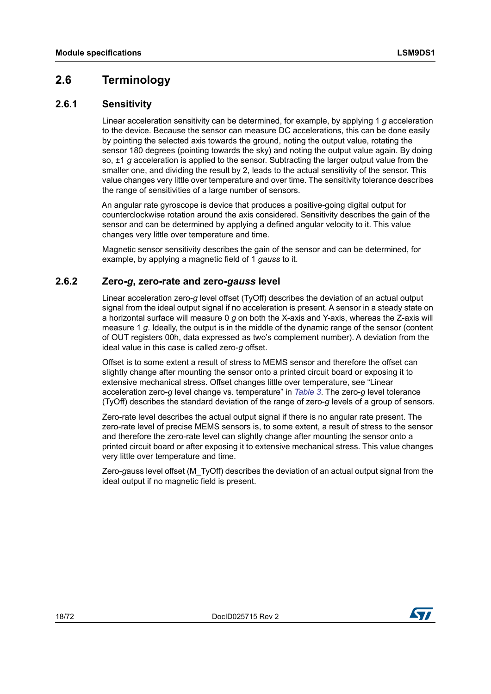## <span id="page-17-0"></span>**2.6 Terminology**

### <span id="page-17-1"></span>**2.6.1 Sensitivity**

Linear acceleration sensitivity can be determined, for example, by applying 1 *g* acceleration to the device. Because the sensor can measure DC accelerations, this can be done easily by pointing the selected axis towards the ground, noting the output value, rotating the sensor 180 degrees (pointing towards the sky) and noting the output value again. By doing so, ±1 *g* acceleration is applied to the sensor. Subtracting the larger output value from the smaller one, and dividing the result by 2, leads to the actual sensitivity of the sensor. This value changes very little over temperature and over time. The sensitivity tolerance describes the range of sensitivities of a large number of sensors.

An angular rate gyroscope is device that produces a positive-going digital output for counterclockwise rotation around the axis considered. Sensitivity describes the gain of the sensor and can be determined by applying a defined angular velocity to it. This value changes very little over temperature and time.

Magnetic sensor sensitivity describes the gain of the sensor and can be determined, for example, by applying a magnetic field of 1 *gauss* to it.

### <span id="page-17-2"></span>**2.6.2 Zero-***g***, zero-rate and zero-***gauss* **level**

Linear acceleration zero-*g* level offset (TyOff) describes the deviation of an actual output signal from the ideal output signal if no acceleration is present. A sensor in a steady state on a horizontal surface will measure 0 *g* on both the X-axis and Y-axis, whereas the Z-axis will measure 1 *g*. Ideally, the output is in the middle of the dynamic range of the sensor (content of OUT registers 00h, data expressed as two's complement number). A deviation from the ideal value in this case is called zero-*g* offset.

Offset is to some extent a result of stress to MEMS sensor and therefore the offset can slightly change after mounting the sensor onto a printed circuit board or exposing it to extensive mechanical stress. Offset changes little over temperature, see "Linear acceleration zero-*g* level change vs. temperature" in *[Table 3](#page-11-2)*. The zero-*g* level tolerance (TyOff) describes the standard deviation of the range of zero-*g* levels of a group of sensors.

Zero-rate level describes the actual output signal if there is no angular rate present. The zero-rate level of precise MEMS sensors is, to some extent, a result of stress to the sensor and therefore the zero-rate level can slightly change after mounting the sensor onto a printed circuit board or after exposing it to extensive mechanical stress. This value changes very little over temperature and time.

Zero-*g*auss level offset (M\_TyOff) describes the deviation of an actual output signal from the ideal output if no magnetic field is present.

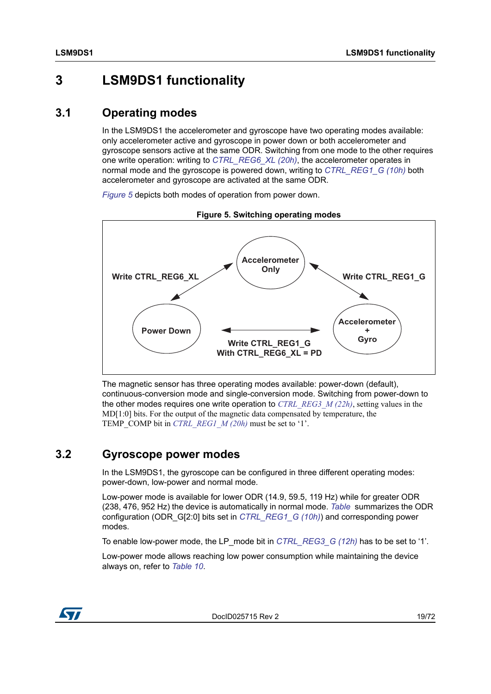# <span id="page-18-0"></span>**3 LSM9DS1 functionality**

## <span id="page-18-1"></span>**3.1 Operating modes**

In the LSM9DS1 the accelerometer and gyroscope have two operating modes available: only accelerometer active and gyroscope in power down or both accelerometer and gyroscope sensors active at the same ODR. Switching from one mode to the other requires one write operation: writing to *[CTRL\\_REG6\\_XL \(20h\)](#page-50-1)*, the accelerometer operates in normal mode and the gyroscope is powered down, writing to *[CTRL\\_REG1\\_G \(10h\)](#page-44-1)* both accelerometer and gyroscope are activated at the same ODR.

*[Figure 5](#page-18-3)* depicts both modes of operation from power down.

<span id="page-18-3"></span>

**Figure 5. Switching operating modes**

The magnetic sensor has three operating modes available: power-down (default), continuous-conversion mode and single-conversion mode. Switching from power-down to the other modes requires one write operation to *[CTRL\\_REG3\\_M \(22h\)](#page-63-1)*, setting values in the  $MD[1:0]$  bits. For the output of the magnetic data compensated by temperature, the TEMP\_COMP bit in *[CTRL\\_REG1\\_M \(20h\)](#page-62-1)* must be set to '1'.

## <span id="page-18-2"></span>**3.2 Gyroscope power modes**

In the LSM9DS1, the gyroscope can be configured in three different operating modes: power-down, low-power and normal mode.

Low-power mode is available for lower ODR (14.9, 59.5, 119 Hz) while for greater ODR (238, 476, 952 Hz) the device is automatically in normal mode. *Table* summarizes the ODR configuration (ODR\_G[2:0] bits set in *[CTRL\\_REG1\\_G \(10h\)](#page-44-1)*) and corresponding power modes.

To enable low-power mode, the LP\_mode bit in *[CTRL\\_REG3\\_G \(12h\)](#page-46-1)* has to be set to '1'.

Low-power mode allows reaching low power consumption while maintaining the device always on, refer to *[Table 10](#page-19-1)*.



DocID025715 Rev 2 19/72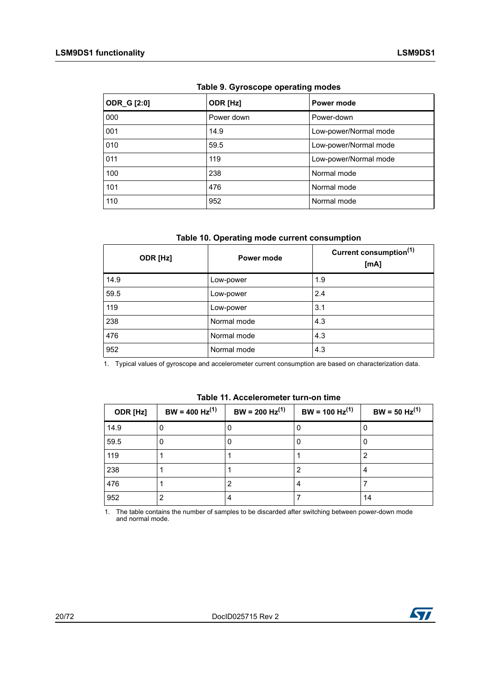<span id="page-19-0"></span>

| <b>ODR_G [2:0]</b> | ODR [Hz]   | Power mode            |
|--------------------|------------|-----------------------|
| 000                | Power down | Power-down            |
| 001                | 14.9       | Low-power/Normal mode |
| 010                | 59.5       | Low-power/Normal mode |
| 011                | 119        | Low-power/Normal mode |
| 100                | 238        | Normal mode           |
| 101                | 476        | Normal mode           |
| 110                | 952        | Normal mode           |

**Table 9. Gyroscope operating modes** 

#### **Table 10. Operating mode current consumption**

<span id="page-19-1"></span>

| ODR [Hz] | Power mode  | Current consumption <sup>(1)</sup><br>[mA] |
|----------|-------------|--------------------------------------------|
| 14.9     | Low-power   | 1.9                                        |
| 59.5     | Low-power   | 2.4                                        |
| 119      | Low-power   | 3.1                                        |
| 238      | Normal mode | 4.3                                        |
| 476      | Normal mode | 4.3                                        |
| 952      | Normal mode | 4.3                                        |

1. Typical values of gyroscope and accelerometer current consumption are based on characterization data.

<span id="page-19-2"></span>

| ODR [Hz] | $BW = 400 Hz^{(1)}$ | $BW = 200 Hz^{(1)}$ | $BW = 100 Hz^{(1)}$ | $BW = 50 Hz^{(1)}$ |
|----------|---------------------|---------------------|---------------------|--------------------|
| 14.9     | O                   | U                   |                     |                    |
| 59.5     | 0                   | 0                   |                     | U                  |
| 119      |                     |                     |                     |                    |
| 238      |                     |                     | 2                   | 4                  |
| 476      |                     | 2                   | 4                   |                    |
| 952      | 2                   | 4                   |                     | 14                 |

**Table 11. Accelerometer turn-on time**

1. The table contains the number of samples to be discarded after switching between power-down mode and normal mode.

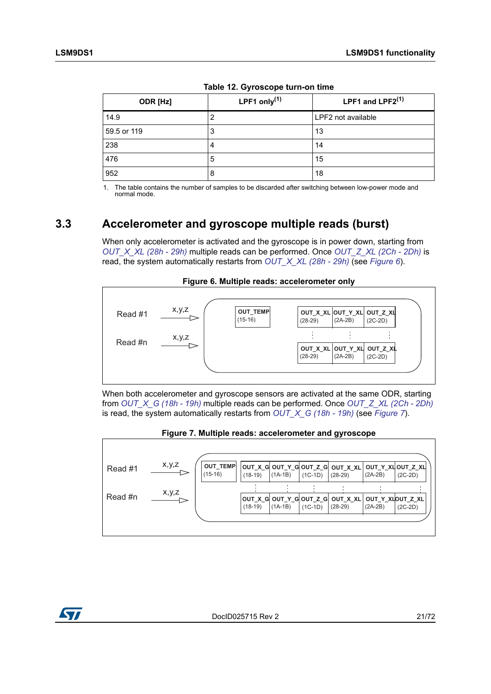<span id="page-20-1"></span>

| ODR [Hz]    | LPF1 only $(1)$ | LPF1 and LPF2 <sup>(1)</sup> |  |  |
|-------------|-----------------|------------------------------|--|--|
| 14.9        | 2               | LPF2 not available           |  |  |
| 59.5 or 119 | 3               | 13                           |  |  |
| 238         | 4               | 14                           |  |  |
| 476         | 5               | 15                           |  |  |
| 952         | 8               | 18                           |  |  |

|  | Table 12. Gyroscope turn-on time |  |
|--|----------------------------------|--|
|  |                                  |  |

1. The table contains the number of samples to be discarded after switching between low-power mode and normal mode.

## <span id="page-20-0"></span>**3.3 Accelerometer and gyroscope multiple reads (burst)**

When only accelerometer is activated and the gyroscope is in power down, starting from *[OUT\\_X\\_XL \(28h - 29h\)](#page-55-0)* multiple reads can be performed. Once *[OUT\\_Z\\_XL \(2Ch - 2Dh\)](#page-55-2)* is read, the system automatically restarts from *[OUT\\_X\\_XL \(28h - 29h\)](#page-55-0)* (see *[Figure 6](#page-20-2)*).

<span id="page-20-2"></span>

When both accelerometer and gyroscope sensors are activated at the same ODR, starting from *[OUT\\_X\\_G \(18h - 19h\)](#page-49-0)* multiple reads can be performed. Once *[OUT\\_Z\\_XL \(2Ch - 2Dh\)](#page-55-2)* is read, the system automatically restarts from *[OUT\\_X\\_G \(18h - 19h\)](#page-49-0)* (see *[Figure 7](#page-20-3)*).

<span id="page-20-3"></span>

#### **Figure 7. Multiple reads: accelerometer and gyroscope**

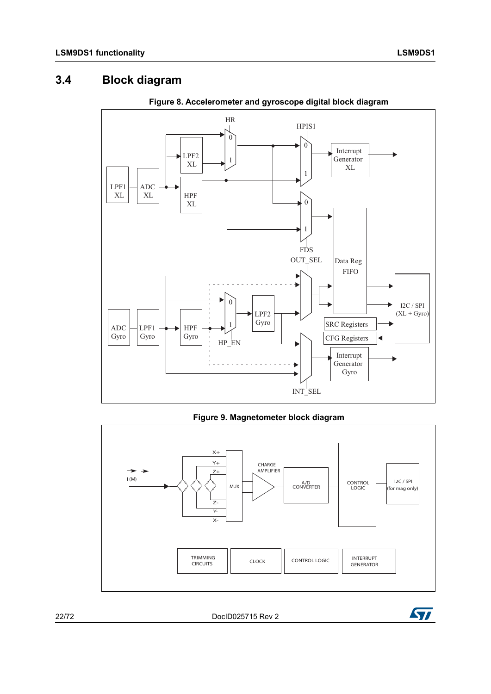# <span id="page-21-0"></span>**3.4 Block diagram**

<span id="page-21-1"></span>

**Figure 8. Accelerometer and gyroscope digital block diagram**

**Figure 9. Magnetometer block diagram**

<span id="page-21-2"></span>

22/72 DocID025715 Rev 2

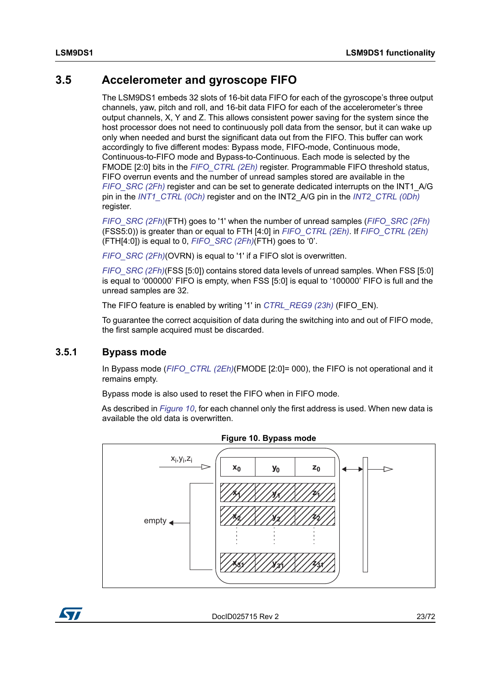## <span id="page-22-0"></span>**3.5 Accelerometer and gyroscope FIFO**

The LSM9DS1 embeds 32 slots of 16-bit data FIFO for each of the gyroscope's three output channels, yaw, pitch and roll, and 16-bit data FIFO for each of the accelerometer's three output channels, X, Y and Z. This allows consistent power saving for the system since the host processor does not need to continuously poll data from the sensor, but it can wake up only when needed and burst the significant data out from the FIFO. This buffer can work accordingly to five different modes: Bypass mode, FIFO-mode, Continuous mode, Continuous-to-FIFO mode and Bypass-to-Continuous. Each mode is selected by the FMODE [2:0] bits in the *FIFO CTRL (2Eh)* register. Programmable FIFO threshold status, FIFO overrun events and the number of unread samples stored are available in the *FIFO SRC (2Fh)* register and can be set to generate dedicated interrupts on the INT1 A/G pin in the *[INT1\\_CTRL \(0Ch\)](#page-42-3)* register and on the INT2\_A/G pin in the *[INT2\\_CTRL \(0Dh\)](#page-43-0)* register.

*[FIFO\\_SRC \(2Fh\)](#page-56-0)*(FTH) goes to '1' when the number of unread samples (*[FIFO\\_SRC \(2Fh\)](#page-56-0)* (FSS5:0)) is greater than or equal to FTH [4:0] in *[FIFO\\_CTRL \(2Eh\)](#page-55-3)*. If *[FIFO\\_CTRL \(2Eh\)](#page-55-3)* (FTH[4:0]) is equal to 0, *[FIFO\\_SRC \(2Fh\)](#page-56-0)*(FTH) goes to '0'.

*[FIFO\\_SRC \(2Fh\)](#page-56-0)*(OVRN) is equal to '1' if a FIFO slot is overwritten.

*[FIFO\\_SRC \(2Fh\)](#page-56-0)*(FSS [5:0]) contains stored data levels of unread samples. When FSS [5:0] is equal to '000000' FIFO is empty, when FSS [5:0] is equal to '100000' FIFO is full and the unread samples are 32.

The FIFO feature is enabled by writing '1' in *[CTRL\\_REG9 \(23h\)](#page-53-0)* (FIFO\_EN).

To guarantee the correct acquisition of data during the switching into and out of FIFO mode, the first sample acquired must be discarded.

### <span id="page-22-1"></span>**3.5.1 Bypass mode**

In Bypass mode (FIFO CTRL (2Eh)(FMODE [2:0]= 000), the FIFO is not operational and it remains empty.

Bypass mode is also used to reset the FIFO when in FIFO mode.

As described in *[Figure 10](#page-22-2)*, for each channel only the first address is used. When new data is available the old data is overwritten.

<span id="page-22-2"></span>



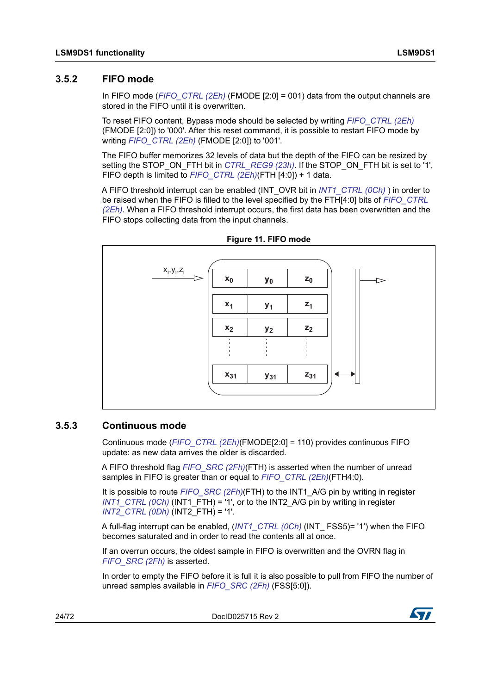### <span id="page-23-0"></span>**3.5.2 FIFO mode**

In FIFO mode (*[FIFO\\_CTRL \(2Eh\)](#page-55-3)* (FMODE [2:0] = 001) data from the output channels are stored in the FIFO until it is overwritten.

To reset FIFO content, Bypass mode should be selected by writing *[FIFO\\_CTRL \(2Eh\)](#page-55-3)* (FMODE [2:0]) to '000'. After this reset command, it is possible to restart FIFO mode by writing *[FIFO\\_CTRL \(2Eh\)](#page-55-3)* (FMODE [2:0]) to '001'.

The FIFO buffer memorizes 32 levels of data but the depth of the FIFO can be resized by setting the STOP\_ON\_FTH bit in *[CTRL\\_REG9 \(23h\)](#page-53-0)*. If the STOP\_ON\_FTH bit is set to '1', FIFO depth is limited to *[FIFO\\_CTRL \(2Eh\)](#page-55-3)*(FTH [4:0]) + 1 data.

A FIFO threshold interrupt can be enabled (INT\_OVR bit in *[INT1\\_CTRL \(0Ch\)](#page-42-3)* ) in order to be raised when the FIFO is filled to the level specified by the FTH[4:0] bits of *[FIFO\\_CTRL](#page-55-3)  [\(2Eh\)](#page-55-3)*. When a FIFO threshold interrupt occurs, the first data has been overwritten and the FIFO stops collecting data from the input channels.

<span id="page-23-2"></span>



### <span id="page-23-1"></span>**3.5.3 Continuous mode**

Continuous mode (*[FIFO\\_CTRL \(2Eh\)](#page-55-3)*(FMODE[2:0] = 110) provides continuous FIFO update: as new data arrives the older is discarded.

A FIFO threshold flag *[FIFO\\_SRC \(2Fh\)](#page-56-0)*(FTH) is asserted when the number of unread samples in FIFO is greater than or equal to *[FIFO\\_CTRL \(2Eh\)](#page-55-3)*(FTH4:0).

It is possible to route *[FIFO\\_SRC \(2Fh\)](#page-56-0)*(FTH) to the INT1\_A/G pin by writing in register *INT1* CTRL (OCh) (INT1 FTH) = '1', or to the INT2 A/G pin by writing in register *[INT2\\_CTRL \(0Dh\)](#page-43-0)* (INT2\_FTH) = '1'.

A full-flag interrupt can be enabled, (*[INT1\\_CTRL \(0Ch\)](#page-42-3)* (INT\_ FSS5)= '1') when the FIFO becomes saturated and in order to read the contents all at once.

If an overrun occurs, the oldest sample in FIFO is overwritten and the OVRN flag in *[FIFO\\_SRC \(2Fh\)](#page-56-0)* is asserted.

In order to empty the FIFO before it is full it is also possible to pull from FIFO the number of unread samples available in *[FIFO\\_SRC \(2Fh\)](#page-56-0)* (FSS[5:0]).

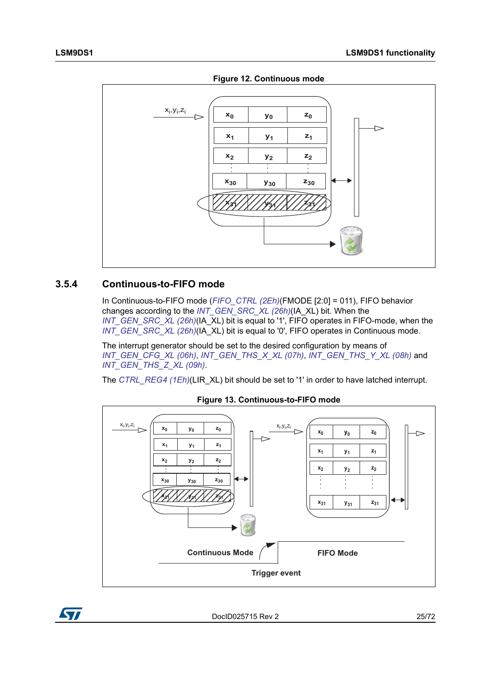

<span id="page-24-1"></span>

### <span id="page-24-0"></span>**3.5.4 Continuous-to-FIFO mode**

In Continuous-to-FIFO mode (*[FIFO\\_CTRL \(2Eh\)](#page-55-3)*(FMODE [2:0] = 011), FIFO behavior changes according to the *[INT\\_GEN\\_SRC\\_XL \(26h\)](#page-53-2)*(IA\_XL) bit. When the *[INT\\_GEN\\_SRC\\_XL \(26h\)](#page-53-2)*(IA\_XL) bit is equal to '1', FIFO operates in FIFO-mode, when the *[INT\\_GEN\\_SRC\\_XL \(26h\)](#page-53-2)*(IA\_XL) bit is equal to '0', FIFO operates in Continuous mode.

The interrupt generator should be set to the desired configuration by means of *[INT\\_GEN\\_CFG\\_XL \(06h\)](#page-40-3)*, *[INT\\_GEN\\_THS\\_X\\_XL \(07h\)](#page-41-0)*, *[INT\\_GEN\\_THS\\_Y\\_XL \(08h\)](#page-41-1)* and *[INT\\_GEN\\_THS\\_Z\\_XL \(09h\)](#page-42-0)*.

The *[CTRL\\_REG4 \(1Eh\)](#page-49-3)*(LIR\_XL) bit should be set to '1' in order to have latched interrupt.

<span id="page-24-2"></span>

### **Figure 13. Continuous-to-FIFO mode**

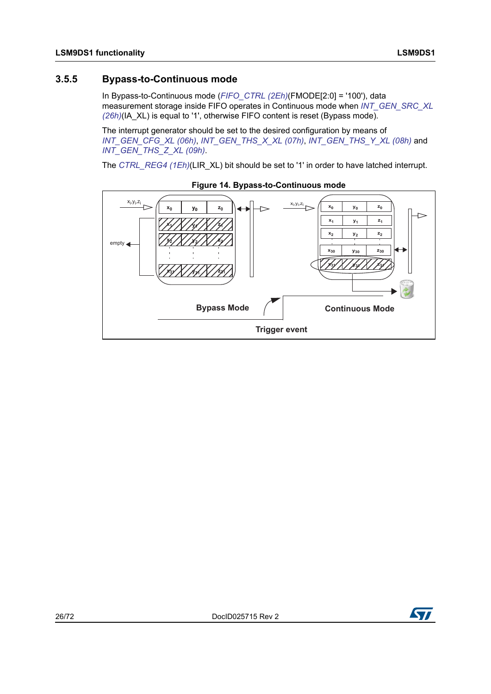### <span id="page-25-0"></span>**3.5.5 Bypass-to-Continuous mode**

In Bypass-to-Continuous mode (*[FIFO\\_CTRL \(2Eh\)](#page-55-3)*(FMODE[2:0] = '100'), data measurement storage inside FIFO operates in Continuous mode when *INT\_GEN\_SRC\_XL [\(26h\)](#page-53-2)*(IA\_XL) is equal to '1', otherwise FIFO content is reset (Bypass mode).

The interrupt generator should be set to the desired configuration by means of *[INT\\_GEN\\_CFG\\_XL \(06h\)](#page-40-3)*, *[INT\\_GEN\\_THS\\_X\\_XL \(07h\)](#page-41-0)*, *[INT\\_GEN\\_THS\\_Y\\_XL \(08h\)](#page-41-1)* and *[INT\\_GEN\\_THS\\_Z\\_XL \(09h\)](#page-42-0)*.

The *[CTRL\\_REG4 \(1Eh\)](#page-49-3)*(LIR\_XL) bit should be set to '1' in order to have latched interrupt.

<span id="page-25-1"></span>

**Figure 14. Bypass-to-Continuous mode**

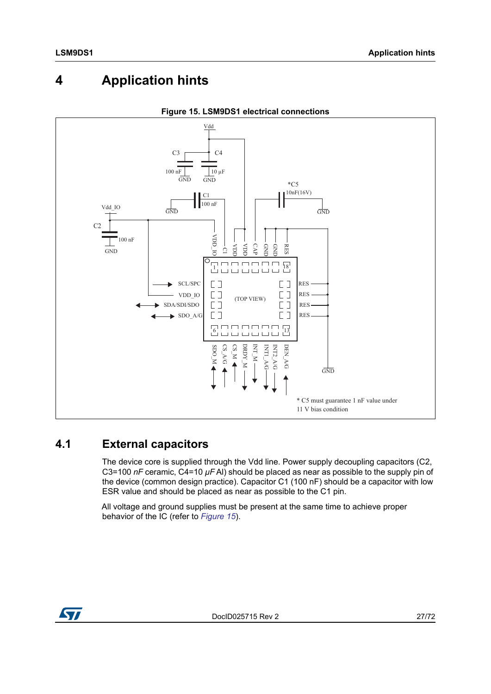# <span id="page-26-0"></span>**4 Application hints**

<span id="page-26-2"></span>

### **Figure 15. LSM9DS1 electrical connections**

## <span id="page-26-1"></span>**4.1 External capacitors**

The device core is supplied through the Vdd line. Power supply decoupling capacitors (C2, C3=100 *nF* ceramic, C4=10 *μF* Al) should be placed as near as possible to the supply pin of the device (common design practice). Capacitor C1 (100 nF) should be a capacitor with low ESR value and should be placed as near as possible to the C1 pin.

All voltage and ground supplies must be present at the same time to achieve proper

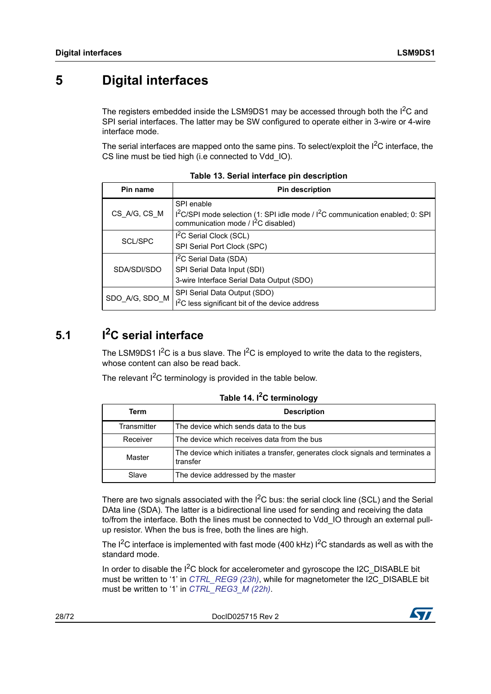# <span id="page-27-0"></span>**5 Digital interfaces**

The registers embedded inside the LSM9DS1 may be accessed through both the I<sup>2</sup>C and SPI serial interfaces. The latter may be SW configured to operate either in 3-wire or 4-wire interface mode.

The serial interfaces are mapped onto the same pins. To select/exploit the  $1<sup>2</sup>C$  interface, the CS line must be tied high (i.e connected to Vdd\_IO).

<span id="page-27-2"></span>

| Pin name       | <b>Pin description</b>                                                                                                                                        |  |  |  |  |  |  |
|----------------|---------------------------------------------------------------------------------------------------------------------------------------------------------------|--|--|--|--|--|--|
| CS_A/G, CS_M   | SPI enable<br>I <sup>2</sup> C/SPI mode selection (1: SPI idle mode / I <sup>2</sup> C communication enabled; 0: SPI<br>communication mode / $I^2C$ disabled) |  |  |  |  |  |  |
| SCL/SPC        | I <sup>2</sup> C Serial Clock (SCL)<br>SPI Serial Port Clock (SPC)                                                                                            |  |  |  |  |  |  |
| SDA/SDI/SDO    | I <sup>2</sup> C Serial Data (SDA)<br>SPI Serial Data Input (SDI)<br>3-wire Interface Serial Data Output (SDO)                                                |  |  |  |  |  |  |
| SDO_A/G, SDO_M | SPI Serial Data Output (SDO)<br>$I2C$ less significant bit of the device address                                                                              |  |  |  |  |  |  |

**Table 13. Serial interface pin description**

# <span id="page-27-1"></span>**5.1 I2C serial interface**

The LSM9DS1  $1^2C$  is a bus slave. The  $1^2C$  is employed to write the data to the registers, whose content can also be read back.

The relevant  $I^2C$  terminology is provided in the table below.

<span id="page-27-3"></span>

| <b>Description</b><br>Term |                                                                                             |  |  |  |  |  |  |  |
|----------------------------|---------------------------------------------------------------------------------------------|--|--|--|--|--|--|--|
| Transmitter                | The device which sends data to the bus                                                      |  |  |  |  |  |  |  |
| Receiver                   | The device which receives data from the bus                                                 |  |  |  |  |  |  |  |
| Master                     | The device which initiates a transfer, generates clock signals and terminates a<br>transfer |  |  |  |  |  |  |  |
| Slave                      | The device addressed by the master                                                          |  |  |  |  |  |  |  |

### **Table 14. I2C terminology**

There are two signals associated with the  $I^2C$  bus: the serial clock line (SCL) and the Serial DAta line (SDA). The latter is a bidirectional line used for sending and receiving the data to/from the interface. Both the lines must be connected to Vdd\_IO through an external pullup resistor. When the bus is free, both the lines are high.

The  $I^2C$  interface is implemented with fast mode (400 kHz)  $I^2C$  standards as well as with the standard mode.

In order to disable the  $I^2C$  block for accelerometer and gyroscope the I2C\_DISABLE bit must be written to '1' in *[CTRL\\_REG9 \(23h\)](#page-53-0)*, while for magnetometer the I2C\_DISABLE bit must be written to '1' in *[CTRL\\_REG3\\_M \(22h\)](#page-63-1)*.

28/72 DocID025715 Rev 2

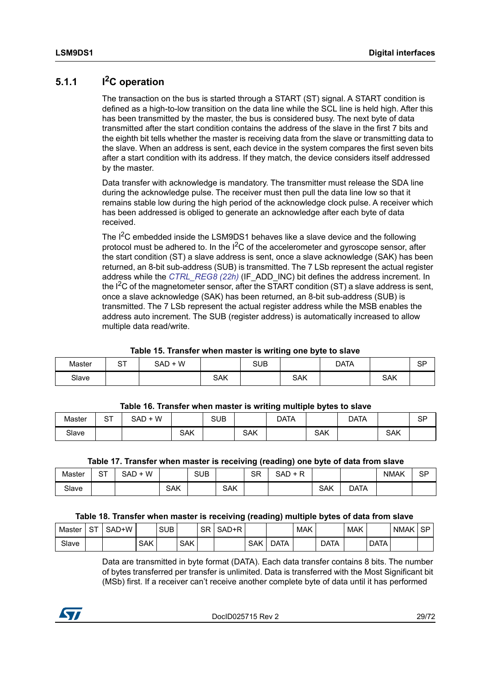## <span id="page-28-0"></span>**5.1.1 I2C operation**

The transaction on the bus is started through a START (ST) signal. A START condition is defined as a high-to-low transition on the data line while the SCL line is held high. After this has been transmitted by the master, the bus is considered busy. The next byte of data transmitted after the start condition contains the address of the slave in the first 7 bits and the eighth bit tells whether the master is receiving data from the slave or transmitting data to the slave. When an address is sent, each device in the system compares the first seven bits after a start condition with its address. If they match, the device considers itself addressed by the master.

Data transfer with acknowledge is mandatory. The transmitter must release the SDA line during the acknowledge pulse. The receiver must then pull the data line low so that it remains stable low during the high period of the acknowledge clock pulse. A receiver which has been addressed is obliged to generate an acknowledge after each byte of data received.

The I<sup>2</sup>C embedded inside the LSM9DS1 behaves like a slave device and the following protocol must be adhered to. In the  ${}^{12}C$  of the accelerometer and gyroscope sensor, after the start condition (ST) a slave address is sent, once a slave acknowledge (SAK) has been returned, an 8-bit sub-address (SUB) is transmitted. The 7 LSb represent the actual register address while the *[CTRL\\_REG8 \(22h\)](#page-52-0)* (IF\_ADD\_INC) bit defines the address increment. In the  $1<sup>2</sup>C$  of the magnetometer sensor, after the START condition (ST) a slave address is sent, once a slave acknowledge (SAK) has been returned, an 8-bit sub-address (SUB) is transmitted. The 7 LSb represent the actual register address while the MSB enables the address auto increment. The SUB (register address) is automatically increased to allow multiple data read/write.

#### **Table 15. Transfer when master is writing one byte to slave**

<span id="page-28-1"></span>

| Master | ~-<br>ັ | SAD + W |     | <b>SUB</b> |     | <b>DATA</b> |            | сn<br>ιت |
|--------|---------|---------|-----|------------|-----|-------------|------------|----------|
| Slave  |         |         | SAK |            | SAK |             | <b>SAK</b> |          |

#### **Table 16. Transfer when master is writing multiple bytes to slave**

<span id="page-28-2"></span>

| Master | ⌒⊤<br>5. | SAD + W |            | <b>SUB</b> |     | DATA |            | <b>DATA</b> |            | eг |
|--------|----------|---------|------------|------------|-----|------|------------|-------------|------------|----|
| Slave  |          |         | <b>SAK</b> |            | SAK |      | <b>SAK</b> |             | <b>SAK</b> |    |

#### **Table 17. Transfer when master is receiving (reading) one byte of data from slave**

<span id="page-28-3"></span>

| Master | ⌒⊤<br>ັ | W<br>SAD |     | <b>SUB</b> |            | $\cap$<br>SК | $\overline{\phantom{0}}$<br>SAD |            |      | <b>NMAK</b> | SP |
|--------|---------|----------|-----|------------|------------|--------------|---------------------------------|------------|------|-------------|----|
| Slave  |         |          | SAK |            | <b>SAK</b> |              |                                 | <b>SAK</b> | DATA |             |    |

#### **Table 18. Transfer when master is receiving (reading) multiple bytes of data from slave**

<span id="page-28-4"></span>

|        |               |       |            |            |            |           | ັ     |            | <u>.</u> |            |             |            |             |             |                  |
|--------|---------------|-------|------------|------------|------------|-----------|-------|------------|----------|------------|-------------|------------|-------------|-------------|------------------|
| Master | $\sim$ $\sim$ | SAD+W |            | <b>SUB</b> |            | <b>SR</b> | SAD+R |            |          | <b>MAK</b> |             | <b>MAK</b> |             | <b>NMAK</b> | <b>CDI</b><br>তদ |
| Slave  |               |       | <b>SAK</b> |            | <b>SAK</b> |           |       | <b>SAK</b> | DATA     |            | <b>DATA</b> |            | <b>DATA</b> |             |                  |

Data are transmitted in byte format (DATA). Each data transfer contains 8 bits. The number of bytes transferred per transfer is unlimited. Data is transferred with the Most Significant bit (MSb) first. If a receiver can't receive another complete byte of data until it has performed

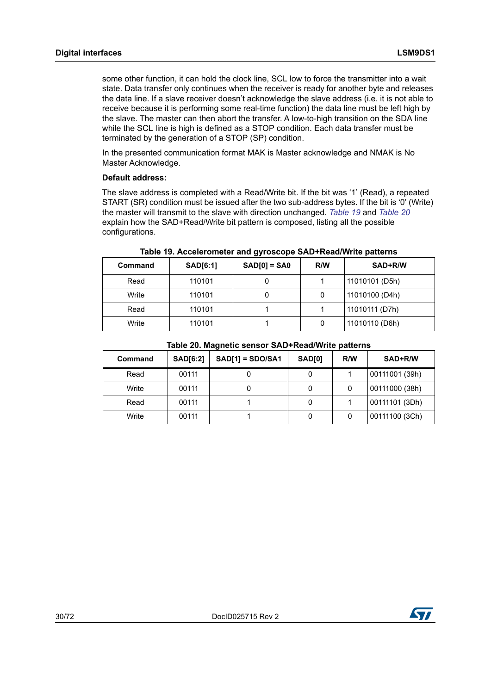some other function, it can hold the clock line, SCL low to force the transmitter into a wait state. Data transfer only continues when the receiver is ready for another byte and releases the data line. If a slave receiver doesn't acknowledge the slave address (i.e. it is not able to receive because it is performing some real-time function) the data line must be left high by the slave. The master can then abort the transfer. A low-to-high transition on the SDA line while the SCL line is high is defined as a STOP condition. Each data transfer must be terminated by the generation of a STOP (SP) condition.

In the presented communication format MAK is Master acknowledge and NMAK is No Master Acknowledge.

#### **Default address:**

The slave address is completed with a Read/Write bit. If the bit was '1' (Read), a repeated START (SR) condition must be issued after the two sub-address bytes. If the bit is '0' (Write) the master will transmit to the slave with direction unchanged. *[Table 19](#page-29-0)* and *[Table 20](#page-29-1)* explain how the SAD+Read/Write bit pattern is composed, listing all the possible configurations.

<span id="page-29-0"></span>

| <b>Command</b> | <b>SAD[6:1]</b> | $SAD[0] = SAO$ | R/W | SAD+R/W        |
|----------------|-----------------|----------------|-----|----------------|
| Read           | 110101          |                |     | 11010101 (D5h) |
| Write          | 110101          |                |     | 11010100 (D4h) |
| Read           | 110101          |                |     | 11010111 (D7h) |
| Write          | 110101          |                |     | 11010110 (D6h) |

**Table 19. Accelerometer and gyroscope SAD+Read/Write patterns**

| Table 20. Magnetic sensor SAD+Read/Write patterns |  |
|---------------------------------------------------|--|
|                                                   |  |

<span id="page-29-1"></span>

| Command | <b>SAD[6:2]</b> | $SAD[1] = SDO/SA1$ | <b>SAD[0]</b> | R/W | SAD+R/W        |
|---------|-----------------|--------------------|---------------|-----|----------------|
| Read    | 00111           |                    |               |     | 00111001 (39h) |
| Write   | 00111           |                    |               |     | 00111000 (38h) |
| Read    | 00111           |                    |               |     | 00111101 (3Dh) |
| Write   | 00111           |                    |               |     | 00111100 (3Ch) |

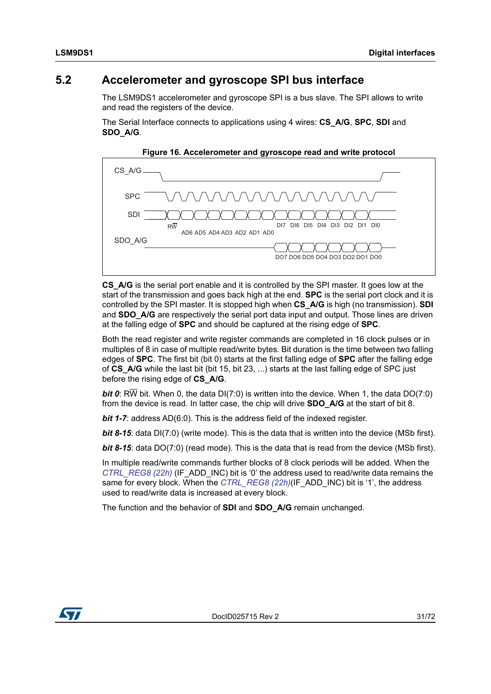## <span id="page-30-0"></span>**5.2 Accelerometer and gyroscope SPI bus interface**

The LSM9DS1 accelerometer and gyroscope SPI is a bus slave. The SPI allows to write and read the registers of the device.

The Serial Interface connects to applications using 4 wires: **CS\_A/G**, **SPC**, **SDI** and **SDO\_A/G**.

<span id="page-30-1"></span>

**Figure 16. Accelerometer and gyroscope read and write protocol**

**CS\_A/G** is the serial port enable and it is controlled by the SPI master. It goes low at the start of the transmission and goes back high at the end. **SPC** is the serial port clock and it is controlled by the SPI master. It is stopped high when **CS\_A/G** is high (no transmission). **SDI**  and **SDO** A/G are respectively the serial port data input and output. Those lines are driven at the falling edge of **SPC** and should be captured at the rising edge of **SPC**.

Both the read register and write register commands are completed in 16 clock pulses or in multiples of 8 in case of multiple read/write bytes. Bit duration is the time between two falling edges of **SPC**. The first bit (bit 0) starts at the first falling edge of **SPC** after the falling edge of **CS\_A/G** while the last bit (bit 15, bit 23, ...) starts at the last falling edge of SPC just before the rising edge of **CS\_A/G**.

*bit 0*: RW bit. When 0, the data DI(7:0) is written into the device. When 1, the data DO(7:0) from the device is read. In latter case, the chip will drive **SDO\_A/G** at the start of bit 8.

*bit 1-7*: address AD(6:0). This is the address field of the indexed register.

*bit 8-15*: data DI(7:0) (write mode). This is the data that is written into the device (MSb first).

*bit 8-15*: data DO(7:0) (read mode). This is the data that is read from the device (MSb first).

In multiple read/write commands further blocks of 8 clock periods will be added. When the *[CTRL\\_REG8 \(22h\)](#page-52-0)* (IF\_ADD\_INC) bit is '0' the address used to read/write data remains the same for every block. When the *[CTRL\\_REG8 \(22h\)](#page-52-0)*(IF\_ADD\_INC) bit is '1', the address used to read/write data is increased at every block.

The function and the behavior of **SDI** and **SDO\_A/G** remain unchanged.

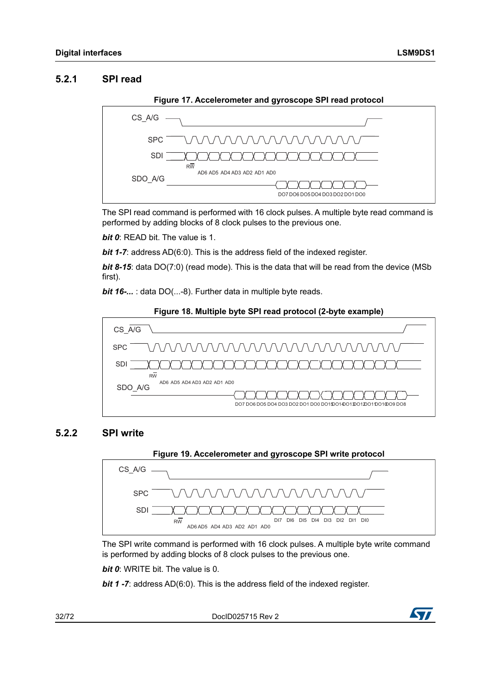### <span id="page-31-0"></span>**5.2.1 SPI read**

<span id="page-31-2"></span>

The SPI read command is performed with 16 clock pulses. A multiple byte read command is performed by adding blocks of 8 clock pulses to the previous one.

*bit 0*: READ bit. The value is 1.

*bit 1-7:* address AD(6:0). This is the address field of the indexed register.

**bit 8-15**: data DO(7:0) (read mode). This is the data that will be read from the device (MSb first).

*bit 16-...* : data DO(...-8). Further data in multiple byte reads.

<span id="page-31-3"></span>

### <span id="page-31-1"></span>**5.2.2 SPI write**

<span id="page-31-4"></span>

The SPI write command is performed with 16 clock pulses. A multiple byte write command is performed by adding blocks of 8 clock pulses to the previous one.

*bit 0*: WRITE bit. The value is 0.

*bit 1 -7*: address AD(6:0). This is the address field of the indexed register.

32/72 DocID025715 Rev 2

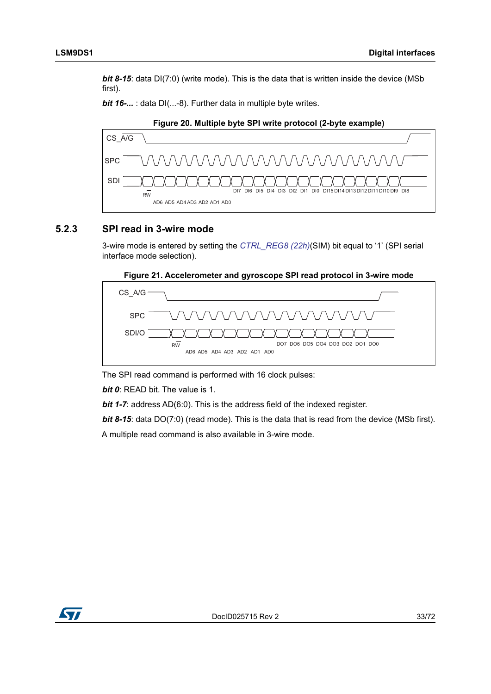*bit 8-15*: data DI(7:0) (write mode). This is the data that is written inside the device (MSb first).

*bit 16-...* : data DI(...-8). Further data in multiple byte writes.

<span id="page-32-1"></span>

### <span id="page-32-0"></span>**5.2.3 SPI read in 3-wire mode**

3-wire mode is entered by setting the *[CTRL\\_REG8 \(22h\)](#page-52-0)*(SIM) bit equal to '1' (SPI serial interface mode selection).



<span id="page-32-2"></span>

The SPI read command is performed with 16 clock pulses:

*bit 0*: READ bit. The value is 1.

*bit 1-7*: address AD(6:0). This is the address field of the indexed register.

**bit 8-15**: data DO(7:0) (read mode). This is the data that is read from the device (MSb first). A multiple read command is also available in 3-wire mode.

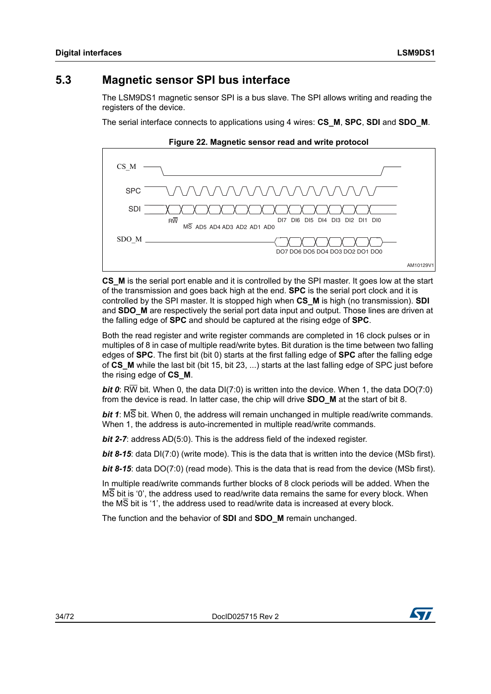## <span id="page-33-0"></span>**5.3 Magnetic sensor SPI bus interface**

The LSM9DS1 magnetic sensor SPI is a bus slave. The SPI allows writing and reading the registers of the device.

The serial interface connects to applications using 4 wires: **CS\_M**, **SPC**, **SDI** and **SDO\_M**.

<span id="page-33-1"></span>

**Figure 22. Magnetic sensor read and write protocol**

**CS\_M** is the serial port enable and it is controlled by the SPI master. It goes low at the start of the transmission and goes back high at the end. **SPC** is the serial port clock and it is controlled by the SPI master. It is stopped high when **CS\_M** is high (no transmission). **SDI**  and **SDO** M are respectively the serial port data input and output. Those lines are driven at the falling edge of **SPC** and should be captured at the rising edge of **SPC**.

Both the read register and write register commands are completed in 16 clock pulses or in multiples of 8 in case of multiple read/write bytes. Bit duration is the time between two falling edges of **SPC**. The first bit (bit 0) starts at the first falling edge of **SPC** after the falling edge of **CS\_M** while the last bit (bit 15, bit 23, ...) starts at the last falling edge of SPC just before the rising edge of **CS\_M**.

*bit 0*: RW bit. When 0, the data DI(7:0) is written into the device. When 1, the data DO(7:0) from the device is read. In latter case, the chip will drive **SDO\_M** at the start of bit 8.

*bit 1*: MS bit. When 0, the address will remain unchanged in multiple read/write commands. When 1, the address is auto-incremented in multiple read/write commands.

*bit 2-7:* address AD(5:0). This is the address field of the indexed register.

*bit 8-15*: data DI(7:0) (write mode). This is the data that is written into the device (MSb first).

*bit 8-15*: data DO(7:0) (read mode). This is the data that is read from the device (MSb first).

In multiple read/write commands further blocks of 8 clock periods will be added. When the MS bit is '0', the address used to read/write data remains the same for every block. When the MS bit is '1', the address used to read/write data is increased at every block.

The function and the behavior of **SDI** and **SDO\_M** remain unchanged.



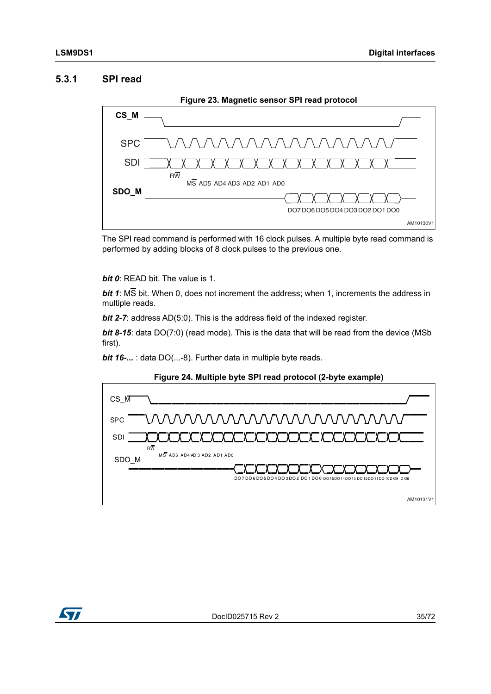### <span id="page-34-0"></span>**5.3.1 SPI read**

<span id="page-34-1"></span>

The SPI read command is performed with 16 clock pulses. A multiple byte read command is performed by adding blocks of 8 clock pulses to the previous one.

*bit 0*: READ bit. The value is 1.

*bit 1*: MS bit. When 0, does not increment the address; when 1, increments the address in multiple reads.

*bit 2-7:* address AD(5:0). This is the address field of the indexed register.

**bit 8-15**: data DO(7:0) (read mode). This is the data that will be read from the device (MSb first).

*bit 16-...*: data DO(...-8). Further data in multiple byte reads.



<span id="page-34-2"></span>

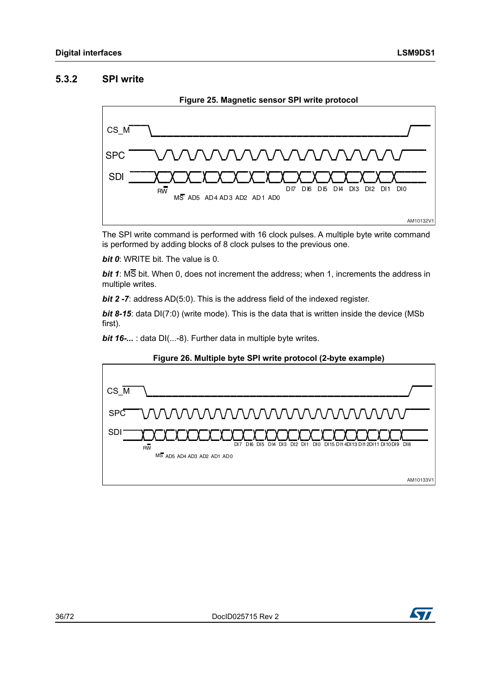### <span id="page-35-0"></span>**5.3.2 SPI write**

<span id="page-35-1"></span>

The SPI write command is performed with 16 clock pulses. A multiple byte write command is performed by adding blocks of 8 clock pulses to the previous one.

*bit 0*: WRITE bit. The value is 0.

*bit 1*: MS bit. When 0, does not increment the address; when 1, increments the address in multiple writes.

*bit 2 -7:* address AD(5:0). This is the address field of the indexed register.

*bit 8-15*: data DI(7:0) (write mode). This is the data that is written inside the device (MSb first).

*bit 16-...* : data DI(...-8). Further data in multiple byte writes.

<span id="page-35-2"></span>

#### **Figure 26. Multiple byte SPI write protocol (2-byte example)**

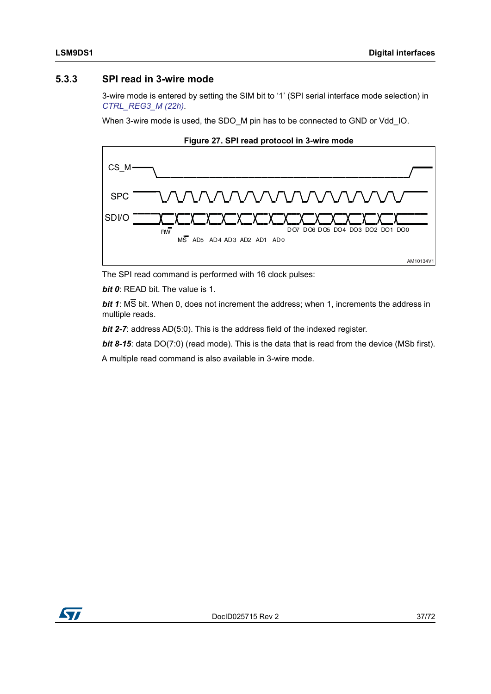### **5.3.3 SPI read in 3-wire mode**

3-wire mode is entered by setting the SIM bit to '1' (SPI serial interface mode selection) in *[CTRL\\_REG3\\_M \(22h\)](#page-63-0)*.

When 3-wire mode is used, the SDO\_M pin has to be connected to GND or Vdd\_IO.





The SPI read command is performed with 16 clock pulses:

*bit 0*: READ bit. The value is 1.

*bit 1*: MS bit. When 0, does not increment the address; when 1, increments the address in multiple reads.

*bit 2-7:* address AD(5:0). This is the address field of the indexed register.

*bit 8-15*: data DO(7:0) (read mode). This is the data that is read from the device (MSb first).

A multiple read command is also available in 3-wire mode.

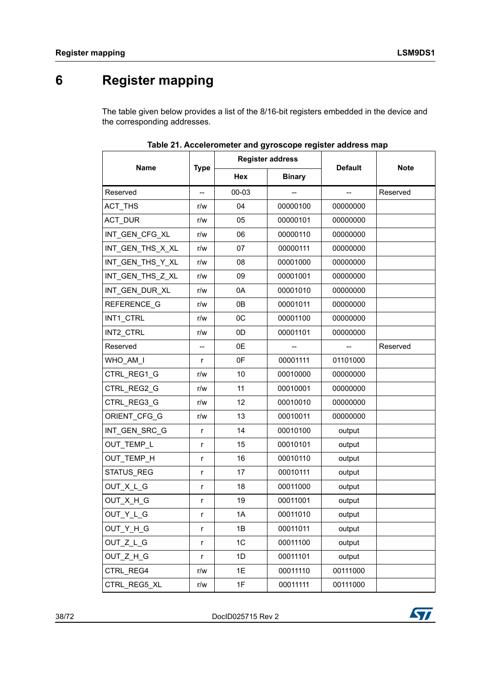# **6 Register mapping**

The table given below provides a list of the 8/16-bit registers embedded in the device and the corresponding addresses.

|                  |                          |                | <b>Register address</b> |                |             |
|------------------|--------------------------|----------------|-------------------------|----------------|-------------|
| <b>Name</b>      | <b>Type</b>              | Hex            | <b>Binary</b>           | <b>Default</b> | <b>Note</b> |
| Reserved         | $-$                      | 00-03          |                         | --             | Reserved    |
| ACT_THS          | r/w                      | 04             | 00000100                | 00000000       |             |
| <b>ACT DUR</b>   | r/w                      | 05             | 00000101                | 00000000       |             |
| INT_GEN_CFG_XL   | r/w                      | 06             | 00000110                | 00000000       |             |
| INT_GEN_THS_X_XL | r/w                      | 07             | 00000111                | 00000000       |             |
| INT_GEN_THS_Y_XL | r/w                      | 08             | 00001000                | 00000000       |             |
| INT_GEN_THS_Z_XL | r/w                      | 09             | 00001001                | 00000000       |             |
| INT_GEN_DUR_XL   | r/w                      | 0A             | 00001010                | 00000000       |             |
| REFERENCE G      | r/w                      | 0B             | 00001011                | 00000000       |             |
| INT1_CTRL        | r/w                      | OC             | 00001100                | 00000000       |             |
| INT2_CTRL        | r/w                      | 0 <sub>D</sub> | 00001101                | 00000000       |             |
| Reserved         | $\overline{\phantom{a}}$ | 0E             |                         | --             | Reserved    |
| WHO AM I         | r                        | 0F             | 00001111                | 01101000       |             |
| CTRL REG1 G      | r/w                      | 10             | 00010000                | 00000000       |             |
| CTRL_REG2 G      | r/w                      | 11             | 00010001                | 00000000       |             |
| CTRL_REG3_G      | r/w                      | 12             | 00010010                | 00000000       |             |
| ORIENT_CFG_G     | r/w                      | 13             | 00010011                | 00000000       |             |
| INT_GEN_SRC_G    | r                        | 14             | 00010100                | output         |             |
| OUT_TEMP_L       | r                        | 15             | 00010101                | output         |             |
| OUT_TEMP_H       | r                        | 16             | 00010110                | output         |             |
| STATUS_REG       | r                        | 17             | 00010111                | output         |             |
| OUT_X_L_G        | r                        | 18             | 00011000                | output         |             |
| OUT_X_H_G        | r                        | 19             | 00011001                | output         |             |
| OUT Y L G        | r                        | 1A             | 00011010                | output         |             |
| OUT_Y_H_G        | r                        | 1B             | 00011011                | output         |             |
| OUT Z L G        | r                        | 1C             | 00011100                | output         |             |
| OUT Z H G        | r                        | 1D             | 00011101                | output         |             |
| CTRL REG4        | r/w                      | 1E             | 00011110                | 00111000       |             |
| CTRL REG5 XL     | r/w                      | 1F             | 00011111                | 00111000       |             |

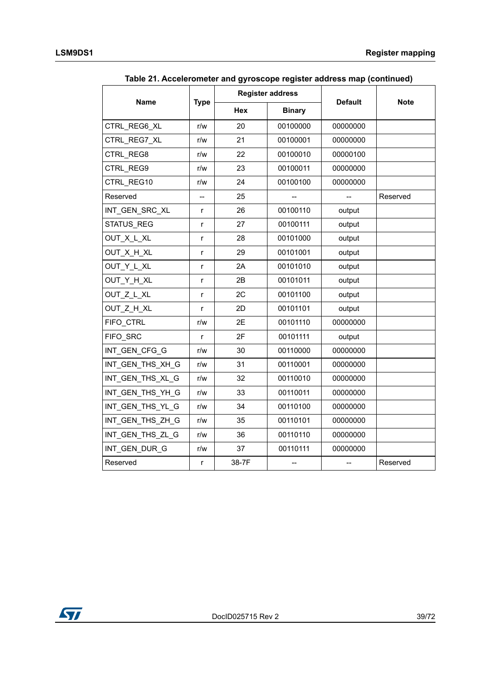|                   |              |            | <b>Register address</b> |                |             |
|-------------------|--------------|------------|-------------------------|----------------|-------------|
| <b>Name</b>       | <b>Type</b>  | <b>Hex</b> | <b>Binary</b>           | <b>Default</b> | <b>Note</b> |
| CTRL REG6 XL      | r/w          | 20         | 00100000                | 00000000       |             |
| CTRL REG7 XL      | r/w          | 21         | 00100001                | 00000000       |             |
| CTRL REG8         | r/w          | 22         | 00100010                | 00000100       |             |
| CTRL REG9         | r/w          | 23         | 00100011                | 00000000       |             |
| CTRL REG10        | r/w          | 24         | 00100100                | 00000000       |             |
| Reserved          | --           | 25         |                         |                | Reserved    |
| INT_GEN_SRC_XL    | r            | 26         | 00100110                | output         |             |
| <b>STATUS REG</b> | $\mathsf{r}$ | 27         | 00100111                | output         |             |
| OUT_X_L_XL        | r            | 28         | 00101000                | output         |             |
| OUT X H XL        | r            | 29         | 00101001                | output         |             |
| OUT Y L XL        | r            | 2A         | 00101010                | output         |             |
| OUT_Y_H_XL        | r            | 2B         | 00101011                | output         |             |
| OUT Z L XL        | r            | 2C         | 00101100                | output         |             |
| OUT Z H XL        | r            | 2D         | 00101101                | output         |             |
| FIFO CTRL         | r/w          | 2E         | 00101110                | 00000000       |             |
| FIFO SRC          | $\mathsf{r}$ | 2F         | 00101111                | output         |             |
| INT_GEN_CFG_G     | r/w          | 30         | 00110000                | 00000000       |             |
| INT_GEN_THS_XH_G  | r/w          | 31         | 00110001                | 00000000       |             |
| INT GEN THS XL G  | r/w          | 32         | 00110010                | 00000000       |             |
| INT GEN THS YH G  | r/w          | 33         | 00110011                | 00000000       |             |
| INT_GEN_THS_YL_G  | r/w          | 34         | 00110100                | 00000000       |             |
| INT_GEN_THS_ZH_G  | r/w          | 35         | 00110101                | 00000000       |             |
| INT GEN THS ZL G  | r/w          | 36         | 00110110                | 00000000       |             |
| INT GEN DUR G     | r/w          | 37         | 00110111                | 00000000       |             |
| Reserved          | r            | 38-7F      | --                      | --             | Reserved    |

**Table 21. Accelerometer and gyroscope register address map (continued)**

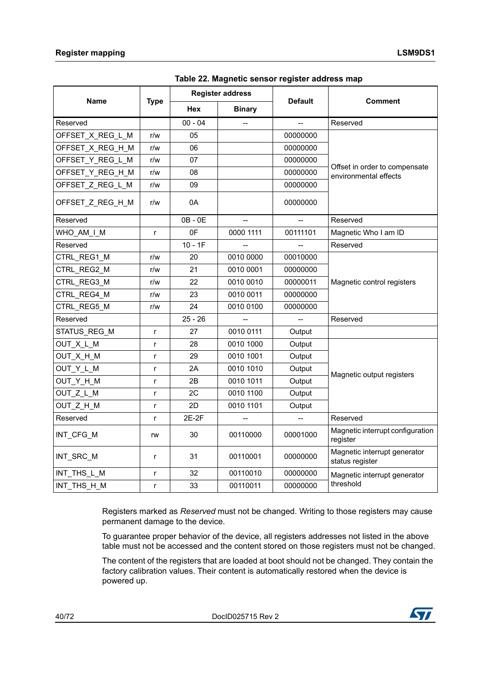|                  |              | <b>Register address</b> |               |                |                                                        |  |
|------------------|--------------|-------------------------|---------------|----------------|--------------------------------------------------------|--|
| <b>Name</b>      | <b>Type</b>  | <b>Hex</b>              | <b>Binary</b> | <b>Default</b> | Comment                                                |  |
| Reserved         |              | $00 - 04$               |               |                | Reserved                                               |  |
| OFFSET X REG L M | r/w          | 05                      |               | 00000000       |                                                        |  |
| OFFSET X REG H M | r/w          | 06                      |               | 00000000       |                                                        |  |
| OFFSET_Y_REG_L_M | r/w          | 07                      |               | 00000000       |                                                        |  |
| OFFSET Y REG H M | r/w          | 08                      |               | 00000000       | Offset in order to compensate<br>environmental effects |  |
| OFFSET_Z_REG_L_M | r/w          | 09                      |               | 00000000       |                                                        |  |
| OFFSET_Z_REG_H_M | r/w          | 0A                      |               | 00000000       |                                                        |  |
| Reserved         |              | $OB - OE$               |               |                | Reserved                                               |  |
| WHO_AM_I_M       | $\mathsf{r}$ | 0 <sup>F</sup>          | 0000 1111     | 00111101       | Magnetic Who I am ID                                   |  |
| Reserved         |              | $10 - 1F$               |               |                | Reserved                                               |  |
| CTRL REG1 M      | r/w          | 20                      | 0010 0000     | 00010000       |                                                        |  |
| CTRL REG2 M      | r/w          | 21                      | 0010 0001     | 00000000       |                                                        |  |
| CTRL REG3 M      | r/w          | 22                      | 0010 0010     | 00000011       | Magnetic control registers                             |  |
| CTRL REG4 M      | r/w          | 23                      | 0010 0011     | 00000000       |                                                        |  |
| CTRL_REG5_M      | r/w          | 24                      | 0010 0100     | 00000000       |                                                        |  |
| Reserved         |              | $25 - 26$               |               |                | Reserved                                               |  |
| STATUS_REG_M     | r            | 27                      | 0010 0111     | Output         |                                                        |  |
| OUT X L M        | r            | 28                      | 0010 1000     | Output         |                                                        |  |
| OUT_X_H_M        | $\mathsf{r}$ | 29                      | 0010 1001     | Output         |                                                        |  |
| OUT_Y_L_M        | r            | 2A                      | 0010 1010     | Output         | Magnetic output registers                              |  |
| OUT_Y_H_M        | r            | 2B                      | 0010 1011     | Output         |                                                        |  |
| OUT Z L M        | r            | 2C                      | 0010 1100     | Output         |                                                        |  |
| OUT Z H M        | r            | 2D                      | 0010 1101     | Output         |                                                        |  |
| Reserved         | r            | 2E-2F                   | --            |                | Reserved                                               |  |
| INT_CFG_M        | rw           | 30                      | 00110000      | 00001000       | Magnetic interrupt configuration<br>register           |  |
| INT SRC M        | r            | 31                      | 00110001      | 00000000       | Magnetic interrupt generator<br>status register        |  |
| INT_THS_L_M      | $\mathsf{r}$ | 32                      | 00110010      | 00000000       | Magnetic interrupt generator                           |  |
| INT_THS_H_M      | r            | 33                      | 00110011      | 00000000       | threshold                                              |  |

**Table 22. Magnetic sensor register address map**

Registers marked as *Reserved* must not be changed. Writing to those registers may cause permanent damage to the device.

To guarantee proper behavior of the device, all registers addresses not listed in the above table must not be accessed and the content stored on those registers must not be changed.

The content of the registers that are loaded at boot should not be changed. They contain the factory calibration values. Their content is automatically restored when the device is powered up.

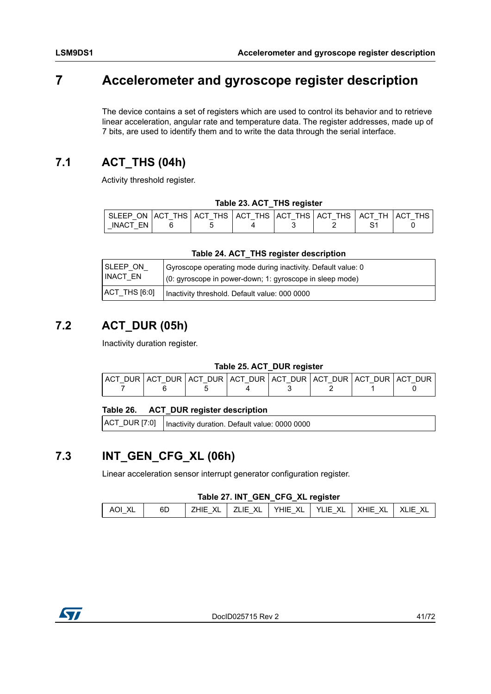# **7 Accelerometer and gyroscope register description**

The device contains a set of registers which are used to control its behavior and to retrieve linear acceleration, angular rate and temperature data. The register addresses, made up of 7 bits, are used to identify them and to write the data through the serial interface.

# **7.1 ACT\_THS (04h)**

Activity threshold register.

|  |  |  |  | Table 23. ACT_THS register |
|--|--|--|--|----------------------------|
|--|--|--|--|----------------------------|

| SLEEP ON ACT THS ACT THS ACT THS ACT THS ACT THS ACT TH |  |  |  | LACT THS |
|---------------------------------------------------------|--|--|--|----------|
| FN<br><b>INACT</b>                                      |  |  |  |          |

#### **Table 24. ACT\_THS register description**

| SLEEP ON      | Gyroscope operating mode during inactivity. Default value: 0 |
|---------------|--------------------------------------------------------------|
| INACT EN      | (0: gyroscope in power-down; 1: gyroscope in sleep mode)     |
| ACT_THS [6:0] | Inactivity threshold. Default value: 000 0000                |

## **7.2 ACT\_DUR (05h)**

Inactivity duration register.

### **Table 25. ACT\_DUR register**

|  |  | ACT DUR ACT DUR ACT DUR ACT DUR ACT DUR ACT DUR ACT DUR ACT DUR |  |
|--|--|-----------------------------------------------------------------|--|
|  |  |                                                                 |  |

### **Table 26. ACT\_DUR register description**

ACT\_DUR [7:0] | Inactivity duration. Default value: 0000 0000

### **7.3 INT\_GEN\_CFG\_XL (06h)**

Linear acceleration sensor interrupt generator configuration register.

### **Table 27. INT\_GEN\_CFG\_XL register**

| YHIE XL   YLIE XL   XHIE XL<br>71 IF XI 1<br>7HIF XI.<br>6D<br>Δ∩Ι | XLIE XL |
|--------------------------------------------------------------------|---------|

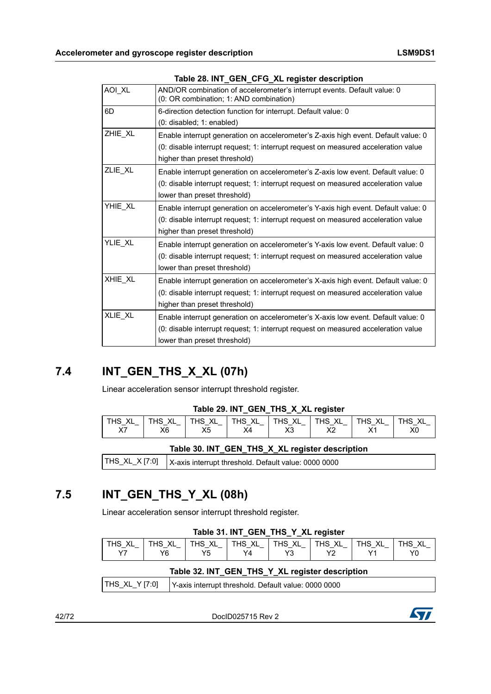|         | Table 20. INT_GEN_CFG_ALTEGISTER deSCription                                                                                                                                                              |
|---------|-----------------------------------------------------------------------------------------------------------------------------------------------------------------------------------------------------------|
| AOI_XL  | AND/OR combination of accelerometer's interrupt events. Default value: 0<br>(0: OR combination; 1: AND combination)                                                                                       |
| 6D      | 6-direction detection function for interrupt. Default value: 0<br>$(0:$ disabled; $1:$ enabled)                                                                                                           |
| ZHIE XL | Enable interrupt generation on accelerometer's Z-axis high event. Default value: 0<br>(0: disable interrupt request; 1: interrupt request on measured acceleration value<br>higher than preset threshold) |
| ZLIE_XL | Enable interrupt generation on accelerometer's Z-axis low event. Default value: 0<br>(0: disable interrupt request; 1: interrupt request on measured acceleration value<br>lower than preset threshold)   |
| YHIE_XL | Enable interrupt generation on accelerometer's Y-axis high event. Default value: 0<br>(0: disable interrupt request; 1: interrupt request on measured acceleration value<br>higher than preset threshold) |
| YLIE XL | Enable interrupt generation on accelerometer's Y-axis low event. Default value: 0<br>(0: disable interrupt request; 1: interrupt request on measured acceleration value<br>lower than preset threshold)   |
| XHIE_XL | Enable interrupt generation on accelerometer's X-axis high event. Default value: 0<br>(0: disable interrupt request; 1: interrupt request on measured acceleration value<br>higher than preset threshold) |
| XLIE_XL | Enable interrupt generation on accelerometer's X-axis low event. Default value: 0<br>(0: disable interrupt request; 1: interrupt request on measured acceleration value<br>lower than preset threshold)   |
|         |                                                                                                                                                                                                           |

### **Table 28. INT\_GEN\_CFG\_XL register description**

## **7.4 INT\_GEN\_THS\_X\_XL (07h)**

Linear acceleration sensor interrupt threshold register.

#### **Table 29. INT\_GEN\_THS\_X\_XL register**

| X <sub>0</sub><br>$\vee$<br>X <sub>5</sub><br>X2<br>X3<br>Х6<br>X4<br>⌒ | <sup>'</sup> THS XL | THS_XL<br>$-$ | THS XL<br>—— | THS XL<br>$\sim$<br>__ | $\lq$ THS_XL_ | THS XL<br>$\overline{\phantom{0}}$<br>$\overline{\phantom{a}}$ | THS XL<br>$\overline{\phantom{0}}$ | THS XL |
|-------------------------------------------------------------------------|---------------------|---------------|--------------|------------------------|---------------|----------------------------------------------------------------|------------------------------------|--------|
|                                                                         |                     |               |              |                        |               |                                                                |                                    |        |

|  |  |  | Table 30. INT_GEN_THS_X_XL register description |  |
|--|--|--|-------------------------------------------------|--|
|--|--|--|-------------------------------------------------|--|

|  | THS_XL_X [7:0]   X-axis interrupt threshold. Default value: 0000 0000 |
|--|-----------------------------------------------------------------------|
|--|-----------------------------------------------------------------------|

## **7.5 INT\_GEN\_THS\_Y\_XL (08h)**

Linear acceleration sensor interrupt threshold register.

| Table 31. INT_GEN_THS_Y_XL register |  |  |  |
|-------------------------------------|--|--|--|
|                                     |  |  |  |

| ٧I<br>THS<br>↖∟<br>__ | XL<br>THS.<br>$\overline{\phantom{0}}$ | XL<br><b>THS</b><br>$\overline{\phantom{0}}$<br>$\overline{\phantom{0}}$ | XL<br>$THS$ ,<br>__<br>$\overline{\phantom{0}}$ | XL<br><b>THS</b><br>$\overline{\phantom{0}}$ | XL<br><b>THS</b><br>$\overline{\phantom{a}}$<br>$\overline{\phantom{0}}$ | XL<br>$THS$ ,<br>__<br>$\overline{\phantom{0}}$ | XL<br>ΉS  |
|-----------------------|----------------------------------------|--------------------------------------------------------------------------|-------------------------------------------------|----------------------------------------------|--------------------------------------------------------------------------|-------------------------------------------------|-----------|
| $\sqrt{7}$            | va                                     | V斥<br>◡                                                                  | Y4                                              | vo                                           | $\mathsf{v}$                                                             |                                                 | vr<br>. v |

#### **Table 32. INT\_GEN\_THS\_Y\_XL register description**

| THS XL Y $[7:0]$<br>I Y-axis interrupt threshold. Default value: 0000 0000 |
|----------------------------------------------------------------------------|
|----------------------------------------------------------------------------|

42/72 DocID025715 Rev 2

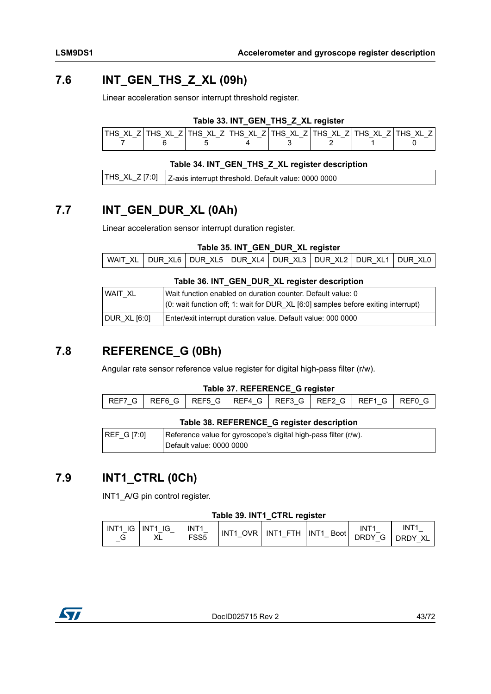## **7.6 INT\_GEN\_THS\_Z\_XL (09h)**

Linear acceleration sensor interrupt threshold register.

### **Table 33. INT\_GEN\_THS\_Z\_XL register**

| $\overline{\phantom{0}}$<br>$\overline{\phantom{0}}$ | XL<br>$\overline{\phantom{0}}$ | $\overline{\phantom{0}}$ | THS XL ZITHS XL ZI | XL ZI<br>THS.<br>$\overline{\phantom{0}}$ | THS XL Z | XL<br>THS.<br>$-$ | . HS<br>XL |
|------------------------------------------------------|--------------------------------|--------------------------|--------------------|-------------------------------------------|----------|-------------------|------------|
|                                                      |                                |                          |                    |                                           |          |                   |            |

### **Table 34. INT\_GEN\_THS\_Z\_XL register description**

|--|

### **7.7 INT\_GEN\_DUR\_XL (0Ah)**

Linear acceleration sensor interrupt duration register.

**Table 35. INT\_GEN\_DUR\_XL register**

|  |  | WAIT XL   DUR XL6   DUR XL5   DUR XL4   DUR XL3   DUR XL2   DUR XL1   DUR XL0 |  |  |  |  |  |  |
|--|--|-------------------------------------------------------------------------------|--|--|--|--|--|--|
|--|--|-------------------------------------------------------------------------------|--|--|--|--|--|--|

#### **Table 36. INT\_GEN\_DUR\_XL register description**

| WAIT XL      | Wait function enabled on duration counter. Default value: 0                       |
|--------------|-----------------------------------------------------------------------------------|
|              | (0: wait function off; 1: wait for DUR_XL [6:0] samples before exiting interrupt) |
| DUR XL [6:0] | Enter/exit interrupt duration value. Default value: 000 0000                      |

### **7.8 REFERENCE\_G (0Bh)**

Angular rate sensor reference value register for digital high-pass filter (r/w).

### **Table 37. REFERENCE\_G register**

#### **Table 38. REFERENCE\_G register description**

| REF G [7:0] | Reference value for gyroscope's digital high-pass filter (r/w). |
|-------------|-----------------------------------------------------------------|
|             | Default value: 0000 0000                                        |

### **7.9 INT1\_CTRL (0Ch)**

INT1\_A/G pin control register.

#### **Table 39. INT1\_CTRL register**

| INT <sub>1</sub><br>INT <sub>1</sub><br>IG<br>IG<br>INT <sub>1</sub><br>$\overline{\phantom{0}}$<br>$\overline{\phantom{a}}$<br>FSS <sub>5</sub><br>$\mathbf{v}$<br>u<br>ᄮ | <b>OVR</b><br>INT <sub>1</sub> | <b>FTH</b><br>INT <sub>1</sub> | INT <sub>1</sub><br>Boot<br>$\overline{\phantom{0}}$ | INT <sup>-</sup><br><b>DRDY</b><br>$\sim$<br>ت | INT $^{\cdot}$<br><b>DRDY</b><br>XL |
|----------------------------------------------------------------------------------------------------------------------------------------------------------------------------|--------------------------------|--------------------------------|------------------------------------------------------|------------------------------------------------|-------------------------------------|
|----------------------------------------------------------------------------------------------------------------------------------------------------------------------------|--------------------------------|--------------------------------|------------------------------------------------------|------------------------------------------------|-------------------------------------|

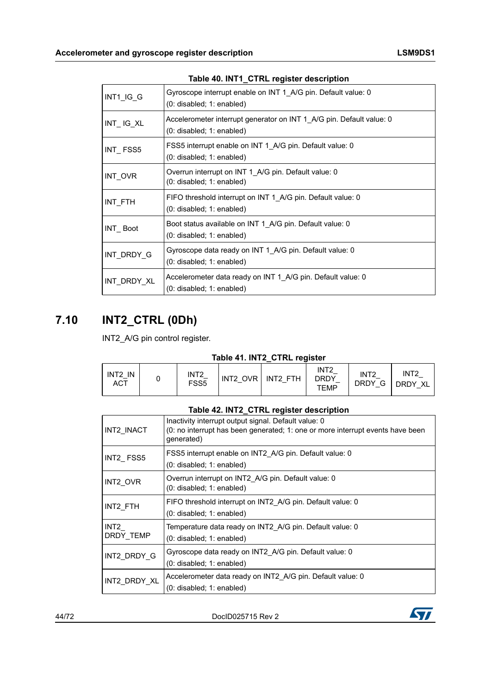|             | $1806 + 0.1111$ CIRL IGGISTER RESCRIPTION                                                         |
|-------------|---------------------------------------------------------------------------------------------------|
| INT1_IG_G   | Gyroscope interrupt enable on INT 1 A/G pin. Default value: 0<br>$(0:$ disabled; $1:$ enabled)    |
| $INT$ IG_XL | Accelerometer interrupt generator on INT 1_A/G pin. Default value: 0<br>(0: disabled; 1: enabled) |
| INT FSS5    | FSS5 interrupt enable on INT 1_A/G pin. Default value: 0<br>$(0:$ disabled; $1:$ enabled)         |
| INT_OVR     | Overrun interrupt on INT 1 A/G pin. Default value: 0<br>(0: disabled; 1: enabled)                 |
| INT FTH     | FIFO threshold interrupt on INT 1 A/G pin. Default value: 0<br>$(0:$ disabled; $1:$ enabled)      |
| INT Boot    | Boot status available on INT 1 A/G pin. Default value: 0<br>(0: disabled; 1: enabled)             |
| INT_DRDY_G  | Gyroscope data ready on INT 1 A/G pin. Default value: 0<br>$(0:$ disabled; $1:$ enabled)          |
| INT_DRDY_XL | Accelerometer data ready on INT 1_A/G pin. Default value: 0<br>$(0:$ disabled; $1:$ enabled)      |

### **Table 40. INT1\_CTRL register description**

## **7.10 INT2\_CTRL (0Dh)**

INT2\_A/G pin control register.

### **Table 41. INT2\_CTRL register**

| INT <sub>2</sub><br>IN<br><b>ACT</b> |  | INT2<br>FSS <sub>5</sub> | INT2 OVR I | INT2 FTH | INT <sub>2</sub><br>DRDY<br><b>TEMP</b> | INT <sub>2</sub><br><b>DRDY</b><br>G | INT <sub>2</sub><br>DRDY XL |
|--------------------------------------|--|--------------------------|------------|----------|-----------------------------------------|--------------------------------------|-----------------------------|
|--------------------------------------|--|--------------------------|------------|----------|-----------------------------------------|--------------------------------------|-----------------------------|

#### **Table 42. INT2\_CTRL register description**

| INT2 INACT        | Inactivity interrupt output signal. Default value: 0<br>(0: no interrupt has been generated; 1: one or more interrupt events have been<br>generated) |
|-------------------|------------------------------------------------------------------------------------------------------------------------------------------------------|
| INT2_FSS5         | FSS5 interrupt enable on INT2 A/G pin. Default value: 0<br>$(0:$ disabled; 1: enabled)                                                               |
| INT2 OVR          | Overrun interrupt on INT2 A/G pin. Default value: 0<br>$(0:$ disabled; $1:$ enabled)                                                                 |
| INT2 FTH          | FIFO threshold interrupt on INT2 A/G pin. Default value: 0<br>$(0:$ disabled; 1: enabled)                                                            |
| INT2<br>DRDY TEMP | Temperature data ready on INT2 A/G pin. Default value: 0<br>$(0:$ disabled; 1: enabled)                                                              |
| INT2 DRDY G       | Gyroscope data ready on INT2 A/G pin. Default value: 0<br>$(0:$ disabled; 1: enabled)                                                                |
| INT2 DRDY XL      | Accelerometer data ready on INT2 A/G pin. Default value: 0<br>$(0:$ disabled; 1: enabled)                                                            |

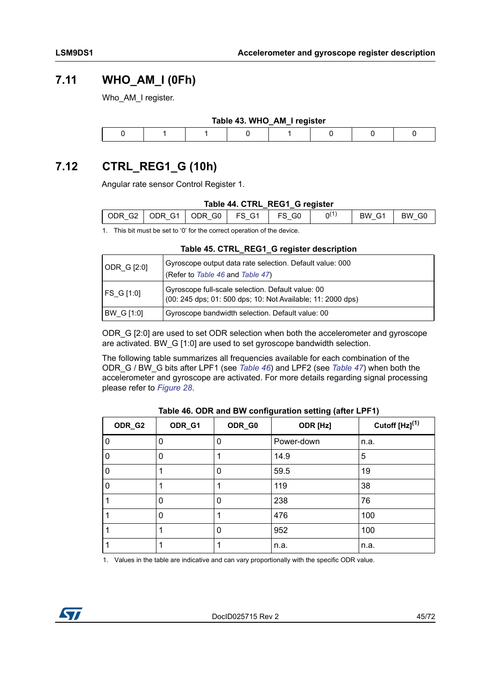### **7.11 WHO\_AM\_I (0Fh)**

Who AM I register.

| Table 43. WHO_AM_I register |  |  |  |  |  |  |  |  |  |  |
|-----------------------------|--|--|--|--|--|--|--|--|--|--|
|                             |  |  |  |  |  |  |  |  |  |  |

## **7.12 CTRL\_REG1\_G (10h)**

Angular rate sensor Control Register 1.

#### **Table 44. CTRL\_REG1\_G register**

|   | ODR G2   ODR G1   ODR G0   FS G1 |  | FS GO | n(1) | BW G1 | BW G0 |
|---|----------------------------------|--|-------|------|-------|-------|
| . | _____                            |  |       |      |       |       |

1. This bit must be set to '0' for the correct operation of the device.

#### **Table 45. CTRL\_REG1\_G register description**

| ODR G [2:0] | Gyroscope output data rate selection. Default value: 000<br>(Refer to Table 46 and Table 47)                     |
|-------------|------------------------------------------------------------------------------------------------------------------|
| FS G [1:0]  | Gyroscope full-scale selection. Default value: 00<br>(00: 245 dps; 01: 500 dps; 10: Not Available; 11: 2000 dps) |
| BW G [1:0]  | Gyroscope bandwidth selection. Default value: 00                                                                 |

ODR\_G [2:0] are used to set ODR selection when both the accelerometer and gyroscope are activated. BW\_G [1:0] are used to set gyroscope bandwidth selection.

The following table summarizes all frequencies available for each combination of the ODR\_G / BW\_G bits after LPF1 (see *[Table 46](#page-44-0)*) and LPF2 (see *[Table 47](#page-45-0)*) when both the accelerometer and gyroscope are activated. For more details regarding signal processing please refer to *[Figure 28](#page-46-0)*.

<span id="page-44-0"></span>

| ODR_G2<br>ODR_G1 |   | ODR_G0 | ODR [Hz]   | Cutoff $[Hz]^{(1)}$ |  |  |
|------------------|---|--------|------------|---------------------|--|--|
| $\Omega$         |   | 0      | Power-down | n.a.                |  |  |
| 0                | 0 |        | 14.9       | 5                   |  |  |
| 0                |   | 0      | 59.5       | 19                  |  |  |
| 0                |   |        | 119        | 38                  |  |  |
|                  | 0 | 0      | 238        | 76                  |  |  |
|                  | 0 |        | 476        | 100                 |  |  |
|                  |   | 0      | 952        | 100                 |  |  |
|                  |   |        | n.a.       | n.a.                |  |  |

#### **Table 46. ODR and BW configuration setting (after LPF1)**

1. Values in the table are indicative and can vary proportionally with the specific ODR value.

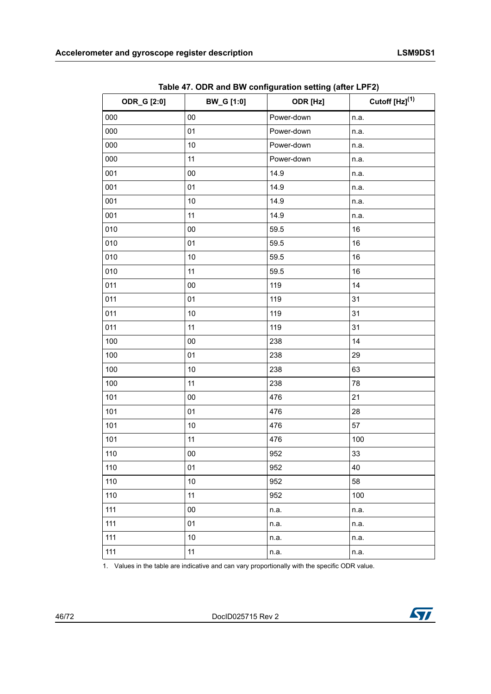<span id="page-45-0"></span>

|                    |                   | ◡<br>$\sim$ $\cdot$ |                     |  |  |
|--------------------|-------------------|---------------------|---------------------|--|--|
| <b>ODR_G [2:0]</b> | <b>BW_G</b> [1:0] | ODR [Hz]            | Cutoff $[Hz]^{(1)}$ |  |  |
| 000                | 00                | Power-down          | n.a.                |  |  |
| 000                | 01                | Power-down          | n.a.                |  |  |
| 000                | 10                | Power-down          | n.a.                |  |  |
| 000                | 11                | Power-down          | n.a.                |  |  |
| 001                | $00\,$            | 14.9                | n.a.                |  |  |
| 001                | 01                | 14.9                | n.a.                |  |  |
| 001                | 10                | 14.9                | n.a.                |  |  |
| 001                | 11                | 14.9                | n.a.                |  |  |
| 010                | 00                | 59.5                | 16                  |  |  |
| 010                | 01                | 59.5                | 16                  |  |  |
| 010                | 10                | 59.5                | 16                  |  |  |
| 010                | 11                | 59.5                | 16                  |  |  |
| 011                | $00\,$            | 119                 | 14                  |  |  |
| 011                | 01                | 119                 | 31                  |  |  |
| 011                | 10                | 119                 | 31                  |  |  |
| 011                | 11                | 119                 | 31                  |  |  |
| 100                | $00\,$            | 238                 | 14                  |  |  |
| 100                | 01                | 238                 | 29                  |  |  |
| 100                | 10                | 238                 | 63                  |  |  |
| 100                | 11                | 238                 | 78                  |  |  |
| 101                | 00                | 476                 | 21                  |  |  |
| 101                | 01                | 476                 | 28                  |  |  |
| 101                | 10                | 476                 | 57                  |  |  |
| 101                | 11                | 476                 | 100                 |  |  |
| 110                | $00\,$            | 952                 | 33                  |  |  |
| 110                | 01                | 952                 | 40                  |  |  |
| 110                | 10                | 952                 | 58                  |  |  |
| 110                | 11                | 952                 | 100                 |  |  |
| 111                | $00\,$            | n.a.                | n.a.                |  |  |
| 111                | 01                | n.a.                | n.a.                |  |  |
| 111                | 10                | n.a.                | n.a.                |  |  |
| 111                | 11                | n.a.                | n.a.                |  |  |

**Table 47. ODR and BW configuration setting (after LPF2)**

1. Values in the table are indicative and can vary proportionally with the specific ODR value.

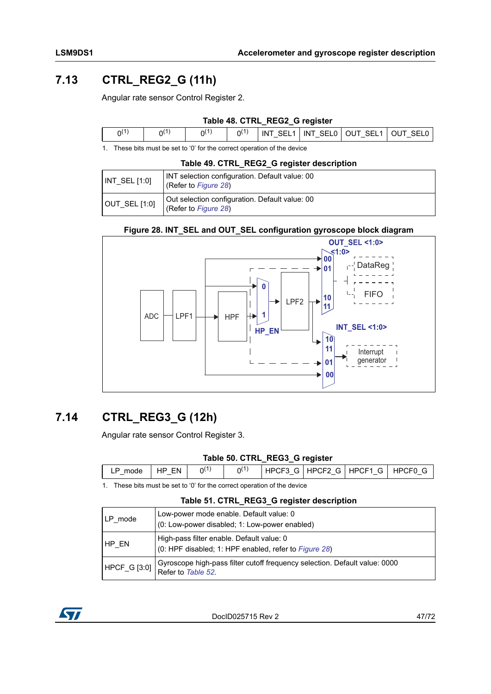## **7.13 CTRL\_REG2\_G (11h)**

Angular rate sensor Control Register 2.

### **Table 48. CTRL\_REG2\_G register**

| $\Omega(1)$ |  |  | INT SEL1 INT SEL0   OUT SEL1   OUT SEL0 |
|-------------|--|--|-----------------------------------------|
|             |  |  |                                         |

1. These bits must be set to '0' for the correct operation of the device

|  |  |  |  |  | Table 49. CTRL_REG2_G register description |  |
|--|--|--|--|--|--------------------------------------------|--|
|  |  |  |  |  |                                            |  |

| $N$ T SEL [1:0]  | INT selection configuration. Default value: 00<br>(Refer to Figure 28) |
|------------------|------------------------------------------------------------------------|
| $OUT\_SEL$ [1:0] | Out selection configuration. Default value: 00<br>(Refer to Figure 28) |

#### **Figure 28. INT\_SEL and OUT\_SEL configuration gyroscope block diagram**

<span id="page-46-0"></span>

### **7.14 CTRL\_REG3\_G (12h)**

Angular rate sensor Control Register 3.

#### **Table 50. CTRL\_REG3\_G register**

| mode | <b>FN</b><br>HP | n١ |  | HPCF3 G HPCF2 G HPCF1 G HPCF0 G |  |
|------|-----------------|----|--|---------------------------------|--|

1. These bits must be set to '0' for the correct operation of the device

#### **Table 51. CTRL\_REG3\_G register description**

| LP mode | Low-power mode enable. Default value: 0<br>(0: Low-power disabled; 1: Low-power enabled)                                       |
|---------|--------------------------------------------------------------------------------------------------------------------------------|
| HP EN   | High-pass filter enable. Default value: 0<br>(0: HPF disabled; 1: HPF enabled, refer to Figure 28)                             |
|         | Gyroscope high-pass filter cutoff frequency selection. Default value: 0000<br>$HPCF_G [3.0]  $ $\frac{Cy}{Cy}$ is to Table 52. |

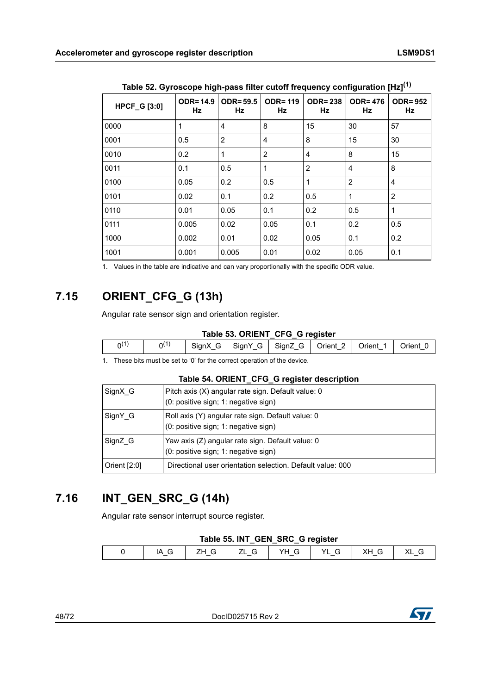<span id="page-47-0"></span>

|                     |                       |                       |                      | ------               |                      |                      |
|---------------------|-----------------------|-----------------------|----------------------|----------------------|----------------------|----------------------|
| <b>HPCF_G [3:0]</b> | <b>ODR=14.9</b><br>Hz | <b>ODR=59.5</b><br>Hz | <b>ODR=119</b><br>Hz | <b>ODR=238</b><br>Hz | <b>ODR=476</b><br>Hz | <b>ODR=952</b><br>Hz |
| 0000                |                       | 4                     | 8                    | 15                   | 30                   | 57                   |
| 0001                | 0.5                   | 2                     | $\overline{4}$       | 8                    | 15                   | 30                   |
| 0010                | 0.2                   | 1                     | $\overline{2}$       | 4                    | 8                    | 15                   |
| 0011                | 0.1                   | 0.5                   | -1                   | $\overline{2}$       | 4                    | 8                    |
| 0100                | 0.05                  | 0.2                   | 0.5                  | 1                    | 2                    | $\overline{4}$       |
| 0101                | 0.02                  | 0.1                   | 0.2                  | 0.5                  | 1                    | $\overline{2}$       |
| 0110                | 0.01                  | 0.05                  | 0.1                  | 0.2                  | 0.5                  | $\overline{1}$       |
| 0111                | 0.005                 | 0.02                  | 0.05                 | 0.1                  | 0.2                  | 0.5                  |
| 1000                | 0.002                 | 0.01                  | 0.02                 | 0.05                 | 0.1                  | 0.2                  |
| 1001                | 0.001                 | 0.005                 | 0.01                 | 0.02                 | 0.05                 | 0.1                  |

**Table 52. Gyroscope high-pass filter cutoff frequency configuration [Hz](1)**

1. Values in the table are indicative and can vary proportionally with the specific ODR value.

## **7.15 ORIENT\_CFG\_G (13h)**

Angular rate sensor sign and orientation register.

#### **Table 53. ORIENT\_CFG\_G register**

| 0١ | $\overline{A}$<br>∩∖ | ∴ Sian≚<br>l۶ | SianY<br>$\mathbf{G}$ | Sianz<br>G<br>ີ<br>- | -<br>Orient | Drient: | )rıent |
|----|----------------------|---------------|-----------------------|----------------------|-------------|---------|--------|
|    |                      |               |                       |                      |             |         |        |

1. These bits must be set to '0' for the correct operation of the device.

#### **Table 54. ORIENT\_CFG\_G register description**

| SignX G        | Pitch axis (X) angular rate sign. Default value: 0<br>(0: positive sign; 1: negative sign) |
|----------------|--------------------------------------------------------------------------------------------|
| SignY G        | Roll axis (Y) angular rate sign. Default value: 0<br>(0: positive sign; 1: negative sign)  |
| SignZ G        | Yaw axis (Z) angular rate sign. Default value: 0<br>(0: positive sign; 1: negative sign)   |
| Orient $[2:0]$ | Directional user orientation selection. Default value: 000                                 |

### **7.16 INT\_GEN\_SRC\_G (14h)**

Angular rate sensor interrupt source register.

### **Table 55. INT\_GEN\_SRC\_G register**

| $\Lambda$<br>$\mathbb{C}$ |  |                          |     |  |  |  |
|---------------------------|--|--------------------------|-----|--|--|--|
|                           |  | $\overline{\phantom{0}}$ | $-$ |  |  |  |

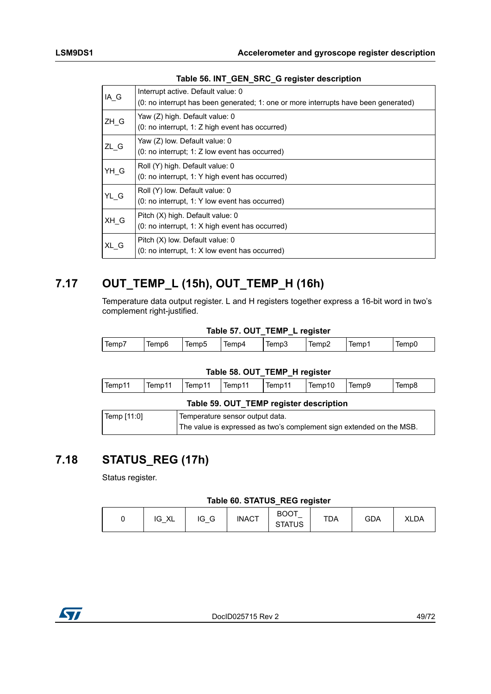| IA G   | Interrupt active. Default value: 0<br>(0: no interrupt has been generated; 1: one or more interrupts have been generated) |
|--------|---------------------------------------------------------------------------------------------------------------------------|
| $ZH_G$ | Yaw (Z) high. Default value: 0<br>(0: no interrupt, 1: Z high event has occurred)                                         |
| ZL G   | Yaw (Z) low. Default value: 0<br>(0: no interrupt; 1: Z low event has occurred)                                           |
| $YH_G$ | Roll (Y) high. Default value: 0<br>(0: no interrupt, 1: Y high event has occurred)                                        |
| YL_G   | Roll (Y) low. Default value: 0<br>(0: no interrupt, 1: Y low event has occurred)                                          |
| XH G   | Pitch (X) high. Default value: 0<br>$(0: no$ interrupt, 1: X high event has occurred)                                     |
| XL G   | Pitch (X) low. Default value: 0<br>$(0:$ no interrupt, 1: X low event has occurred)                                       |

## **7.17 OUT\_TEMP\_L (15h), OUT\_TEMP\_H (16h)**

Temperature data output register. L and H registers together express a 16-bit word in two's complement right-justified.

#### **Table 57. OUT\_TEMP\_L register**

| lempi | Temp6 | Temp5 | lemp4 | emp⊊<br>. | ' Iemp∠ | Temp: | lemp( |
|-------|-------|-------|-------|-----------|---------|-------|-------|
|       |       |       |       |           |         |       |       |

#### **Table 58. OUT\_TEMP\_H register**

|                                        |                  | . .    |       |       |
|----------------------------------------|------------------|--------|-------|-------|
| Temp11<br>i lemp <sup>1</sup><br>lemp1 | Temp11<br>lemp11 | Temp10 | lemp9 | lempa |

|             | Table 59. OUT TEMP register description                              |
|-------------|----------------------------------------------------------------------|
| Temp [11:0] | Temperature sensor output data.                                      |
|             | The value is expressed as two's complement sign extended on the MSB. |

### **7.18 STATUS\_REG (17h)**

Status register.

#### **Table 60. STATUS\_REG register**

| $\vee$<br>$\sim$<br>IG<br>v<br>_טו<br>ᄾᄂ | <b>INACT</b> | <b>BOOT</b><br>$\overline{\phantom{0}}$<br><b>STATUS</b> | TDA | <b>GDA</b> | <b>XLDA</b> |
|------------------------------------------|--------------|----------------------------------------------------------|-----|------------|-------------|
|------------------------------------------|--------------|----------------------------------------------------------|-----|------------|-------------|

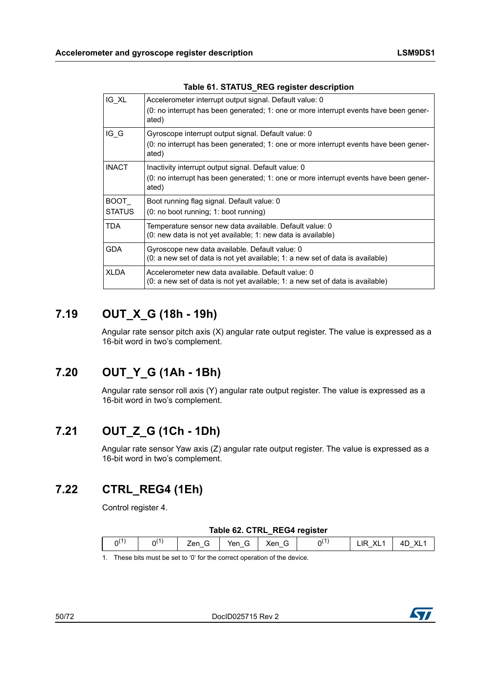| IG XL                        | Accelerometer interrupt output signal. Default value: 0<br>(0: no interrupt has been generated; 1: one or more interrupt events have been gener-<br>ated) |
|------------------------------|-----------------------------------------------------------------------------------------------------------------------------------------------------------|
| IG G                         | Gyroscope interrupt output signal. Default value: 0<br>(0: no interrupt has been generated; 1: one or more interrupt events have been gener-<br>ated)     |
| <b>INACT</b>                 | Inactivity interrupt output signal. Default value: 0<br>(0: no interrupt has been generated; 1: one or more interrupt events have been gener-<br>ated)    |
| <b>BOOT</b><br><b>STATUS</b> | Boot running flag signal. Default value: 0<br>(0: no boot running; 1: boot running)                                                                       |
| TDA                          | Temperature sensor new data available. Default value: 0<br>(0: new data is not yet available; 1: new data is available)                                   |
| <b>GDA</b>                   | Gyroscope new data available. Default value: 0<br>(0: a new set of data is not yet available; 1: a new set of data is available)                          |
| <b>XLDA</b>                  | Accelerometer new data available. Default value: 0<br>$(0)$ : a new set of data is not yet available; 1: a new set of data is available)                  |

### **Table 61. STATUS\_REG register description**

## **7.19 OUT\_X\_G (18h - 19h)**

Angular rate sensor pitch axis (X) angular rate output register. The value is expressed as a 16-bit word in two's complement.

## **7.20 OUT\_Y\_G (1Ah - 1Bh)**

Angular rate sensor roll axis (Y) angular rate output register. The value is expressed as a 16-bit word in two's complement.

### **7.21 OUT\_Z\_G (1Ch - 1Dh)**

Angular rate sensor Yaw axis (Z) angular rate output register. The value is expressed as a 16-bit word in two's complement.

### **7.22 CTRL\_REG4 (1Eh)**

Control register 4.

#### **Table 62. CTRL\_REG4 register**

| ω<br>n(<br>٦١<br>`on<br>$\sim$<br>$\sim$<br>v<br>╰<br>∼<br>$\overline{\phantom{0}}$<br>$\overline{\phantom{0}}$<br>$\overline{\phantom{0}}$ |  |  | --- |  |
|---------------------------------------------------------------------------------------------------------------------------------------------|--|--|-----|--|
|                                                                                                                                             |  |  |     |  |

1. These bits must be set to '0' for the correct operation of the device.

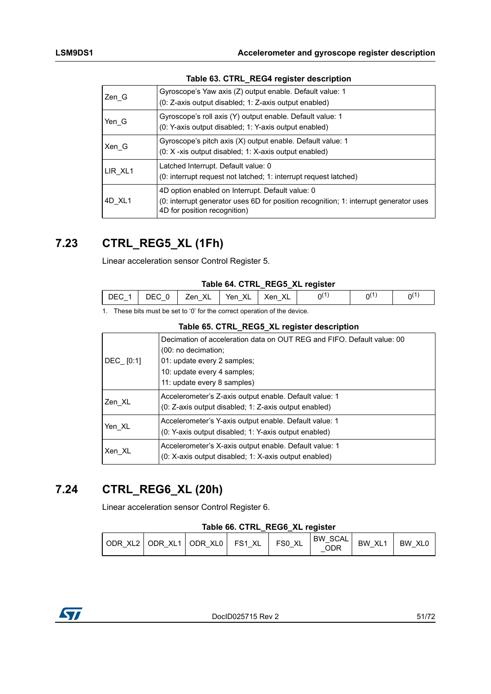| Zen G   | Gyroscope's Yaw axis (Z) output enable. Default value: 1<br>(0: Z-axis output disabled; 1: Z-axis output enabled)                                                         |
|---------|---------------------------------------------------------------------------------------------------------------------------------------------------------------------------|
| Yen G   | Gyroscope's roll axis (Y) output enable. Default value: 1<br>(0: Y-axis output disabled; 1: Y-axis output enabled)                                                        |
| Xen G   | Gyroscope's pitch axis (X) output enable. Default value: 1<br>$(0: X - x$ is output disabled; 1: X-axis output enabled)                                                   |
| LIR XL1 | Latched Interrupt. Default value: 0<br>(0: interrupt request not latched; 1: interrupt request latched)                                                                   |
| 4D XL1  | 4D option enabled on Interrupt. Default value: 0<br>(0: interrupt generator uses 6D for position recognition; 1: interrupt generator uses<br>4D for position recognition) |

### **Table 63. CTRL\_REG4 register description**

## **7.23 CTRL\_REG5\_XL (1Fh)**

Linear acceleration sensor Control Register 5.

#### **Table 64. CTRL\_REG5\_XL register**

| DEC 1 | DEC 0 | Zen XL   Yen XL | XL<br>∣ Xen ∶ | ่า( เ | nι | n( |
|-------|-------|-----------------|---------------|-------|----|----|
|       |       |                 |               |       |    |    |

1. These bits must be set to '0' for the correct operation of the device.

| DEC [0:1] | Decimation of acceleration data on OUT REG and FIFO. Default value: 00<br>(00: no decimation;<br>01: update every 2 samples;<br>10: update every 4 samples;<br>11: update every 8 samples) |
|-----------|--------------------------------------------------------------------------------------------------------------------------------------------------------------------------------------------|
| Zen XL    | Accelerometer's Z-axis output enable. Default value: 1<br>(0: Z-axis output disabled: 1: Z-axis output enabled)                                                                            |
| Yen XL    | Accelerometer's Y-axis output enable. Default value: 1<br>(0: Y-axis output disabled; 1: Y-axis output enabled)                                                                            |
| Xen XL    | Accelerometer's X-axis output enable. Default value: 1<br>(0: X-axis output disabled; 1: X-axis output enabled)                                                                            |

### **7.24 CTRL\_REG6\_XL (20h)**

Linear acceleration sensor Control Register 6.

#### **Table 66. CTRL\_REG6\_XL register**

| l ODR<br>$-$ | XL2   ODR XL1 | XLO<br>LODR.<br>$-$ | XL<br>FS <sub>1</sub> | XL<br>FS <sub>0</sub> | SCAL<br><b>BW</b><br>ODR | XL <sub>1</sub><br>BW. | <b>BW</b><br>XL <sub>C</sub> |
|--------------|---------------|---------------------|-----------------------|-----------------------|--------------------------|------------------------|------------------------------|
|--------------|---------------|---------------------|-----------------------|-----------------------|--------------------------|------------------------|------------------------------|

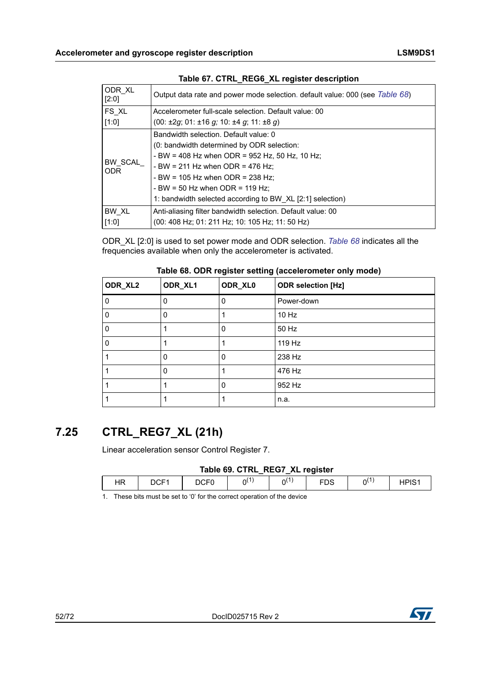| ODR XL<br>[2:0] | Output data rate and power mode selection. default value: 000 (see Table 68) |  |  |  |  |  |
|-----------------|------------------------------------------------------------------------------|--|--|--|--|--|
| FS XL           | Accelerometer full-scale selection. Default value: 00                        |  |  |  |  |  |
| [1:0]           | $(00: \pm 2g; 01: \pm 16g; 10: \pm 4g; 11: \pm 8g)$                          |  |  |  |  |  |
|                 | Bandwidth selection. Default value: 0                                        |  |  |  |  |  |
| BW SCAL<br>ODR. | (0: bandwidth determined by ODR selection:                                   |  |  |  |  |  |
|                 | - BW = 408 Hz when ODR = 952 Hz, 50 Hz, 10 Hz;                               |  |  |  |  |  |
|                 | - BW = 211 Hz when ODR = 476 Hz;                                             |  |  |  |  |  |
|                 | - BW = 105 Hz when ODR = 238 Hz:                                             |  |  |  |  |  |
|                 | - BW = 50 Hz when ODR = 119 Hz:                                              |  |  |  |  |  |
|                 | 1: bandwidth selected according to BW XL [2:1] selection)                    |  |  |  |  |  |
| BW XL           | Anti-aliasing filter bandwidth selection. Default value: 00                  |  |  |  |  |  |
| [1:0]           | (00: 408 Hz; 01: 211 Hz; 10: 105 Hz; 11: 50 Hz)                              |  |  |  |  |  |

### **Table 67. CTRL\_REG6\_XL register description**

ODR\_XL [2:0] is used to set power mode and ODR selection. *[Table 68](#page-51-0)* indicates all the frequencies available when only the accelerometer is activated.

<span id="page-51-0"></span>

| ODR_XL2 | ODR_XL1 | ODR_XL0 | <b>ODR selection [Hz]</b> |
|---------|---------|---------|---------------------------|
| 0       | 0       | 0       | Power-down                |
| 0       | 0       |         | 10 Hz                     |
| 0       |         | 0       | 50 Hz                     |
| 0       |         |         | 119 Hz                    |
|         | 0       | 0       | 238 Hz                    |
|         | 0       |         | 476 Hz                    |
|         |         | 0       | 952 Hz                    |
|         |         |         | n.a.                      |

### **7.25 CTRL\_REG7\_XL (21h)**

Linear acceleration sensor Control Register 7.

### **Table 69. CTRL\_REG7\_XL register**

|                        |            |           |                       | _              |        |         |  |
|------------------------|------------|-----------|-----------------------|----------------|--------|---------|--|
| $\blacksquare$<br>רו ו | $\sim$ $-$ | $- - - -$ | $\cdot$ $\cdot$<br>∩ı | .<br>, A<br>٦١ | $\sim$ | .<br>ำเ |  |
|                        |            |           |                       |                |        |         |  |

1. These bits must be set to '0' for the correct operation of the device



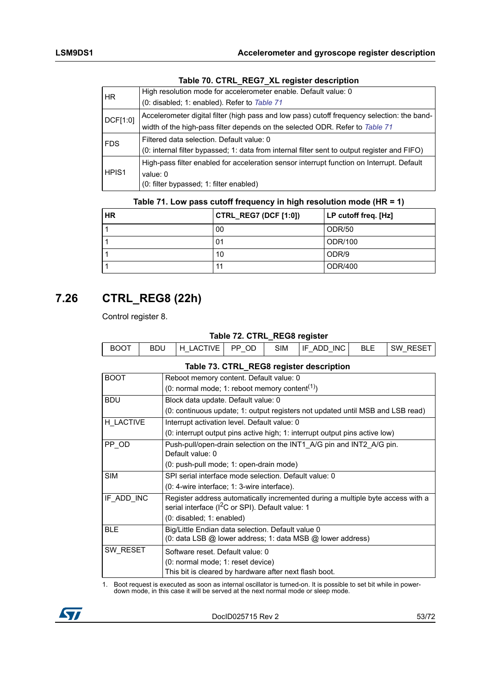| HR.               | High resolution mode for accelerometer enable. Default value: 0                              |
|-------------------|----------------------------------------------------------------------------------------------|
|                   | (0: disabled; 1: enabled). Refer to Table 71                                                 |
| DCF[1:0]          | Accelerometer digital filter (high pass and low pass) cutoff frequency selection: the band-  |
|                   | width of the high-pass filter depends on the selected ODR. Refer to Table 71                 |
| <b>FDS</b>        | Filtered data selection. Default value: 0                                                    |
|                   | (0: internal filter bypassed; 1: data from internal filter sent to output register and FIFO) |
| HPIS <sub>1</sub> | High-pass filter enabled for acceleration sensor interrupt function on Interrupt. Default    |
|                   | value: $0$                                                                                   |
|                   | (0: filter bypassed; 1: filter enabled)                                                      |

### **Table 70. CTRL\_REG7\_XL register description**

| Table 71. Low pass cutoff frequency in high resolution mode (HR = 1) |  |  |
|----------------------------------------------------------------------|--|--|
|----------------------------------------------------------------------|--|--|

<span id="page-52-0"></span>

| <b>HR</b> | <b>CTRL_REG7 (DCF [1:0])</b> | LP cutoff freq. [Hz] |
|-----------|------------------------------|----------------------|
|           | 00                           | ODR/50               |
|           | 01                           | ODR/100              |
|           | 10                           | ODR/9                |
|           | 11                           | ODR/400              |

## **7.26 CTRL\_REG8 (22h)**

Control register 8.

#### **Table 72. CTRL\_REG8 register**

| <b>BOOT</b><br>ADD INC <sup>I</sup><br>OD<br>SIM<br>' H LACTIVE I<br><b>BLE</b><br>SW<br>BDU<br>IF.<br>PP.<br><b>RESE</b> |  |  |  | ___ |  |
|---------------------------------------------------------------------------------------------------------------------------|--|--|--|-----|--|
|                                                                                                                           |  |  |  |     |  |

#### **Table 73. CTRL\_REG8 register description**

| <b>BOOT</b> | Reboot memory content. Default value: 0                                                                                                                                                                                         |
|-------------|---------------------------------------------------------------------------------------------------------------------------------------------------------------------------------------------------------------------------------|
|             | (0: normal mode; 1: reboot memory content <sup>(1)</sup> )                                                                                                                                                                      |
| <b>BDU</b>  | Block data update. Default value: 0                                                                                                                                                                                             |
|             | (0: continuous update; 1: output registers not updated until MSB and LSB read)                                                                                                                                                  |
| H LACTIVE   | Interrupt activation level. Default value: 0                                                                                                                                                                                    |
|             | (0: interrupt output pins active high; 1: interrupt output pins active low)                                                                                                                                                     |
| PP OD       | Push-pull/open-drain selection on the INT1 A/G pin and INT2 A/G pin.<br>Default value: 0                                                                                                                                        |
|             | (0: push-pull mode; 1: open-drain mode)                                                                                                                                                                                         |
| <b>SIM</b>  | SPI serial interface mode selection. Default value: 0                                                                                                                                                                           |
|             | (0: 4-wire interface: 1: 3-wire interface).                                                                                                                                                                                     |
| IF ADD INC  | Register address automatically incremented during a multiple byte access with a<br>serial interface (I <sup>2</sup> C or SPI). Default value: 1                                                                                 |
|             | (0: disabled; 1: enabled)                                                                                                                                                                                                       |
| <b>BLE</b>  | Big/Little Endian data selection. Default value 0<br>(0: data LSB @ lower address; 1: data MSB @ lower address)                                                                                                                 |
| SW RESET    |                                                                                                                                                                                                                                 |
|             | Software reset. Default value: 0                                                                                                                                                                                                |
|             | (0: normal mode; 1: reset device)                                                                                                                                                                                               |
|             | This bit is cleared by hardware after next flash boot.                                                                                                                                                                          |
|             | $\sim$ . The state of the state of the state of the state of the state of the state of the state of the state of the state of the state of the state of the state of the state of the state of the state of the state of the st |

1. Boot request is executed as soon as internal oscillator is turned-on. It is possible to set bit while in powerdown mode, in this case it will be served at the next normal mode or sleep mode.

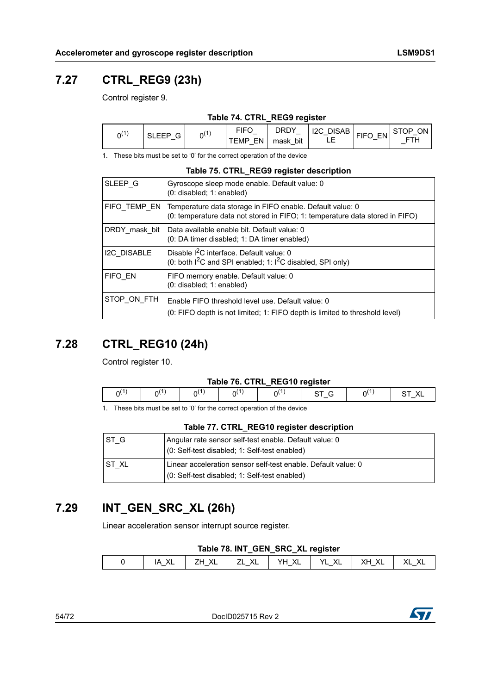## **7.27 CTRL\_REG9 (23h)**

Control register 9.

|  |  | Table 74. CTRL_REG9 register |
|--|--|------------------------------|
|  |  |                              |

| $n^{(1)}$ | <b>SLEEP</b><br>. –           | $\overline{1}$<br>่าเ | <b>FIFC</b>                           | <b>DRDY</b>                             | <b>DISAB</b><br>12C<br>$\overline{\phantom{0}}$ | <b>FIFO</b><br>EN | ON.<br>. STOP |
|-----------|-------------------------------|-----------------------|---------------------------------------|-----------------------------------------|-------------------------------------------------|-------------------|---------------|
|           | ◡<br>$\overline{\phantom{0}}$ |                       | EN<br>EMP<br>$\overline{\phantom{0}}$ | bit<br>mask<br>$\overline{\phantom{0}}$ | -<br>__                                         | ◡                 | - 61<br>_     |

1. These bits must be set to '0' for the correct operation of the device

|                    | Table 75. CTRL_REG9 register description                                                                                                  |
|--------------------|-------------------------------------------------------------------------------------------------------------------------------------------|
| SLEEP G            | Gyroscope sleep mode enable. Default value: 0<br>$(0:$ disabled; 1: enabled)                                                              |
| FIFO TEMP EN       | Temperature data storage in FIFO enable. Default value: 0<br>(0: temperature data not stored in FIFO; 1: temperature data stored in FIFO) |
| DRDY mask bit      | Data available enable bit. Default value: 0<br>(0: DA timer disabled: 1: DA timer enabled)                                                |
| <b>I2C DISABLE</b> | Disable <sup>2</sup> C interface. Default value: 0<br>(0: both $1^2C$ and SPI enabled; 1: $1^2C$ disabled, SPI only)                      |
| FIFO EN            | FIFO memory enable. Default value: 0<br>$(0:$ disabled; $1:$ enabled)                                                                     |
| STOP ON FTH        | Enable FIFO threshold level use. Default value: 0<br>(0: FIFO depth is not limited; 1: FIFO depth is limited to threshold level)          |

## **7.28 CTRL\_REG10 (24h)**

Control register 10.

#### **Table 76. CTRL\_REG10 register**

|  |  | <b>TADIO TO: OTIVE INEQTO IOGIOLOI</b> |  |  |
|--|--|----------------------------------------|--|--|
|  |  |                                        |  |  |
|  |  |                                        |  |  |

1. These bits must be set to '0' for the correct operation of the device

#### **Table 77. CTRL\_REG10 register description**

| IST G  | Angular rate sensor self-test enable. Default value: 0<br>(0: Self-test disabled; 1: Self-test enabled)        |
|--------|----------------------------------------------------------------------------------------------------------------|
| IST XL | Linear acceleration sensor self-test enable. Default value: 0<br>(0: Self-test disabled; 1: Self-test enabled) |

## **7.29 INT\_GEN\_SRC\_XL (26h)**

Linear acceleration sensor interrupt source register.

| Table 78. INT_GEN_SRC_XL register |  |  |  |
|-----------------------------------|--|--|--|
|                                   |  |  |  |

| $\epsilon$                                                                |  |  | __ | --- |  |
|---------------------------------------------------------------------------|--|--|----|-----|--|
| $-$<br>$\overline{\phantom{0}}$<br>$-$<br>$-$<br>$\overline{\phantom{a}}$ |  |  |    |     |  |

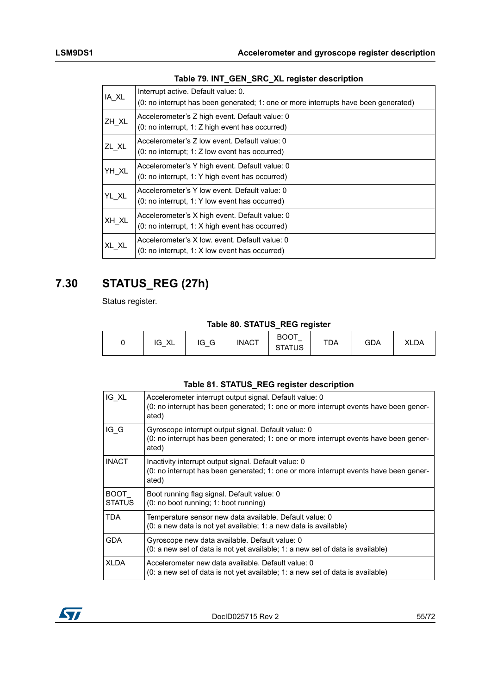| IA XL | Interrupt active. Default value: 0.                                                 |
|-------|-------------------------------------------------------------------------------------|
|       | (0: no interrupt has been generated; 1: one or more interrupts have been generated) |
|       | Accelerometer's Z high event. Default value: 0                                      |
| ZH_XL | (0: no interrupt, 1: Z high event has occurred)                                     |
|       | Accelerometer's Z low event. Default value: 0                                       |
| ZL XL | $(0: no$ interrupt; 1: Z low event has occurred)                                    |
|       | Accelerometer's Y high event. Default value: 0                                      |
| YH XL | (0: no interrupt, 1: Y high event has occurred)                                     |
|       | Accelerometer's Y low event. Default value: 0                                       |
| YL XL | $(0: no$ interrupt, 1: Y low event has occurred)                                    |
|       | Accelerometer's X high event. Default value: 0                                      |
| XH XL | $(0: no$ interrupt, 1: X high event has occurred)                                   |
|       | Accelerometer's X low, event, Default value: 0                                      |
| XL XL | $(0: no$ interrupt, 1: X low event has occurred)                                    |

### **Table 79. INT\_GEN\_SRC\_XL register description**

### **7.30 STATUS\_REG (27h)**

Status register.

**Table 80. STATUS\_REG register**

|  | $\mathcal{L}$<br>טו<br>୵⊾ | $\sim$<br>IG<br>G | <b>INACT</b> | <b>BOOT</b><br>-<br><b>STATUS</b> | TDA | <b>GDA</b> | <b>XLDA</b> |
|--|---------------------------|-------------------|--------------|-----------------------------------|-----|------------|-------------|
|--|---------------------------|-------------------|--------------|-----------------------------------|-----|------------|-------------|

#### **Table 81. STATUS\_REG register description**

| IG XL                 | Accelerometer interrupt output signal. Default value: 0<br>(0: no interrupt has been generated; 1: one or more interrupt events have been gener-<br>ated) |
|-----------------------|-----------------------------------------------------------------------------------------------------------------------------------------------------------|
| IG G                  | Gyroscope interrupt output signal. Default value: 0<br>(0: no interrupt has been generated; 1: one or more interrupt events have been gener-<br>ated)     |
| <b>INACT</b>          | Inactivity interrupt output signal. Default value: 0<br>(0: no interrupt has been generated; 1: one or more interrupt events have been gener-<br>ated)    |
| BOOT<br><b>STATUS</b> | Boot running flag signal. Default value: 0<br>(0: no boot running; 1: boot running)                                                                       |
| TDA                   | Temperature sensor new data available. Default value: 0<br>(0: a new data is not yet available; 1: a new data is available)                               |
| <b>GDA</b>            | Gyroscope new data available. Default value: 0<br>(0: a new set of data is not yet available; 1: a new set of data is available)                          |
| <b>XLDA</b>           | Accelerometer new data available. Default value: 0<br>$(0: a new set of data is not yet available; 1: a new set of data is available)$                    |

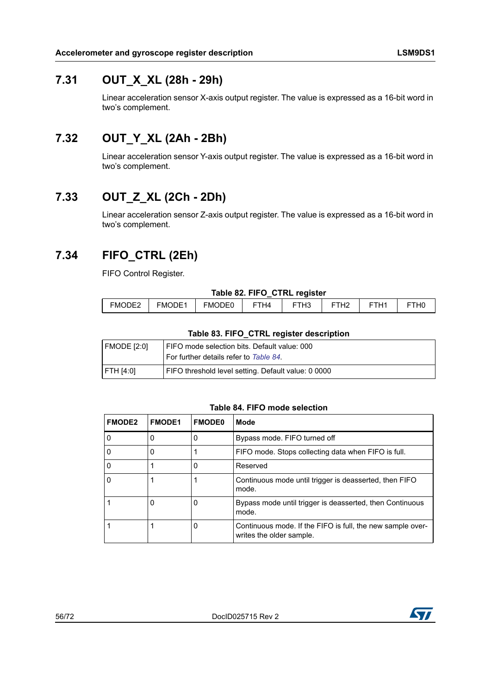### **7.31 OUT\_X\_XL (28h - 29h)**

Linear acceleration sensor X-axis output register. The value is expressed as a 16-bit word in two's complement.

## **7.32 OUT\_Y\_XL (2Ah - 2Bh)**

Linear acceleration sensor Y-axis output register. The value is expressed as a 16-bit word in two's complement.

## **7.33 OUT\_Z\_XL (2Ch - 2Dh)**

Linear acceleration sensor Z-axis output register. The value is expressed as a 16-bit word in two's complement.

## <span id="page-55-1"></span>**7.34 FIFO\_CTRL (2Eh)**

FIFO Control Register.

#### **Table 82. FIFO\_CTRL register**

|                                     |              | __<br>__<br>__                               |    | - - -<br>___                 |         |        |                 |
|-------------------------------------|--------------|----------------------------------------------|----|------------------------------|---------|--------|-----------------|
| $1000 - 120$<br><b>FM</b><br>י∠∟∪י״ | <b>FMODE</b> | $\overline{}$<br>-. .<br><b>FMC</b><br>OUE0. | H4 | $\overline{16}$<br>-<br>. ان | _<br>14 | _<br>_ | -<br>. <u>.</u> |
|                                     |              |                                              |    |                              |         |        |                 |

#### **Table 83. FIFO\_CTRL register description**

| FMODE [2:0] | FIFO mode selection bits. Default value: 000<br>For further details refer to Table 84. |
|-------------|----------------------------------------------------------------------------------------|
| FTH [4:0]   | FIFO threshold level setting. Default value: 0 0000                                    |

#### **Table 84. FIFO mode selection**

<span id="page-55-0"></span>

| <b>FMODE2</b> | <b>FMODE1</b> | <b>FMODE0</b> | Mode                                                                                   |
|---------------|---------------|---------------|----------------------------------------------------------------------------------------|
|               | 0             |               | Bypass mode. FIFO turned off                                                           |
|               | 0             |               | FIFO mode. Stops collecting data when FIFO is full.                                    |
|               |               | 0             | Reserved                                                                               |
|               |               |               | Continuous mode until trigger is deasserted, then FIFO<br>mode.                        |
|               | 0             | 0             | Bypass mode until trigger is deasserted, then Continuous<br>mode.                      |
|               |               | 0             | Continuous mode. If the FIFO is full, the new sample over-<br>writes the older sample. |

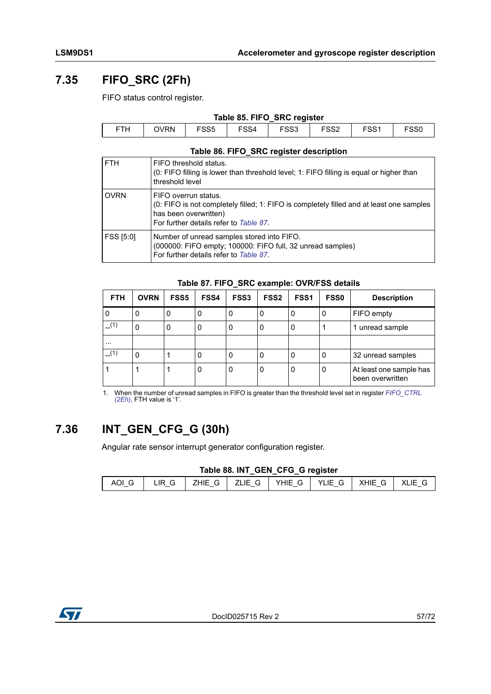## **7.35 FIFO\_SRC (2Fh)**

FIFO status control register.

| Table 85. FIFO SRC register |             |                  |      |      |                  |                  |                  |
|-----------------------------|-------------|------------------|------|------|------------------|------------------|------------------|
| <b>FTH</b>                  | <b>OVRN</b> | FSS <sub>5</sub> | FSS4 | FSS3 | FSS <sub>2</sub> | FSS <sub>1</sub> | FSS <sub>0</sub> |

### **Table 86. FIFO\_SRC register description**

| <b>FTH</b>       | FIFO threshold status.<br>(0: FIFO filling is lower than threshold level; 1: FIFO filling is equal or higher than<br>threshold level                                                |
|------------------|-------------------------------------------------------------------------------------------------------------------------------------------------------------------------------------|
| <b>OVRN</b>      | FIFO overrun status.<br>(0: FIFO is not completely filled; 1: FIFO is completely filled and at least one samples<br>has been overwritten)<br>For further details refer to Table 87. |
| <b>FSS [5:0]</b> | Number of unread samples stored into FIFO.<br>(000000: FIFO empty; 100000: FIFO full, 32 unread samples)<br>For further details refer to Table 87.                                  |

#### **Table 87. FIFO\_SRC example: OVR/FSS details**

<span id="page-56-0"></span>

| <b>FTH</b> | <b>OVRN</b> | <b>FSS5</b> | <b>FSS4</b> | <b>FSS3</b> | <b>FSS2</b> | FSS <sub>1</sub> | <b>FSS0</b> | <b>Description</b>                          |
|------------|-------------|-------------|-------------|-------------|-------------|------------------|-------------|---------------------------------------------|
| 0          | 0           | 0           | 0           | 0           | 0           | 0                | 0           | FIFO empty                                  |
| $-$ (1)    | 0           | 0           | 0           | 0           | 0           | 0                |             | 1 unread sample                             |
| $\cdots$   |             |             |             |             |             |                  |             |                                             |
| (1)        | 0           |             | 0           | 0           | 0           | 0                | 0           | 32 unread samples                           |
|            |             |             | 0           | 0           | 0           | 0                | 0           | At least one sample has<br>been overwritten |

1. When the number of unread samples in FIFO is greater than the threshold level set in register *[FIFO\\_CTRL](#page-55-1)  [\(2Eh\)](#page-55-1)*, FTH value is '1'.

## **7.36 INT\_GEN\_CFG\_G (30h)**

Angular rate sensor interrupt generator configuration register.

#### **Table 88. INT\_GEN\_CFG\_G register**

|  | AOIG   LIR G   ZHIE G   ZLIE G   YHIE G   YLIE G   XHIE G   XLIE G |  |  |  |
|--|--------------------------------------------------------------------|--|--|--|

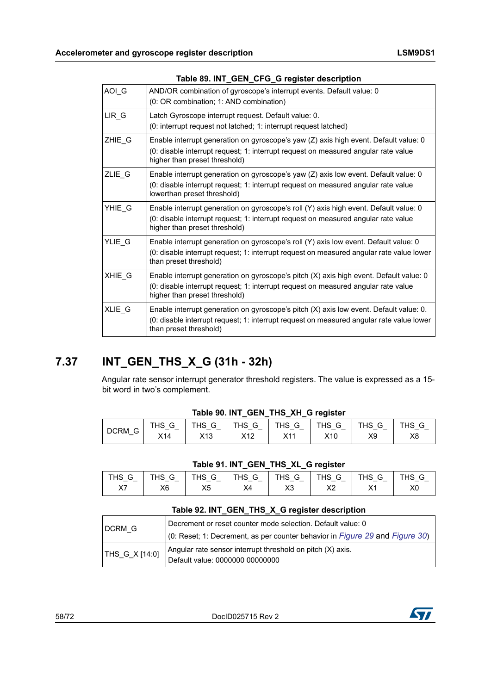| AOIG   | AND/OR combination of gyroscope's interrupt events. Default value: 0<br>(0: OR combination; 1: AND combination)                                                                                               |
|--------|---------------------------------------------------------------------------------------------------------------------------------------------------------------------------------------------------------------|
| LIR G  | Latch Gyroscope interrupt request. Default value: 0.<br>(0: interrupt request not latched; 1: interrupt request latched)                                                                                      |
| ZHIE G | Enable interrupt generation on gyroscope's yaw (Z) axis high event. Default value: 0<br>(0: disable interrupt request; 1: interrupt request on measured angular rate value<br>higher than preset threshold)   |
| ZLIE_G | Enable interrupt generation on gyroscope's yaw (Z) axis low event. Default value: 0<br>(0: disable interrupt request; 1: interrupt request on measured angular rate value<br>lowerthan preset threshold)      |
| YHIE G | Enable interrupt generation on gyroscope's roll (Y) axis high event. Default value: 0<br>(0: disable interrupt request; 1: interrupt request on measured angular rate value<br>higher than preset threshold)  |
| YLIE G | Enable interrupt generation on gyroscope's roll (Y) axis low event. Default value: 0<br>(0: disable interrupt request; 1: interrupt request on measured angular rate value lower<br>than preset threshold)    |
| XHIE G | Enable interrupt generation on gyroscope's pitch (X) axis high event. Default value: 0<br>(0: disable interrupt request; 1: interrupt request on measured angular rate value<br>higher than preset threshold) |
| XLIE_G | Enable interrupt generation on gyroscope's pitch (X) axis low event. Default value: 0.<br>(0: disable interrupt request; 1: interrupt request on measured angular rate value lower<br>than preset threshold)  |

#### **Table 89. INT\_GEN\_CFG\_G register description**

## **7.37 INT\_GEN\_THS\_X\_G (31h - 32h)**

Angular rate sensor interrupt generator threshold registers. The value is expressed as a 15 bit word in two's complement.

|                                                        |            |                             | 14000000000111100011000001 |                  |                                             |           |            |
|--------------------------------------------------------|------------|-----------------------------|----------------------------|------------------|---------------------------------------------|-----------|------------|
| <b>DCRM</b><br>$\sim$<br>◡<br>$\overline{\phantom{0}}$ | THS<br>X14 | THS<br>G<br>X <sub>13</sub> | THS<br>G<br>X12            | THS.<br>G<br>X11 | THS<br>G<br>$\overline{\phantom{0}}$<br>X10 | THS<br>X9 | THS.<br>X8 |
|                                                        |            |                             |                            |                  |                                             |           |            |

### **Table 90. INT\_GEN\_THS\_XH\_G register**

#### **Table 91. INT\_GEN\_THS\_XL\_G register**

| THS<br>G<br>-_ - _ | THS<br>$\sim$<br>G<br><u>- — </u><br>$\overline{\phantom{0}}$ | G<br>THS<br>- | THS<br>G<br>$-$<br>- - | G<br>THS.<br><u> — – — </u> | G<br>THS<br>$\overline{\phantom{0}}$<br>$\overline{\phantom{0}}$ | THS<br>G<br>$\overline{\phantom{0}}$ | НS<br>G |
|--------------------|---------------------------------------------------------------|---------------|------------------------|-----------------------------|------------------------------------------------------------------|--------------------------------------|---------|
| V<br>^′            | X6                                                            | X5            | X4                     | X3                          | vn<br>ᇨ                                                          | v<br>$\sim$ 1                        | X0      |

### **Table 92. INT\_GEN\_THS\_X\_G register description**

| DCRM G         | Decrement or reset counter mode selection. Default value: 0                                 |
|----------------|---------------------------------------------------------------------------------------------|
|                | (0: Reset; 1: Decrement, as per counter behavior in <i>Figure 29</i> and <i>Figure 30</i> ) |
| THS_G_X [14:0] | Angular rate sensor interrupt threshold on pitch (X) axis.                                  |
|                | Default value: 0000000 00000000                                                             |

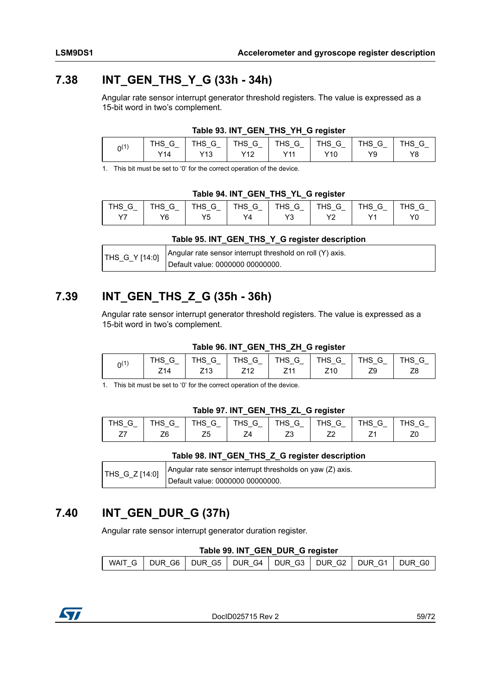### **7.38 INT\_GEN\_THS\_Y\_G (33h - 34h)**

Angular rate sensor interrupt generator threshold registers. The value is expressed as a 15-bit word in two's complement.

|           |                 |                 |                 | <b>IGUIG 30. INT GLN THO THE GIGGISTER</b> |                           |           |          |
|-----------|-----------------|-----------------|-----------------|--------------------------------------------|---------------------------|-----------|----------|
| $0^{(1)}$ | THS<br>v<br>Y14 | THS<br>G<br>Y13 | THS<br>G<br>v10 | THS<br>⌒<br>G<br>Y11                       | THS<br>G<br>$\sim$<br>Y10 | THS<br>Y9 | пэ<br>Y8 |

**Table 93. INT\_GEN\_THS\_YH\_G register**

1. This bit must be set to '0' for the correct operation of the device.

#### **Table 94. INT\_GEN\_THS\_YL\_G register**

|                                                       |                    |                                             |                           |                             | __        |                                                |               |
|-------------------------------------------------------|--------------------|---------------------------------------------|---------------------------|-----------------------------|-----------|------------------------------------------------|---------------|
| THS<br>G<br>$\overline{\phantom{0}}$<br>$\sim$ $\sim$ | THS .<br>G<br>.  . | G<br>THS<br>$\overline{\phantom{0}}$<br>. – | THS<br>$\sim$<br>G<br>— — | <b>THS</b><br>⌒<br>◡<br>- - | THS<br>G  | THS<br>$\sim$<br>G<br>$\overline{\phantom{0}}$ | THS<br>$\sim$ |
| <u>、ノフ</u>                                            | Y6                 | VF.<br>N                                    | Y4                        | v?<br>ں ،                   | vn<br>' 4 | $\sqrt{4}$                                     | Y0            |

#### **Table 95. INT\_GEN\_THS\_Y\_G register description**

| $\text{THS}_{\text{G}}$ [14:0] $\text{Angular rate sensor interrupt threshold on roll (Y) axis.}$ |
|---------------------------------------------------------------------------------------------------|
| Default value: 0000000 00000000.                                                                  |

### **7.39 INT\_GEN\_THS\_Z\_G (35h - 36h)**

Angular rate sensor interrupt generator threshold registers. The value is expressed as a 15-bit word in two's complement.

### **Table 96. INT\_GEN\_THS\_ZH\_G register**

|      |               |                                           |                                         | __                                 | _               |                                      |         |
|------|---------------|-------------------------------------------|-----------------------------------------|------------------------------------|-----------------|--------------------------------------|---------|
| n(1) | THS<br>$\sim$ | THS<br>⌒<br>G<br>$\overline{\phantom{0}}$ | ⊤ப்ெ<br>G<br>no.<br>— <sup>—</sup><br>- | <b>TLIC</b><br>⌒<br>G<br>пэ<br>- - | THS<br>G        | THS<br>u<br>$\overline{\phantom{0}}$ | ΉS<br>G |
|      | Z14           | Z <sub>13</sub>                           | 710<br>∠⊥∠                              | 744                                | Z <sub>10</sub> | 70<br>∠ರ                             | Z8      |

1. This bit must be set to '0' for the correct operation of the device.

### **Table 97. INT\_GEN\_THS\_ZL\_G register**

| THS<br>_ | G<br>THS<br>- -<br>- | <b>THS</b><br>G<br>-- <del>-</del> -- | THS<br>G<br>$\overline{\phantom{0}}$ | THS.<br>G | <b>THS</b><br>G<br><u>- — </u> | THS<br>G | НS<br>G |
|----------|----------------------|---------------------------------------|--------------------------------------|-----------|--------------------------------|----------|---------|
|          | Z6                   | 25                                    |                                      | →<br>ںے   | ᅩ                              |          | ∠៶      |

#### **Table 98. INT\_GEN\_THS\_Z\_G register description**

| THS_G_Z [14:0] | Angular rate sensor interrupt thresholds on yaw (Z) axis. |
|----------------|-----------------------------------------------------------|
|                | Default value: 0000000 00000000.                          |

### **7.40 INT\_GEN\_DUR\_G (37h)**

Angular rate sensor interrupt generator duration register.

#### **Table 99. INT\_GEN\_DUR\_G register**

|  | WAIT G   DUR G6   DUR G5   DUR G4   DUR G3   DUR G2   DUR G1   DUR G0 |  |  |  |
|--|-----------------------------------------------------------------------|--|--|--|

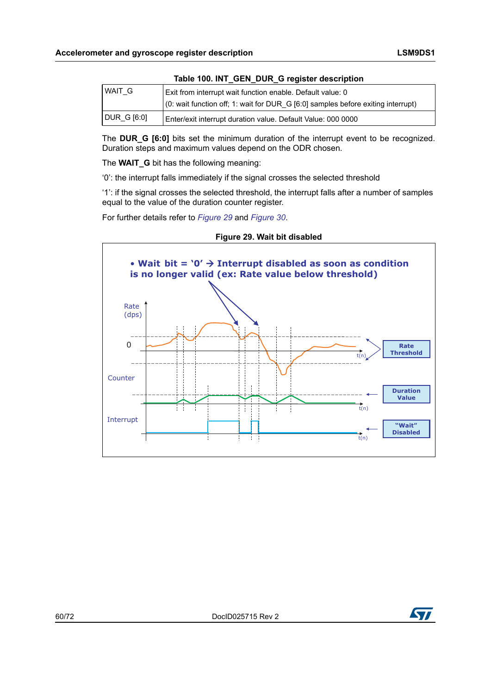|           | rable Too. INT_OEN_DOIN_O register acscription                                           |  |  |  |  |  |  |  |  |
|-----------|------------------------------------------------------------------------------------------|--|--|--|--|--|--|--|--|
| WAIT G    | Exit from interrupt wait function enable. Default value: 0                               |  |  |  |  |  |  |  |  |
|           | $\vert$ (0: wait function off; 1: wait for DUR G [6:0] samples before exiting interrupt) |  |  |  |  |  |  |  |  |
| DURG16:01 | Enter/exit interrupt duration value. Default Value: 000 0000                             |  |  |  |  |  |  |  |  |

### **Table 100. INT\_GEN\_DUR\_G register description**

The **DUR G [6:0]** bits set the minimum duration of the interrupt event to be recognized. Duration steps and maximum values depend on the ODR chosen.

The **WAIT\_G** bit has the following meaning:

'0': the interrupt falls immediately if the signal crosses the selected threshold

'1': if the signal crosses the selected threshold, the interrupt falls after a number of samples equal to the value of the duration counter register.

For further details refer to *[Figure 29](#page-59-0)* and *[Figure 30](#page-60-0)*.

<span id="page-59-0"></span>



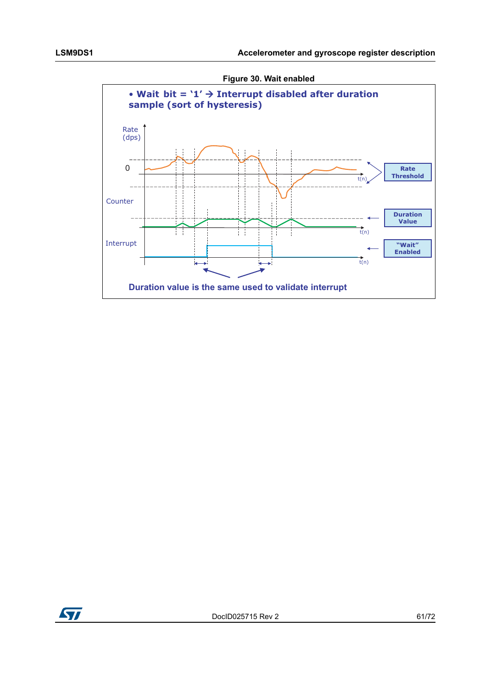

<span id="page-60-0"></span>

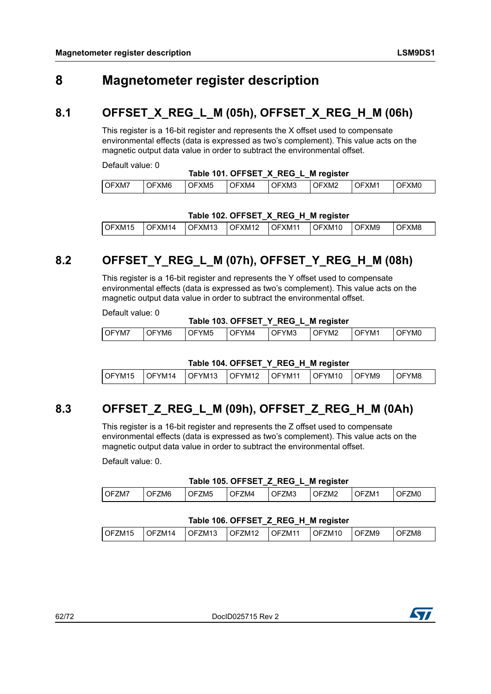## **8 Magnetometer register description**

### **8.1 OFFSET\_X\_REG\_L\_M (05h), OFFSET\_X\_REG\_H\_M (06h)**

This register is a 16-bit register and represents the X offset used to compensate environmental effects (data is expressed as two's complement). This value acts on the magnetic output data value in order to subtract the environmental offset.

Default value: 0

### **Table 101. OFFSET\_X\_REG\_L\_M register**

| OF'<br>` ال.<br>()<br>)⊢ | l OFXM7 | "XM6 | OFXM5 | FXM4 | XM3 | )FXM2 | `XM1 | XMO |
|--------------------------|---------|------|-------|------|-----|-------|------|-----|
|--------------------------|---------|------|-------|------|-----|-------|------|-----|

### **Table 102. OFFSET\_X\_REG\_H\_M register**

| $\overline{O}$ FXM15<br>OFXM12 OFXM11 |  |        |                 |  |        |               |       |
|---------------------------------------|--|--------|-----------------|--|--------|---------------|-------|
|                                       |  | OFXM14 | $\cdot$ IOFXM13 |  | OFXM10 | <b>LOFXM9</b> | OFXM8 |

## **8.2 OFFSET\_Y\_REG\_L\_M (07h), OFFSET\_Y\_REG\_H\_M (08h)**

This register is a 16-bit register and represents the Y offset used to compensate environmental effects (data is expressed as two's complement). This value acts on the magnetic output data value in order to subtract the environmental offset.

Default value: 0

#### **Table 103. OFFSET\_Y\_REG\_L\_M register**

|       |             |           |                     | __          | -         |                          |          |
|-------|-------------|-----------|---------------------|-------------|-----------|--------------------------|----------|
| OFYM7 | )FYM6<br>℩∟ | YM5<br>OF | $^{\prime}$ M4<br>ີ | FYM3<br>JF` | YM2<br>J٣ | YM <sup>.</sup><br>. പ⊢` | YMC<br>ັ |
|       |             |           |                     |             |           |                          |          |

#### **Table 104. OFFSET\_Y\_REG\_H\_M register**

| LOFYM15 | OFYM14 | l OFYM13 | OFYM12 OFYM11 | OFYM <sub>10</sub> | <b>IOFYM9</b> | OFYM8 |
|---------|--------|----------|---------------|--------------------|---------------|-------|

# **8.3 OFFSET\_Z\_REG\_L\_M (09h), OFFSET\_Z\_REG\_H\_M (0Ah)**

This register is a 16-bit register and represents the Z offset used to compensate environmental effects (data is expressed as two's complement). This value acts on the magnetic output data value in order to subtract the environmental offset.

Default value: 0.

### **Table 105. OFFSET\_Z\_REG\_L\_M register**

|               |           |           | --          |                        |           |           |           |
|---------------|-----------|-----------|-------------|------------------------|-----------|-----------|-----------|
| l OF.<br>∙∠M. | ZM6<br>۱⊢ | ℩⊢<br>∠M5 | ℩⊢<br>'N/I4 | <sup>=</sup> ZM3<br>)⊢ | ZM2<br>)⊢ | –M.<br>℩⊢ | ZMC<br>⊣נ |
|               |           |           |             |                        |           |           |           |

### **Table 106. OFFSET\_Z\_REG\_H\_M register**

| OFZM <sub>15</sub><br>OFZM <sub>10</sub><br>OFZM13<br>OFZM9<br>OFZM11<br><b>OFZM12</b><br><sup>-</sup> ZM8<br>OFZM14<br>⊣∪ |
|----------------------------------------------------------------------------------------------------------------------------|
|----------------------------------------------------------------------------------------------------------------------------|

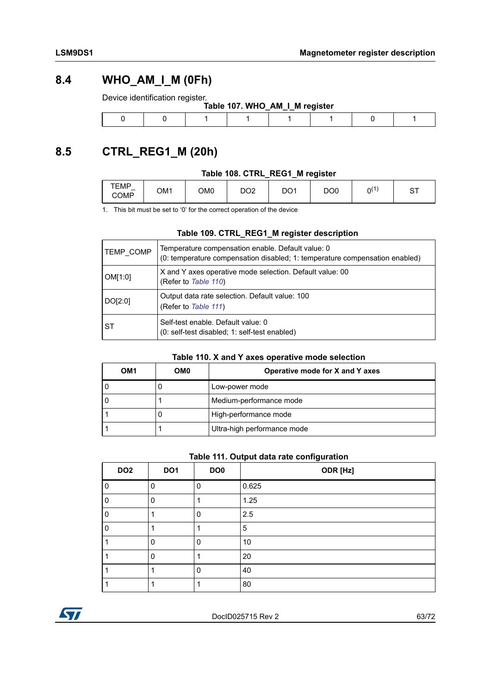### **8.4 WHO\_AM\_I\_M (0Fh)**

Device identification register.

|  |  | Table 107. WHO_AM_I_M register |  |  |
|--|--|--------------------------------|--|--|
|  |  |                                |  |  |

## <span id="page-62-2"></span>**8.5 CTRL\_REG1\_M (20h)**

### **Table 108. CTRL\_REG1\_M register**

| TEMP<br>$\overline{\phantom{a}}$<br><b>COMP</b> | OM1 | OM0 | DO <sub>2</sub> | DO <sub>1</sub> | DO <sub>0</sub> | $\overline{A}$<br>0 | ⌒⊤<br>. U |
|-------------------------------------------------|-----|-----|-----------------|-----------------|-----------------|---------------------|-----------|
|-------------------------------------------------|-----|-----|-----------------|-----------------|-----------------|---------------------|-----------|

1. This bit must be set to '0' for the correct operation of the device

#### **Table 109. CTRL\_REG1\_M register description**

| TEMP COMP | Temperature compensation enable. Default value: 0<br>(0: temperature compensation disabled; 1: temperature compensation enabled) |
|-----------|----------------------------------------------------------------------------------------------------------------------------------|
| OM[1:0]   | X and Y axes operative mode selection. Default value: 00<br>(Refer to Table 110)                                                 |
| DO[2:0]   | Output data rate selection. Default value: 100<br>(Refer to Table 111)                                                           |
| l ST      | Self-test enable. Default value: 0<br>(0: self-test disabled; 1: self-test enabled)                                              |

### **Table 110. X and Y axes operative mode selection**

<span id="page-62-0"></span>

| OM1 | OM0 | Operative mode for X and Y axes |
|-----|-----|---------------------------------|
|     |     | Low-power mode                  |
|     |     | Medium-performance mode         |
|     |     | High-performance mode           |
|     |     | Ultra-high performance mode     |

### **Table 111. Output data rate configuration**

<span id="page-62-1"></span>

| DO <sub>2</sub> | DO <sub>1</sub> | DO <sub>0</sub> | ODR [Hz] |
|-----------------|-----------------|-----------------|----------|
|                 | 0               | 0               | 0.625    |
|                 | 0               |                 | 1.25     |
|                 |                 | 0               | 2.5      |
|                 |                 |                 | 5        |
|                 | 0               | 0               | 10       |
|                 | $\mathbf 0$     |                 | 20       |
|                 |                 | ŋ               | 40       |
|                 |                 |                 | 80       |

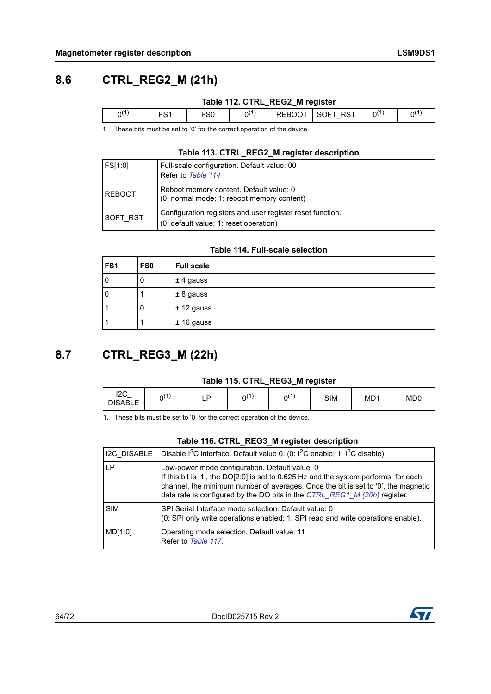## **8.6 CTRL\_REG2\_M (21h)**

### **Table 112. CTRL\_REG2\_M register**

|  | ບປ | .<br>יר | $\overline{\phantom{0}}$<br>$\ddot{\phantom{0}}$<br>$\overline{\phantom{0}}$ | $\epsilon$ . | Α٢. |
|--|----|---------|------------------------------------------------------------------------------|--------------|-----|
|  |    |         |                                                                              |              |     |

1. These bits must be set to '0' for the correct operation of the device.

#### **Table 113. CTRL\_REG2\_M register description**

| FS[1:0]         | Full-scale configuration. Default value: 00<br>Refer to Table 114                                   |
|-----------------|-----------------------------------------------------------------------------------------------------|
| <b>REBOOT</b>   | Reboot memory content. Default value: 0<br>(0: normal mode; 1: reboot memory content)               |
| <b>SOFT RST</b> | Configuration registers and user register reset function.<br>(0: default value; 1: reset operation) |

#### **Table 114. Full-scale selection**

<span id="page-63-1"></span>

| FS <sub>1</sub> | FS <sub>0</sub> | <b>Full scale</b> |
|-----------------|-----------------|-------------------|
| 0               | 0               | $±$ 4 gauss       |
| 0               |                 | $± 8$ gauss       |
|                 | υ               | $± 12$ gauss      |
|                 |                 | $± 16$ gauss      |

### <span id="page-63-0"></span>**8.7 CTRL\_REG3\_M (22h)**

#### **Table 115. CTRL\_REG3\_M register**

| $12C_$<br>$\Omega(1)$<br>D<br><b>DISABLE</b><br>-- | $0^{(1)}$<br>$0^{(1)}$ | <b>SIM</b> | MD <sup>1</sup> | MD <sub>0</sub> |
|----------------------------------------------------|------------------------|------------|-----------------|-----------------|
|----------------------------------------------------|------------------------|------------|-----------------|-----------------|

1. These bits must be set to '0' for the correct operation of the device.

#### **Table 116. CTRL\_REG3\_M register description**

| I2C DISABLE | Disable <sup>2</sup> C interface. Default value 0. (0: 1 <sup>2</sup> C enable; 1: 1 <sup>2</sup> C disable)                                                                                                                                                                                             |
|-------------|----------------------------------------------------------------------------------------------------------------------------------------------------------------------------------------------------------------------------------------------------------------------------------------------------------|
| ΙP          | Low-power mode configuration. Default value: 0<br>If this bit is '1', the DO[2:0] is set to 0.625 Hz and the system performs, for each<br>channel, the minimum number of averages. Once the bit is set to '0', the magnetic<br>data rate is configured by the DO bits in the CTRL_REG1_M (20h) register. |
| <b>SIM</b>  | SPI Serial Interface mode selection. Default value: 0<br>(0: SPI only write operations enabled; 1: SPI read and write operations enable).                                                                                                                                                                |
| MD[1:0]     | Operating mode selection. Default value: 11<br>Refer to Table 117.                                                                                                                                                                                                                                       |

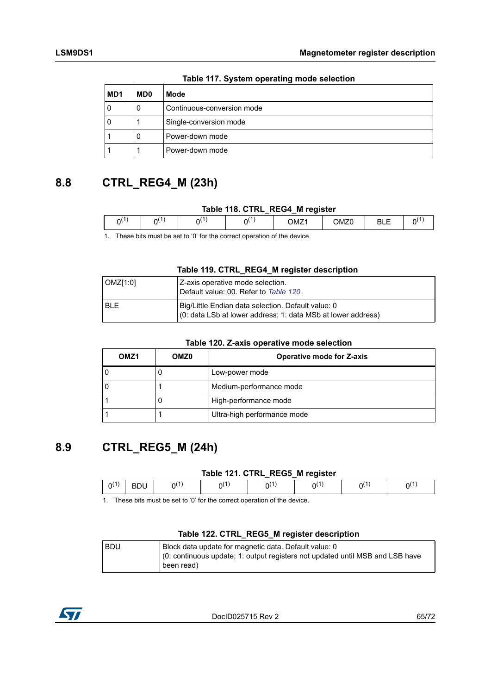<span id="page-64-0"></span>

| MD <sub>1</sub> | MD <sub>0</sub> | Mode                       |
|-----------------|-----------------|----------------------------|
|                 | υ               | Continuous-conversion mode |
|                 |                 | Single-conversion mode     |
|                 | O               | Power-down mode            |
|                 |                 | Power-down mode            |

**Table 117. System operating mode selection**

## **8.8 CTRL\_REG4\_M (23h)**

#### **Table 118. CTRL\_REG4\_M register**

|   |   | _   | __<br>__                                      |                |                |  |
|---|---|-----|-----------------------------------------------|----------------|----------------|--|
| . | м | ו נ | $\overline{\phantom{a}}$<br>JM∠1<br>- - - - - | эM<br>$\cdots$ | -<br>--<br>--- |  |
|   |   |     |                                               |                |                |  |

1. These bits must be set to '0' for the correct operation of the device

#### **Table 119. CTRL\_REG4\_M register description**

| OMZ[1:0] | Z-axis operative mode selection.<br>Default value: 00. Refer to Table 120.                                         |
|----------|--------------------------------------------------------------------------------------------------------------------|
| I BI F   | Big/Little Endian data selection. Default value: 0<br>(0: data LSb at lower address; 1: data MSb at lower address) |

#### **Table 120. Z-axis operative mode selection**

<span id="page-64-1"></span>

| OMZ <sub>1</sub> | OMZ0 | <b>Operative mode for Z-axis</b> |
|------------------|------|----------------------------------|
|                  |      | Low-power mode                   |
|                  |      | Medium-performance mode          |
|                  |      | High-performance mode            |
|                  |      | Ultra-high performance mode      |

### **8.9 CTRL\_REG5\_M (24h)**

#### **Table 121. CTRL\_REG5\_M register**

|    |    |   | -              | ___ |    |  |
|----|----|---|----------------|-----|----|--|
| n( | ◡◡ | ω | $\Omega^{(1)}$ | n(  | ٦١ |  |
|    |    |   |                |     |    |  |

1. These bits must be set to '0' for the correct operation of the device.

#### **Table 122. CTRL\_REG5\_M register description**

| l BDU | Block data update for magnetic data. Default value: 0                         |
|-------|-------------------------------------------------------------------------------|
|       | (0: continuous update; 1: output registers not updated until MSB and LSB have |
|       | been read)                                                                    |

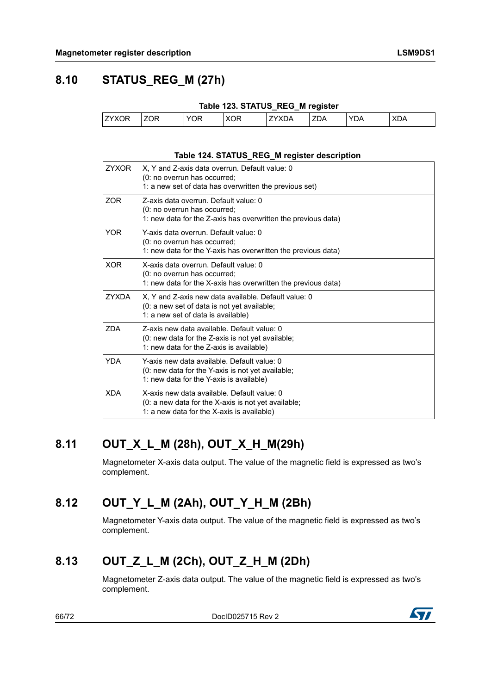## **8.10 STATUS\_REG\_M (27h)**

|       |      |     | Table 123. STATUS REG M register |              |            |     |            |
|-------|------|-----|----------------------------------|--------------|------------|-----|------------|
| ZYXOR | 1ZOR | YOR | XOR                              | <b>ZYXDA</b> | <b>ZDA</b> | YDA | <b>XDA</b> |

### **Table 124. STATUS\_REG\_M register description**

| <b>7YXOR</b> | X, Y and Z-axis data overrun. Default value: 0<br>(0: no overrun has occurred;<br>1: a new set of data has overwritten the previous set)         |
|--------------|--------------------------------------------------------------------------------------------------------------------------------------------------|
| <b>ZOR</b>   | Z-axis data overrun. Default value: 0<br>(0: no overrun has occurred;<br>1: new data for the Z-axis has overwritten the previous data)           |
| <b>YOR</b>   | Y-axis data overrun. Default value: 0<br>(0: no overrun has occurred;<br>1: new data for the Y-axis has overwritten the previous data)           |
| <b>XOR</b>   | X-axis data overrun. Default value: 0<br>(0: no overrun has occurred;<br>1: new data for the X-axis has overwritten the previous data)           |
| <b>ZYXDA</b> | X, Y and Z-axis new data available. Default value: 0<br>(0: a new set of data is not yet available;<br>1: a new set of data is available)        |
| <b>ZDA</b>   | Z-axis new data available. Default value: 0<br>(0: new data for the Z-axis is not yet available;<br>1: new data for the Z-axis is available)     |
| <b>YDA</b>   | Y-axis new data available. Default value: 0<br>(0: new data for the Y-axis is not yet available;<br>1: new data for the Y-axis is available)     |
| <b>XDA</b>   | X-axis new data available. Default value: 0<br>(0: a new data for the X-axis is not yet available;<br>1: a new data for the X-axis is available) |

## **8.11 OUT\_X\_L\_M (28h), OUT\_X\_H\_M(29h)**

Magnetometer X-axis data output. The value of the magnetic field is expressed as two's complement.

# **8.12 OUT\_Y\_L\_M (2Ah), OUT\_Y\_H\_M (2Bh)**

Magnetometer Y-axis data output. The value of the magnetic field is expressed as two's complement.

## **8.13 OUT\_Z\_L\_M (2Ch), OUT\_Z\_H\_M (2Dh)**

Magnetometer Z-axis data output. The value of the magnetic field is expressed as two's complement.

66/72 DocID025715 Rev 2

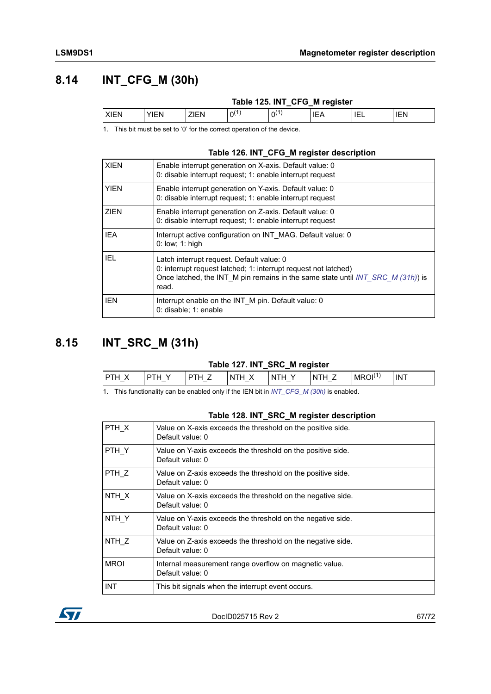### <span id="page-66-1"></span>**8.14 INT\_CFG\_M (30h)**

|             |             |      |   | Table 125. INT_CFG_M register |       |     |            |
|-------------|-------------|------|---|-------------------------------|-------|-----|------------|
| <b>XIEN</b> | <b>YIFN</b> | ZIEN | ി | ω                             | ' IEA | IEL | <b>IEN</b> |

1. This bit must be set to '0' for the correct operation of the device.

#### **Table 126. INT\_CFG\_M register description**

| <b>XIEN</b> | Enable interrupt generation on X-axis. Default value: 0<br>0: disable interrupt request; 1: enable interrupt request                                                                                        |
|-------------|-------------------------------------------------------------------------------------------------------------------------------------------------------------------------------------------------------------|
| YIEN        | Enable interrupt generation on Y-axis. Default value: 0<br>0: disable interrupt request; 1: enable interrupt request                                                                                        |
| <b>ZIEN</b> | Enable interrupt generation on Z-axis. Default value: 0<br>0: disable interrupt request; 1: enable interrupt request                                                                                        |
| <b>IEA</b>  | Interrupt active configuration on INT MAG. Default value: 0<br>$0:$ low; 1: high                                                                                                                            |
| IEL         | Latch interrupt request. Default value: 0<br>0: interrupt request latched; 1: interrupt request not latched)<br>Once latched, the INT M pin remains in the same state until $INT\_SRC$ M (31h)) is<br>read. |
| <b>IEN</b>  | Interrupt enable on the INT M pin. Default value: 0<br>0: disable; 1: enable                                                                                                                                |

## <span id="page-66-0"></span>**8.15 INT\_SRC\_M (31h)**

#### **Table 127. INT\_SRC\_M register**

| דכו<br>$\overline{\phantom{0}}$ | $\overline{\phantom{0}}$ | -N-<br>$\overline{\phantom{0}}$ | -Ni | ж<br>MRC | ΙN |
|---------------------------------|--------------------------|---------------------------------|-----|----------|----|
|                                 |                          |                                 |     |          |    |

1. This functionality can be enabled only if the IEN bit in *[INT\\_CFG\\_M \(30h\)](#page-66-1)* is enabled.

#### **Table 128. INT\_SRC\_M register description**

| PTH X       | Value on X-axis exceeds the threshold on the positive side.<br>Default value: 0 |
|-------------|---------------------------------------------------------------------------------|
| PTH Y       | Value on Y-axis exceeds the threshold on the positive side.<br>Default value: 0 |
| PTH Z       | Value on Z-axis exceeds the threshold on the positive side.<br>Default value: 0 |
| NTH X       | Value on X-axis exceeds the threshold on the negative side.<br>Default value: 0 |
| NTH Y       | Value on Y-axis exceeds the threshold on the negative side.<br>Default value: 0 |
| NTH Z       | Value on Z-axis exceeds the threshold on the negative side.<br>Default value: 0 |
| <b>MROI</b> | Internal measurement range overflow on magnetic value.<br>Default value: 0      |
| <b>INT</b>  | This bit signals when the interrupt event occurs.                               |
|             |                                                                                 |

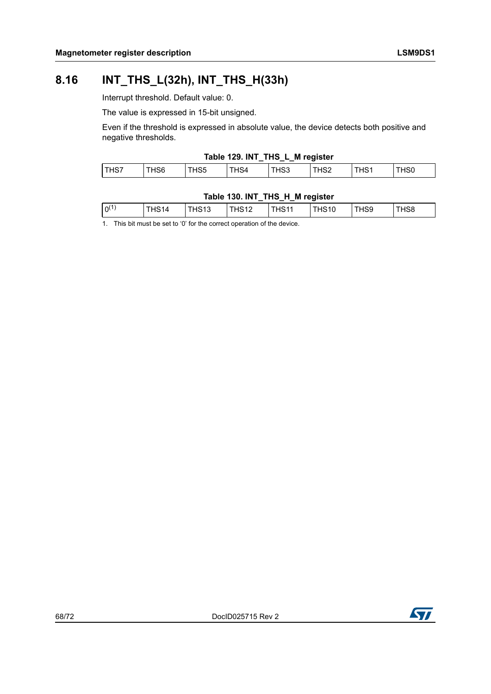### **8.16 INT\_THS\_L(32h), INT\_THS\_H(33h)**

Interrupt threshold. Default value: 0.

The value is expressed in 15-bit unsigned.

Even if the threshold is expressed in absolute value, the device detects both positive and negative thresholds.

#### **Table 129. INT\_THS\_L\_M register**

|                    |     |   | __ | _   |    |     |
|--------------------|-----|---|----|-----|----|-----|
| $T = T + T$<br>، ت | 155 | ∼ | ∽ب | אסר | د١ | טכו |
|                    |     |   |    |     |    |     |

#### **Table 130. INT\_THS\_H\_M register**

| $ 0^{(1)}$<br>HS <sub>13</sub><br>HS8<br>`HS11<br>THS9<br>THS <sub>10</sub><br>THS <sub>12</sub><br>4S14 |  |  | _<br>__ | __ |  |
|----------------------------------------------------------------------------------------------------------|--|--|---------|----|--|
|                                                                                                          |  |  |         |    |  |

1. This bit must be set to '0' for the correct operation of the device.

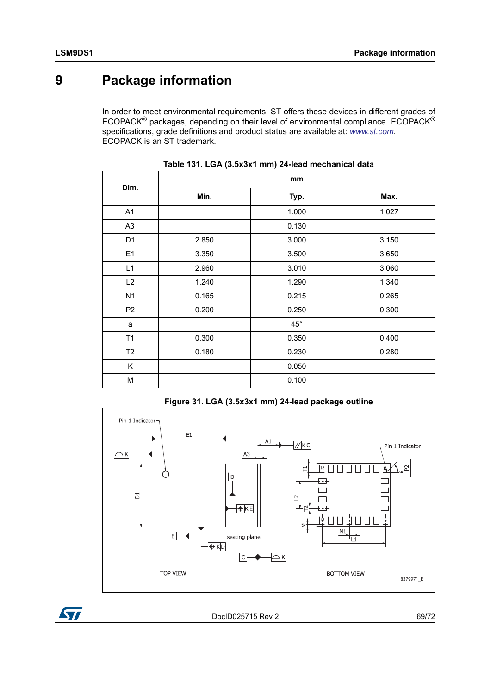# **9 Package information**

In order to meet environmental requirements, ST offers these devices in different grades of ECOPACK® packages, depending on their level of environmental compliance. ECOPACK® specifications, grade definitions and product status are available at: *www.st.com*. ECOPACK is an ST trademark.

| Dim.           | mm    |              |       |  |  |  |
|----------------|-------|--------------|-------|--|--|--|
|                | Min.  | Typ.         | Max.  |  |  |  |
| A1             |       | 1.000        | 1.027 |  |  |  |
| A <sub>3</sub> |       | 0.130        |       |  |  |  |
| D <sub>1</sub> | 2.850 | 3.000        | 3.150 |  |  |  |
| E1             | 3.350 | 3.500        | 3.650 |  |  |  |
| L1             | 2.960 | 3.010        | 3.060 |  |  |  |
| L2             | 1.240 | 1.290        | 1.340 |  |  |  |
| N <sub>1</sub> | 0.165 | 0.215        | 0.265 |  |  |  |
| P <sub>2</sub> | 0.200 | 0.250        | 0.300 |  |  |  |
| a              |       | $45^{\circ}$ |       |  |  |  |
| T1             | 0.300 | 0.350        | 0.400 |  |  |  |
| T2             | 0.180 | 0.230        | 0.280 |  |  |  |
| K              |       | 0.050        |       |  |  |  |
| M              |       | 0.100        |       |  |  |  |





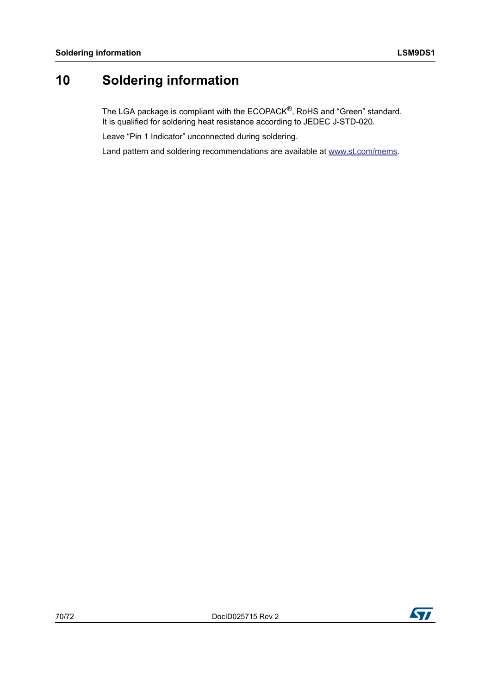# **10 Soldering information**

The LGA package is compliant with the ECOPACK $^{\circledR}$ , RoHS and "Green" standard. It is qualified for soldering heat resistance according to JEDEC J-STD-020.

Leave "Pin 1 Indicator" unconnected during soldering.

Land pattern and soldering recommendations are available at www.st.com/mems.

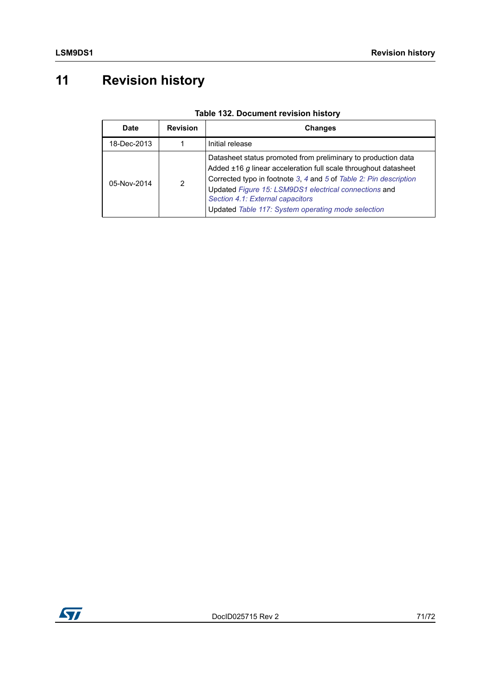# **11 Revision history**

| <b>Date</b> | <b>Revision</b> | <b>Changes</b>                                                                                                                                                                                                                                                                                                                                           |
|-------------|-----------------|----------------------------------------------------------------------------------------------------------------------------------------------------------------------------------------------------------------------------------------------------------------------------------------------------------------------------------------------------------|
| 18-Dec-2013 |                 | Initial release                                                                                                                                                                                                                                                                                                                                          |
| 05-Nov-2014 | 2               | Datasheet status promoted from preliminary to production data<br>Added ±16 g linear acceleration full scale throughout datasheet<br>Corrected typo in footnote 3, 4 and 5 of Table 2: Pin description<br>Updated Figure 15: LSM9DS1 electrical connections and<br>Section 4.1: External capacitors<br>Updated Table 117: System operating mode selection |

### **Table 132. Document revision history**